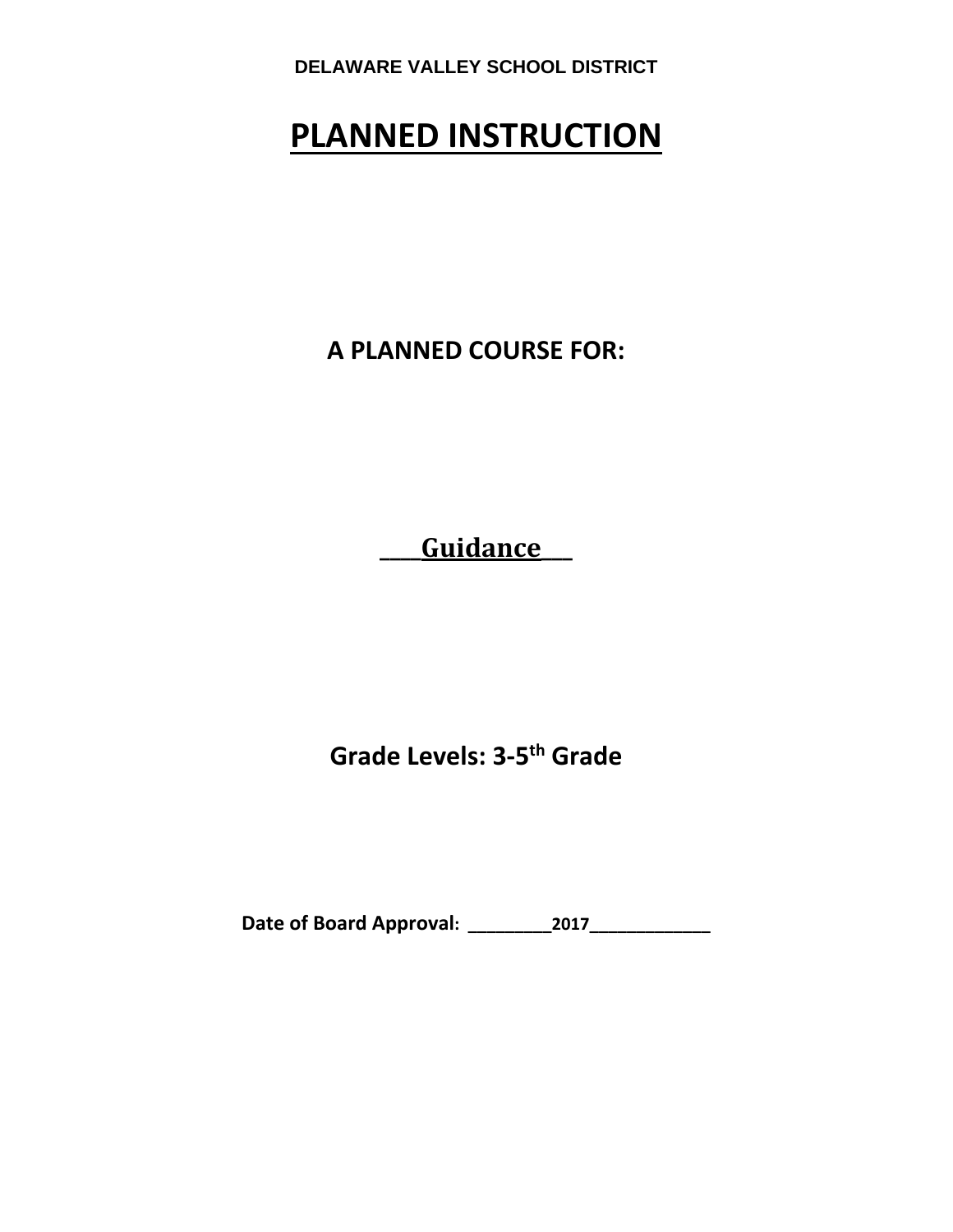# **PLANNED INSTRUCTION**

**A PLANNED COURSE FOR:**

**\_\_\_\_Guidance\_\_\_**

**Grade Levels: 3‐5th Grade**

**Date of Board Approval: \_\_\_\_\_\_\_\_\_2017\_\_\_\_\_\_\_\_\_\_\_\_\_**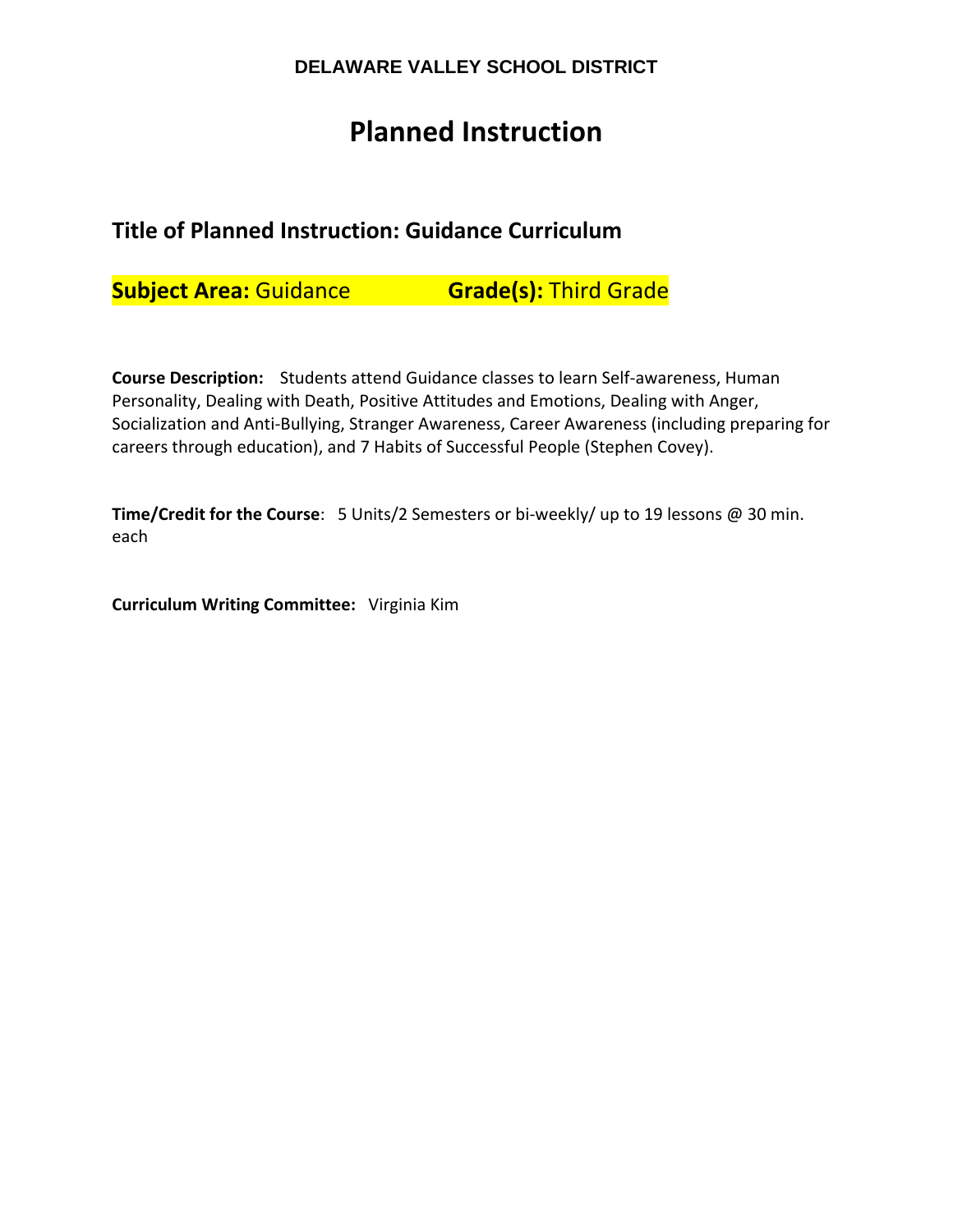# **Planned Instruction**

# **Title of Planned Instruction: Guidance Curriculum**

**Subject Area:** Guidance **Grade(s):** Third Grade

**Course Description:**  Students attend Guidance classes to learn Self‐awareness, Human Personality, Dealing with Death, Positive Attitudes and Emotions, Dealing with Anger, Socialization and Anti‐Bullying, Stranger Awareness, Career Awareness (including preparing for careers through education), and 7 Habits of Successful People (Stephen Covey).

**Time/Credit for the Course**: 5 Units/2 Semesters or bi‐weekly/ up to 19 lessons @ 30 min. each

**Curriculum Writing Committee:** Virginia Kim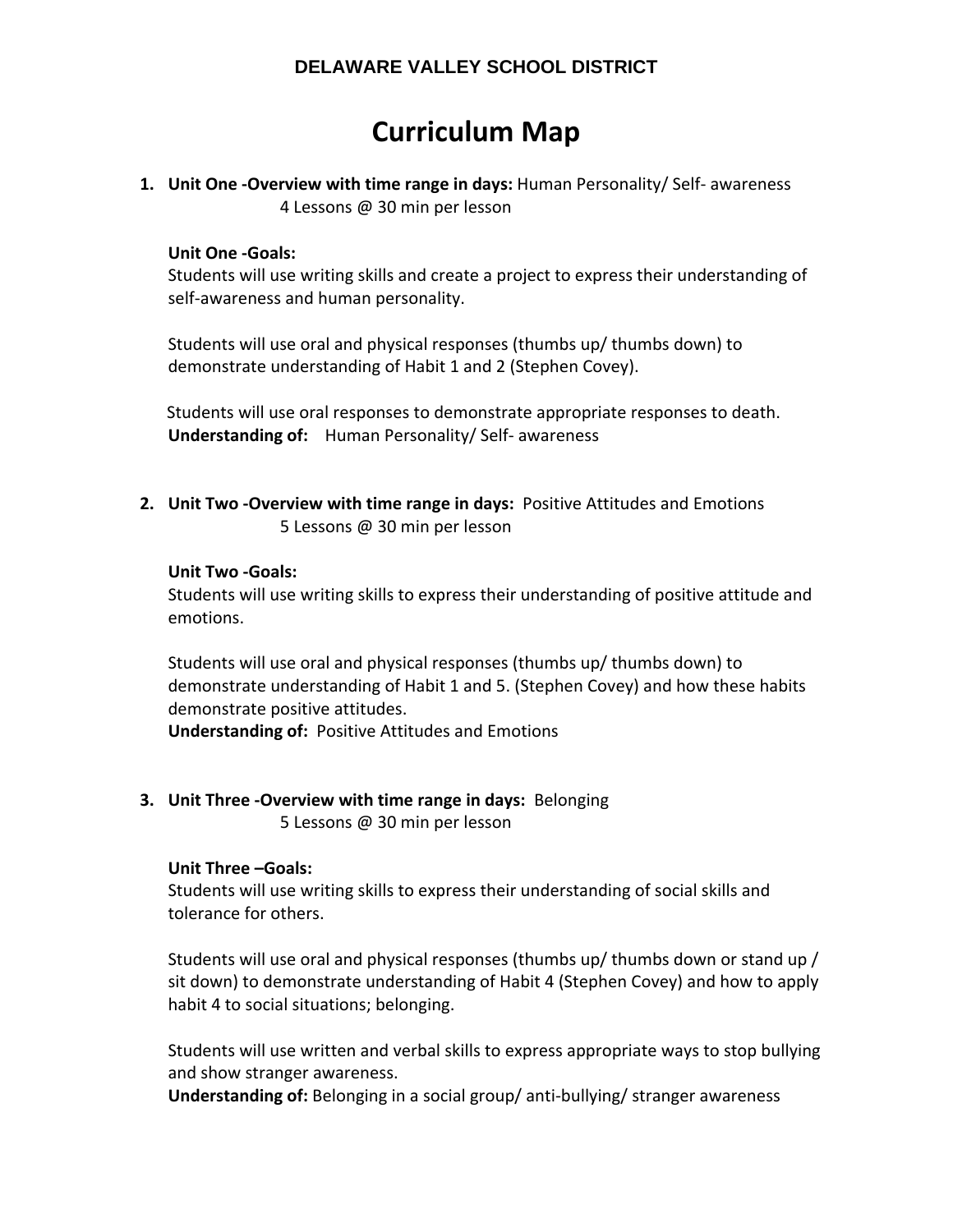# **Curriculum Map**

**1. Unit One ‐Overview with time range in days:** Human Personality/ Self‐ awareness 4 Lessons @ 30 min per lesson

#### **Unit One ‐Goals:**

Students will use writing skills and create a project to express their understanding of self-awareness and human personality.

Students will use oral and physical responses (thumbs up/ thumbs down) to demonstrate understanding of Habit 1 and 2 (Stephen Covey).

 Students will use oral responses to demonstrate appropriate responses to death. **Understanding of:** Human Personality/ Self‐ awareness

**2. Unit Two ‐Overview with time range in days:** Positive Attitudes and Emotions 5 Lessons @ 30 min per lesson

#### **Unit Two ‐Goals:**

Students will use writing skills to express their understanding of positive attitude and emotions.

Students will use oral and physical responses (thumbs up/ thumbs down) to demonstrate understanding of Habit 1 and 5. (Stephen Covey) and how these habits demonstrate positive attitudes.

**Understanding of:** Positive Attitudes and Emotions

**3. Unit Three ‐Overview with time range in days:** Belonging 5 Lessons @ 30 min per lesson

## **Unit Three –Goals:**

Students will use writing skills to express their understanding of social skills and tolerance for others.

Students will use oral and physical responses (thumbs up/ thumbs down or stand up / sit down) to demonstrate understanding of Habit 4 (Stephen Covey) and how to apply habit 4 to social situations; belonging.

Students will use written and verbal skills to express appropriate ways to stop bullying and show stranger awareness.

**Understanding of:** Belonging in a social group/ anti‐bullying/ stranger awareness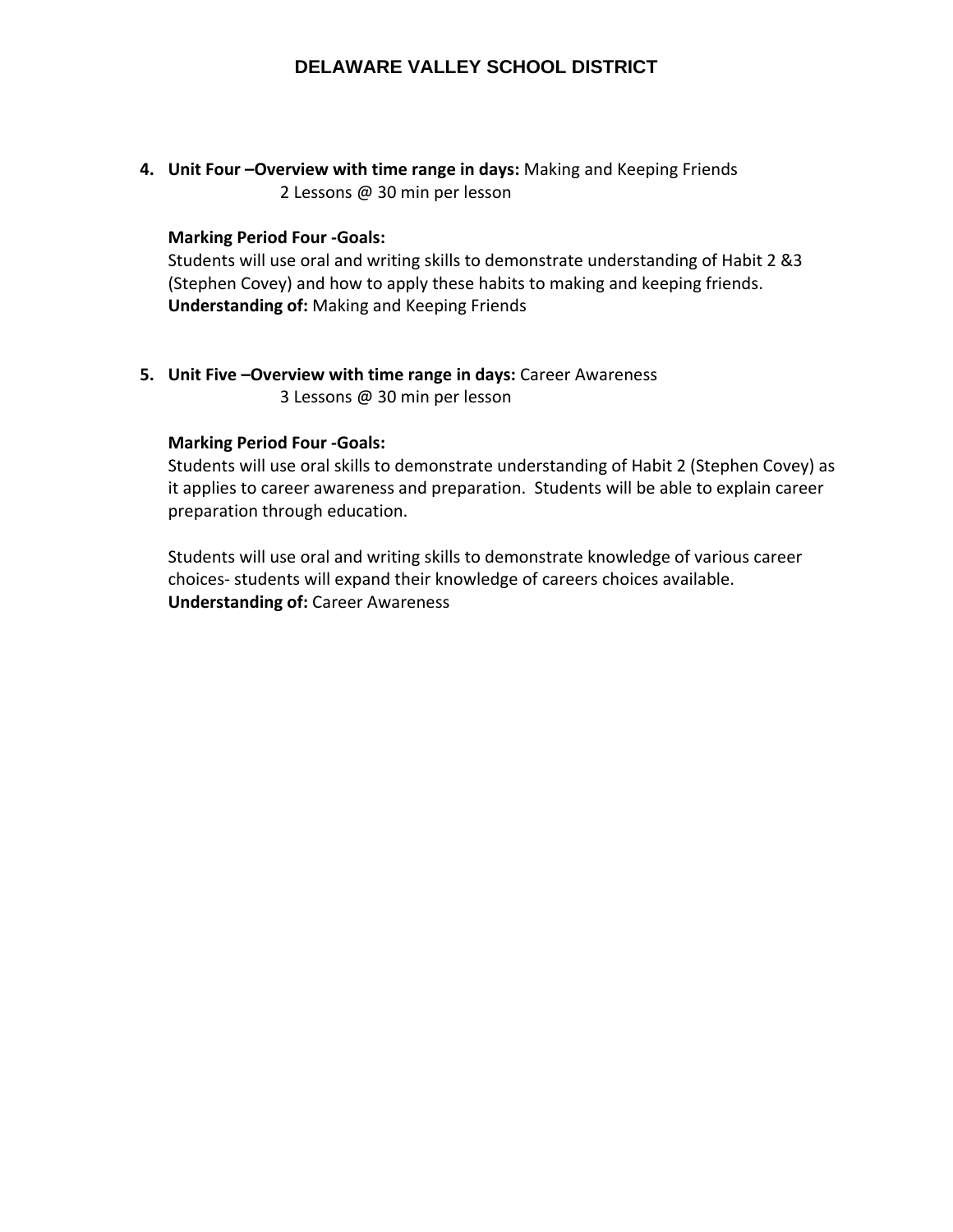**4. Unit Four –Overview with time range in days:** Making and Keeping Friends 2 Lessons @ 30 min per lesson

#### **Marking Period Four ‐Goals:**

Students will use oral and writing skills to demonstrate understanding of Habit 2 &3 (Stephen Covey) and how to apply these habits to making and keeping friends. **Understanding of:** Making and Keeping Friends

**5. Unit Five –Overview with time range in days:** Career Awareness 3 Lessons @ 30 min per lesson

#### **Marking Period Four ‐Goals:**

Students will use oral skills to demonstrate understanding of Habit 2 (Stephen Covey) as it applies to career awareness and preparation. Students will be able to explain career preparation through education.

Students will use oral and writing skills to demonstrate knowledge of various career choices‐ students will expand their knowledge of careers choices available. **Understanding of:** Career Awareness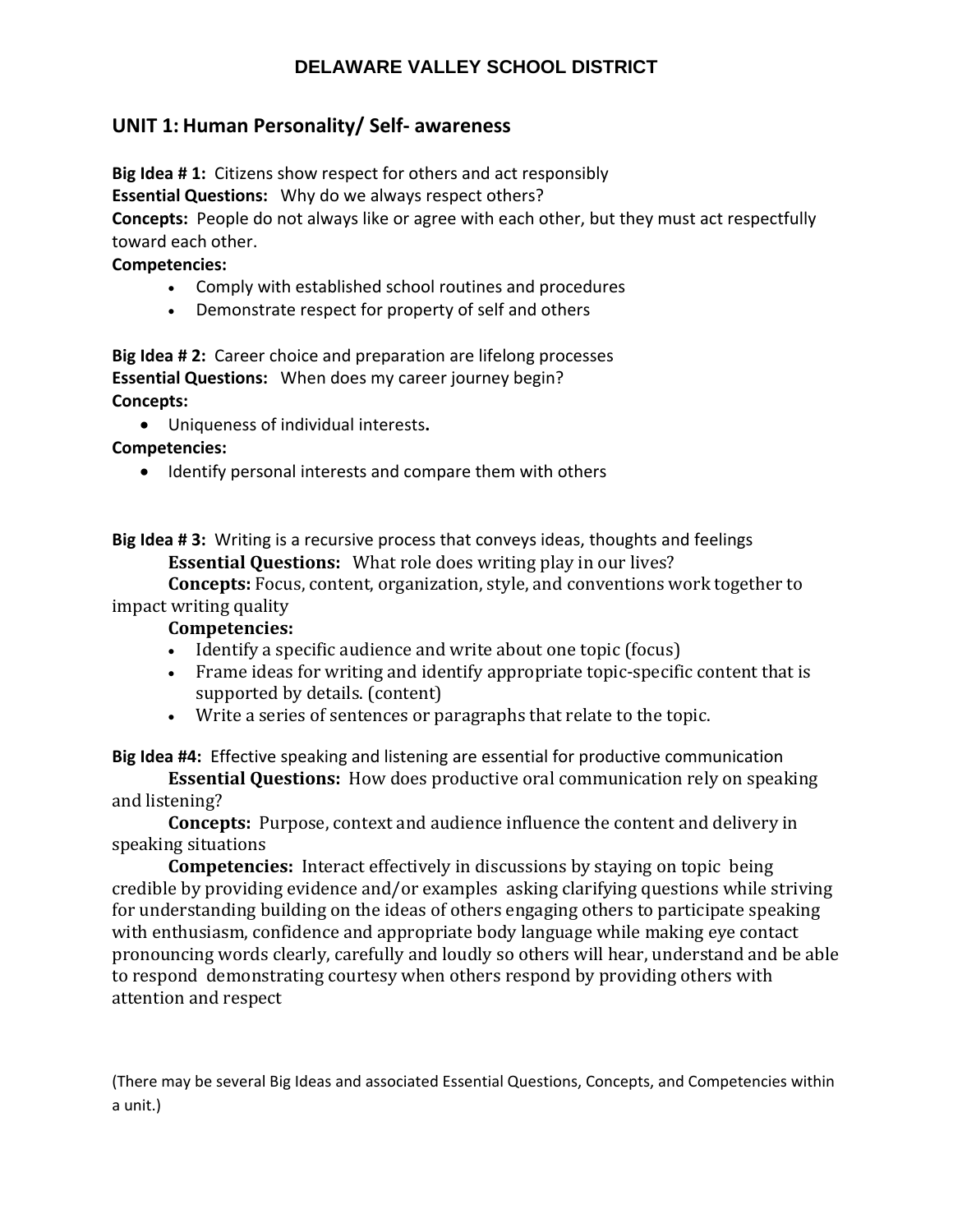# **UNIT 1: Human Personality/ Self‐ awareness**

**Big Idea # 1:** Citizens show respect for others and act responsibly

**Essential Questions:** Why do we always respect others?

**Concepts:** People do not always like or agree with each other, but they must act respectfully toward each other.

## **Competencies:**

- Comply with established school routines and procedures
- Demonstrate respect for property of self and others

**Big Idea # 2:** Career choice and preparation are lifelong processes **Essential Questions:** When does my career journey begin? **Concepts:** 

Uniqueness of individual interests**.**

**Competencies:** 

• Identify personal interests and compare them with others

**Big Idea # 3:** Writing is a recursive process that conveys ideas, thoughts and feelings **Essential Questions:** What role does writing play in our lives?

**Concepts:** Focus, content, organization, style, and conventions work together to impact writing quality

## **Competencies:**

- Identify a specific audience and write about one topic (focus)
- Frame ideas for writing and identify appropriate topic-specific content that is supported by details. (content)
- Write a series of sentences or paragraphs that relate to the topic.

**Big Idea #4:** Effective speaking and listening are essential for productive communication

**Essential Questions:** How does productive oral communication rely on speaking and listening?

**Concepts:** Purpose, context and audience influence the content and delivery in speaking situations

**Competencies:** Interact effectively in discussions by staying on topic being credible by providing evidence and/or examples asking clarifying questions while striving for understanding building on the ideas of others engaging others to participate speaking with enthusiasm, confidence and appropriate body language while making eye contact pronouncing words clearly, carefully and loudly so others will hear, understand and be able to respond demonstrating courtesy when others respond by providing others with attention and respect

(There may be several Big Ideas and associated Essential Questions, Concepts, and Competencies within a unit.)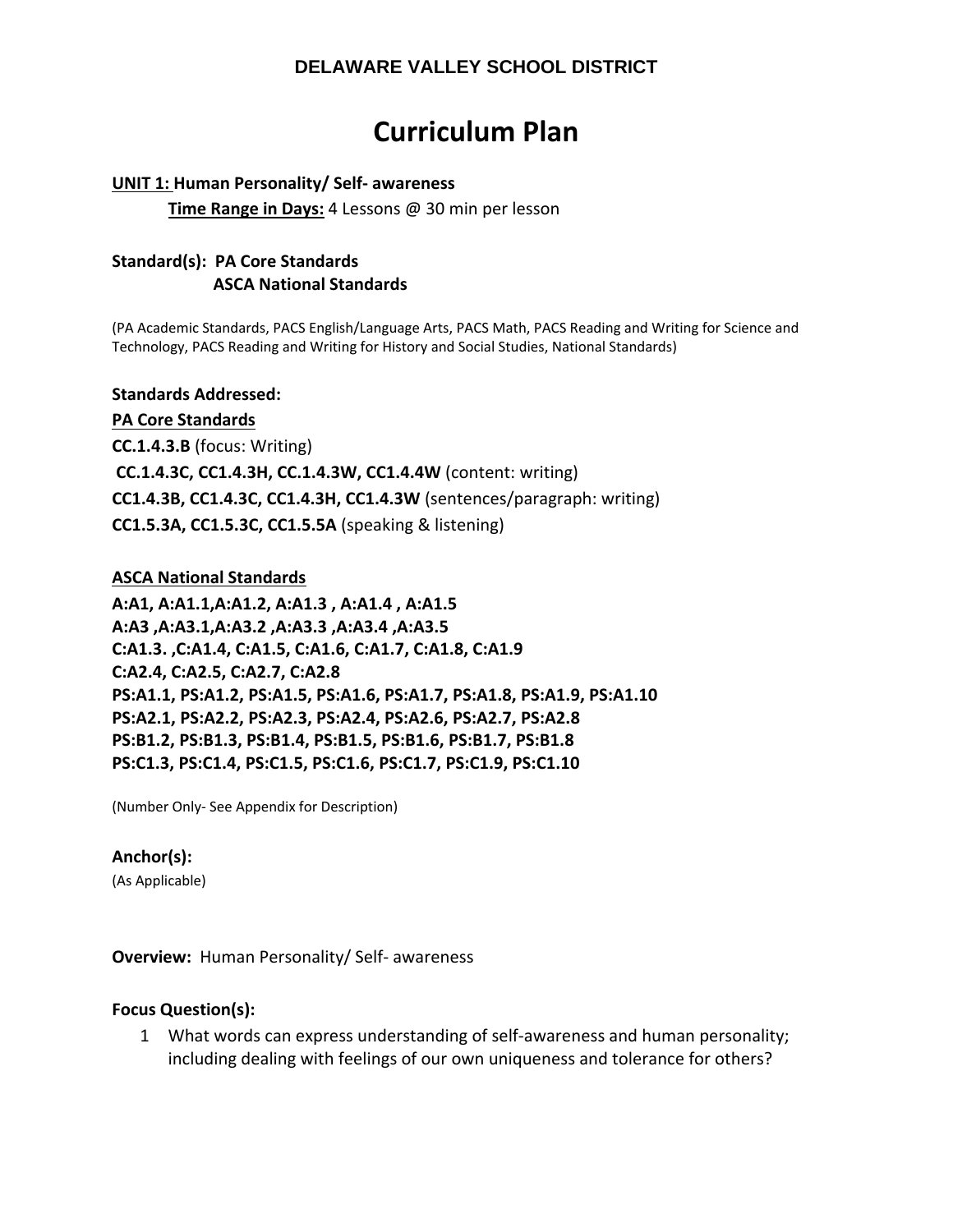# **Curriculum Plan**

#### **UNIT 1: Human Personality/ Self‐ awareness**

**Time Range in Days:** 4 Lessons @ 30 min per lesson

## **Standard(s): PA Core Standards ASCA National Standards**

(PA Academic Standards, PACS English/Language Arts, PACS Math, PACS Reading and Writing for Science and Technology, PACS Reading and Writing for History and Social Studies, National Standards)

#### **Standards Addressed:**

#### **PA Core Standards**

**CC.1.4.3.B** (focus: Writing) **CC.1.4.3C, CC1.4.3H, CC.1.4.3W, CC1.4.4W** (content: writing) **CC1.4.3B, CC1.4.3C, CC1.4.3H, CC1.4.3W** (sentences/paragraph: writing) **CC1.5.3A, CC1.5.3C, CC1.5.5A** (speaking & listening)

#### **ASCA National Standards**

**A:A1, A:A1.1,A:A1.2, A:A1.3 , A:A1.4 , A:A1.5 A:A3 ,A:A3.1,A:A3.2 ,A:A3.3 ,A:A3.4 ,A:A3.5 C:A1.3. ,C:A1.4, C:A1.5, C:A1.6, C:A1.7, C:A1.8, C:A1.9 C:A2.4, C:A2.5, C:A2.7, C:A2.8 PS:A1.1, PS:A1.2, PS:A1.5, PS:A1.6, PS:A1.7, PS:A1.8, PS:A1.9, PS:A1.10 PS:A2.1, PS:A2.2, PS:A2.3, PS:A2.4, PS:A2.6, PS:A2.7, PS:A2.8 PS:B1.2, PS:B1.3, PS:B1.4, PS:B1.5, PS:B1.6, PS:B1.7, PS:B1.8 PS:C1.3, PS:C1.4, PS:C1.5, PS:C1.6, PS:C1.7, PS:C1.9, PS:C1.10** 

(Number Only‐ See Appendix for Description)

#### **Anchor(s):**

(As Applicable)

**Overview:** Human Personality/ Self- awareness

## **Focus Question(s):**

1 What words can express understanding of self‐awareness and human personality; including dealing with feelings of our own uniqueness and tolerance for others?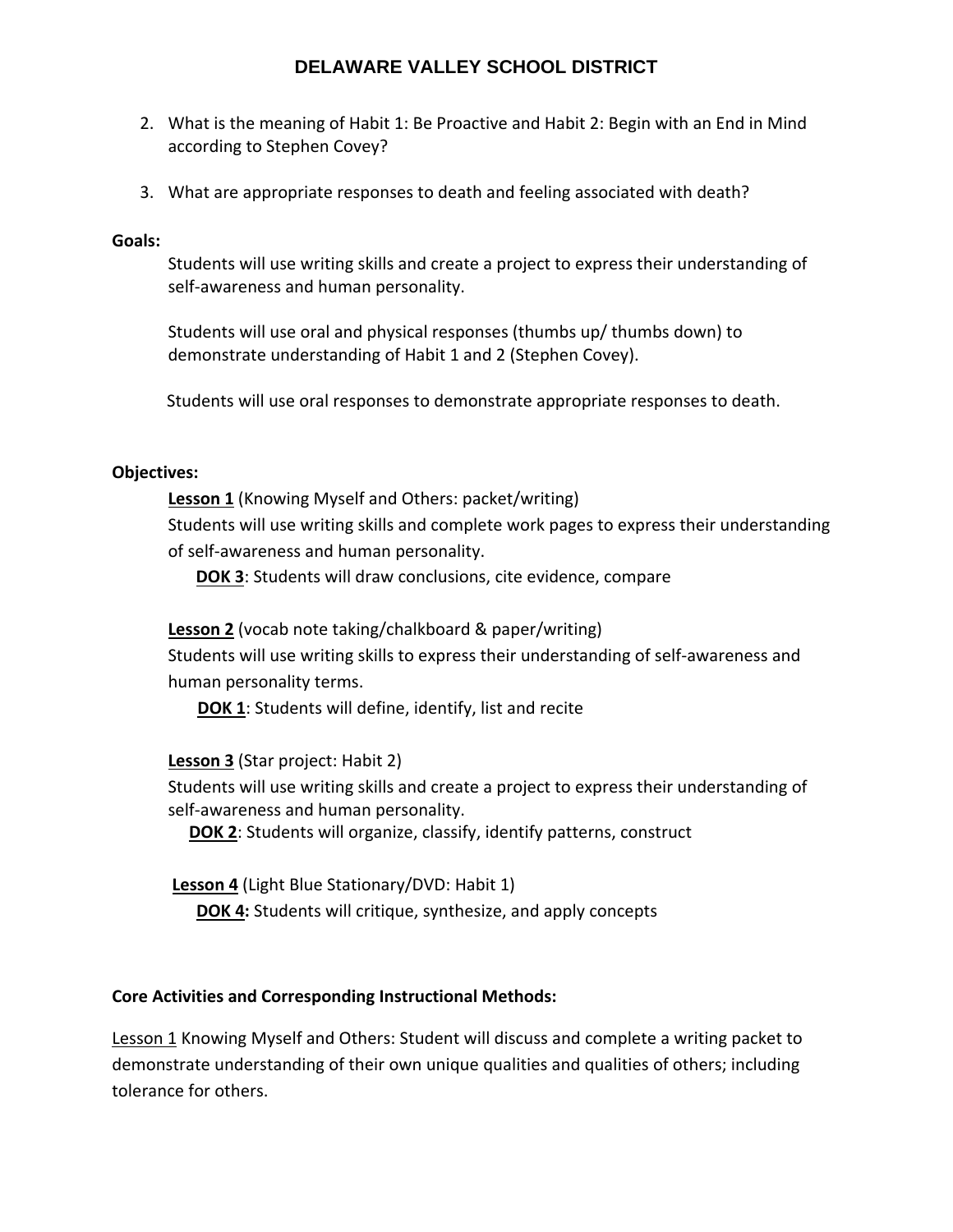- 2. What is the meaning of Habit 1: Be Proactive and Habit 2: Begin with an End in Mind according to Stephen Covey?
- 3. What are appropriate responses to death and feeling associated with death?

## **Goals:**

Students will use writing skills and create a project to express their understanding of self-awareness and human personality.

Students will use oral and physical responses (thumbs up/ thumbs down) to demonstrate understanding of Habit 1 and 2 (Stephen Covey).

Students will use oral responses to demonstrate appropriate responses to death.

## **Objectives:**

**Lesson 1** (Knowing Myself and Others: packet/writing) Students will use writing skills and complete work pages to express their understanding of self‐awareness and human personality.

**DOK 3**: Students will draw conclusions, cite evidence, compare

# **Lesson 2** (vocab note taking/chalkboard & paper/writing)

Students will use writing skills to express their understanding of self‐awareness and human personality terms.

**DOK 1**: Students will define, identify, list and recite

**Lesson 3** (Star project: Habit 2)

Students will use writing skills and create a project to express their understanding of self-awareness and human personality.

**DOK 2**: Students will organize, classify, identify patterns, construct

**Lesson 4** (Light Blue Stationary/DVD: Habit 1)

**DOK 4:** Students will critique, synthesize, and apply concepts

# **Core Activities and Corresponding Instructional Methods:**

Lesson 1 Knowing Myself and Others: Student will discuss and complete a writing packet to demonstrate understanding of their own unique qualities and qualities of others; including tolerance for others.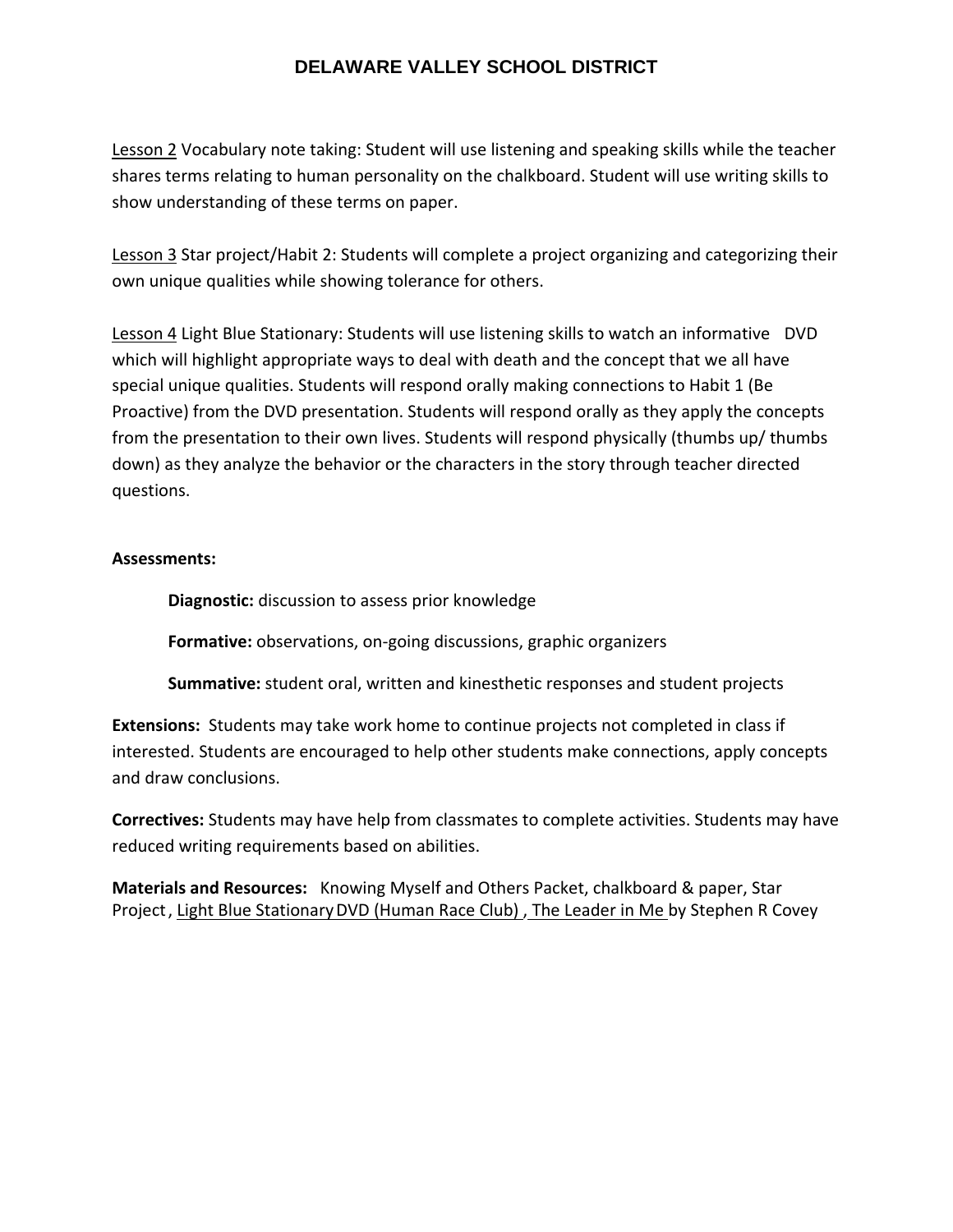Lesson 2 Vocabulary note taking: Student will use listening and speaking skills while the teacher shares terms relating to human personality on the chalkboard. Student will use writing skills to show understanding of these terms on paper.

Lesson 3 Star project/Habit 2: Students will complete a project organizing and categorizing their own unique qualities while showing tolerance for others.

Lesson 4 Light Blue Stationary: Students will use listening skills to watch an informative DVD which will highlight appropriate ways to deal with death and the concept that we all have special unique qualities. Students will respond orally making connections to Habit 1 (Be Proactive) from the DVD presentation. Students will respond orally as they apply the concepts from the presentation to their own lives. Students will respond physically (thumbs up/ thumbs down) as they analyze the behavior or the characters in the story through teacher directed questions.

## **Assessments:**

**Diagnostic:** discussion to assess prior knowledge

**Formative:** observations, on‐going discussions, graphic organizers

**Summative:** student oral, written and kinesthetic responses and student projects

**Extensions:** Students may take work home to continue projects not completed in class if interested. Students are encouraged to help other students make connections, apply concepts and draw conclusions.

**Correctives:** Students may have help from classmates to complete activities. Students may have reduced writing requirements based on abilities.

**Materials and Resources:** Knowing Myself and Others Packet, chalkboard & paper, Star Project, Light Blue Stationary DVD (Human Race Club), The Leader in Me by Stephen R Covey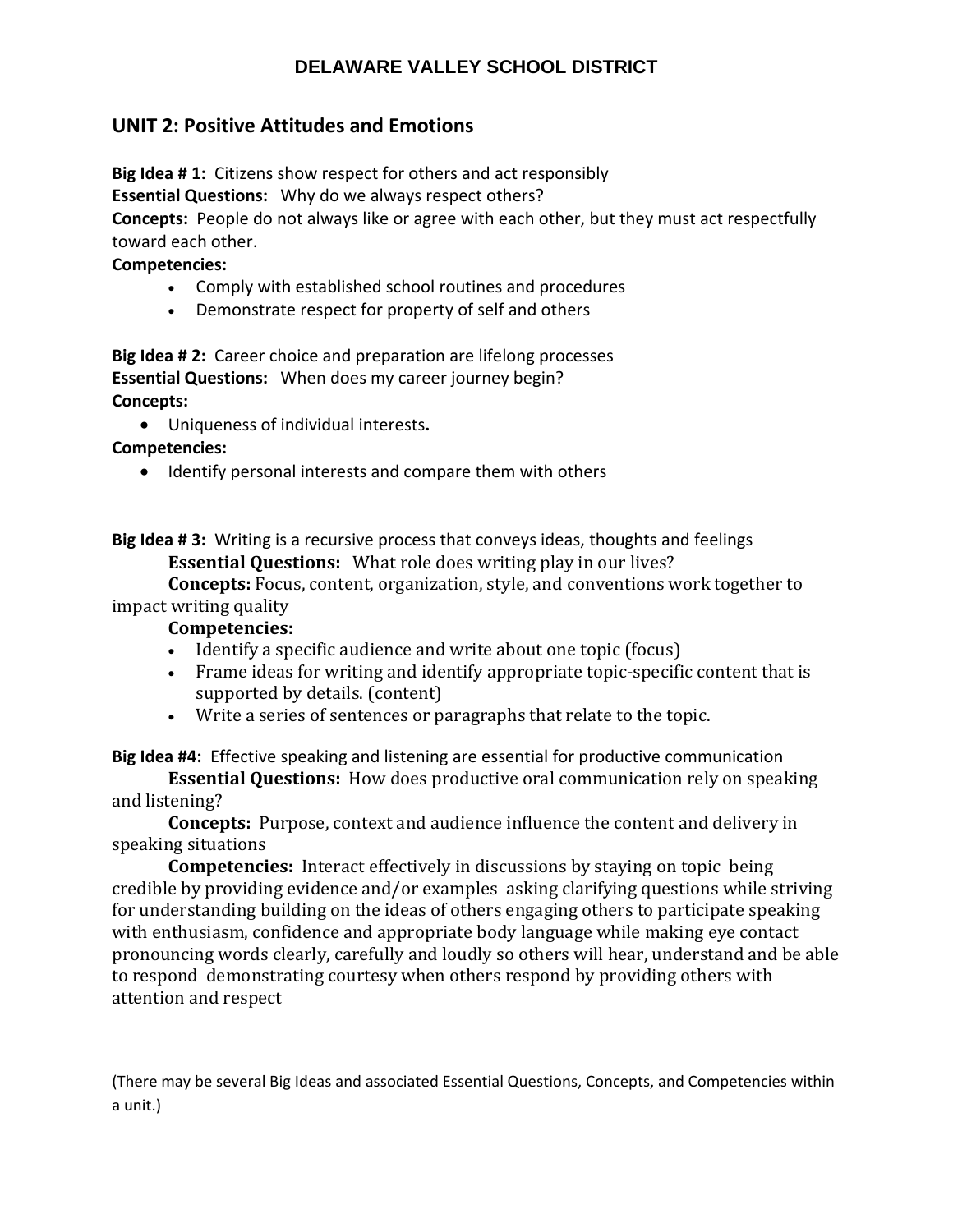# **UNIT 2: Positive Attitudes and Emotions**

**Big Idea # 1:** Citizens show respect for others and act responsibly

**Essential Questions:** Why do we always respect others?

**Concepts:** People do not always like or agree with each other, but they must act respectfully toward each other.

## **Competencies:**

- Comply with established school routines and procedures
- Demonstrate respect for property of self and others

**Big Idea # 2:** Career choice and preparation are lifelong processes **Essential Questions:** When does my career journey begin? **Concepts:** 

Uniqueness of individual interests**.**

**Competencies:** 

• Identify personal interests and compare them with others

**Big Idea # 3:** Writing is a recursive process that conveys ideas, thoughts and feelings **Essential Questions:** What role does writing play in our lives?

**Concepts:** Focus, content, organization, style, and conventions work together to impact writing quality

## **Competencies:**

- Identify a specific audience and write about one topic (focus)
- Frame ideas for writing and identify appropriate topic-specific content that is supported by details. (content)
- Write a series of sentences or paragraphs that relate to the topic.

**Big Idea #4:** Effective speaking and listening are essential for productive communication

**Essential Questions:** How does productive oral communication rely on speaking and listening?

**Concepts:** Purpose, context and audience influence the content and delivery in speaking situations

**Competencies:** Interact effectively in discussions by staying on topic being credible by providing evidence and/or examples asking clarifying questions while striving for understanding building on the ideas of others engaging others to participate speaking with enthusiasm, confidence and appropriate body language while making eye contact pronouncing words clearly, carefully and loudly so others will hear, understand and be able to respond demonstrating courtesy when others respond by providing others with attention and respect

(There may be several Big Ideas and associated Essential Questions, Concepts, and Competencies within a unit.)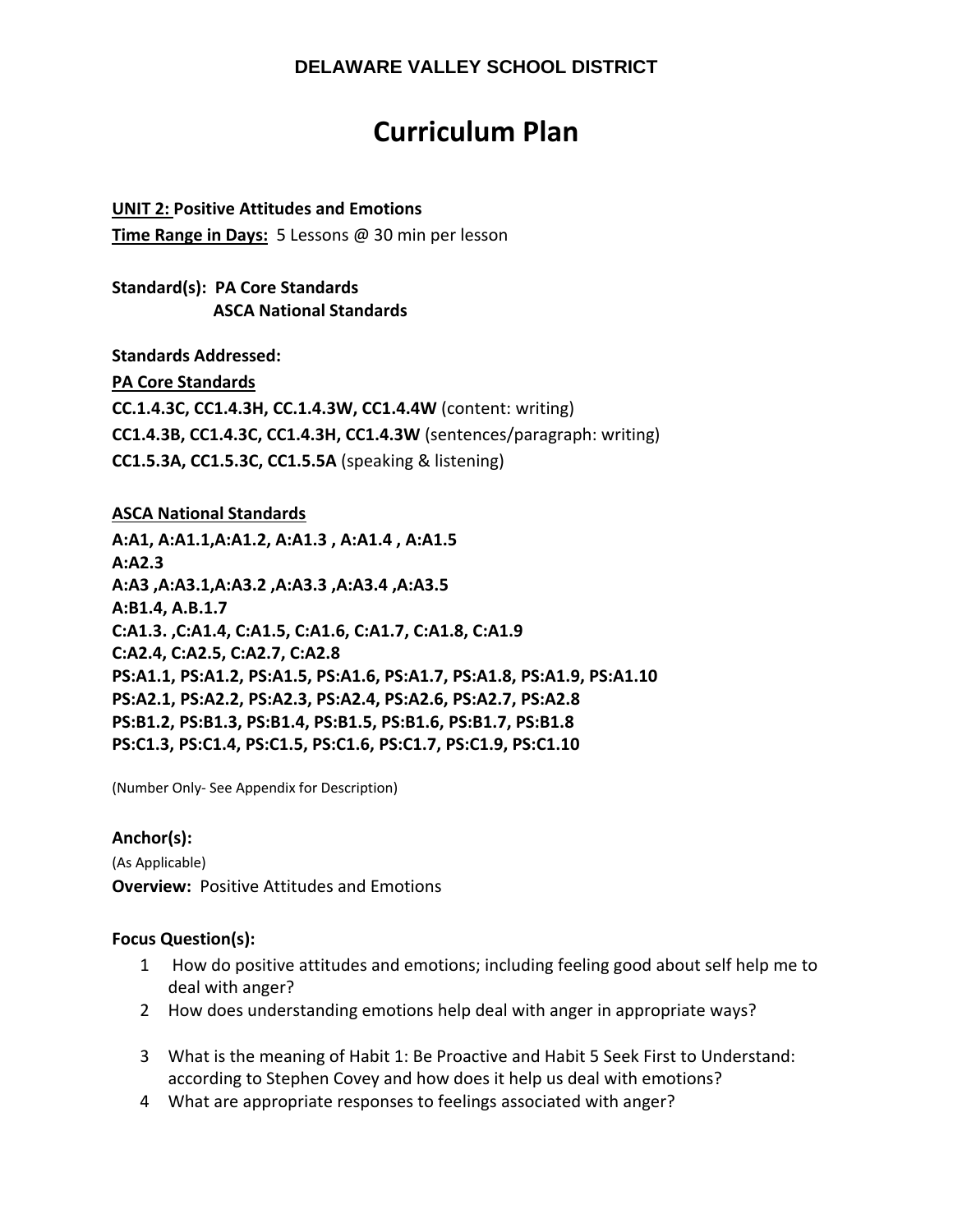# **Curriculum Plan**

## **UNIT 2: Positive Attitudes and Emotions**

**Time Range in Days:** 5 Lessons @ 30 min per lesson

## **Standard(s): PA Core Standards ASCA National Standards**

**Standards Addressed:** 

**PA Core Standards** 

**CC.1.4.3C, CC1.4.3H, CC.1.4.3W, CC1.4.4W** (content: writing) **CC1.4.3B, CC1.4.3C, CC1.4.3H, CC1.4.3W** (sentences/paragraph: writing) **CC1.5.3A, CC1.5.3C, CC1.5.5A** (speaking & listening)

## **ASCA National Standards**

**A:A1, A:A1.1,A:A1.2, A:A1.3 , A:A1.4 , A:A1.5 A:A2.3 A:A3 ,A:A3.1,A:A3.2 ,A:A3.3 ,A:A3.4 ,A:A3.5 A:B1.4, A.B.1.7 C:A1.3. ,C:A1.4, C:A1.5, C:A1.6, C:A1.7, C:A1.8, C:A1.9 C:A2.4, C:A2.5, C:A2.7, C:A2.8 PS:A1.1, PS:A1.2, PS:A1.5, PS:A1.6, PS:A1.7, PS:A1.8, PS:A1.9, PS:A1.10 PS:A2.1, PS:A2.2, PS:A2.3, PS:A2.4, PS:A2.6, PS:A2.7, PS:A2.8 PS:B1.2, PS:B1.3, PS:B1.4, PS:B1.5, PS:B1.6, PS:B1.7, PS:B1.8 PS:C1.3, PS:C1.4, PS:C1.5, PS:C1.6, PS:C1.7, PS:C1.9, PS:C1.10** 

(Number Only‐ See Appendix for Description)

## **Anchor(s):**

(As Applicable) **Overview: Positive Attitudes and Emotions** 

## **Focus Question(s):**

- 1 How do positive attitudes and emotions; including feeling good about self help me to deal with anger?
- 2 How does understanding emotions help deal with anger in appropriate ways?
- 3 What is the meaning of Habit 1: Be Proactive and Habit 5 Seek First to Understand: according to Stephen Covey and how does it help us deal with emotions?
- 4 What are appropriate responses to feelings associated with anger?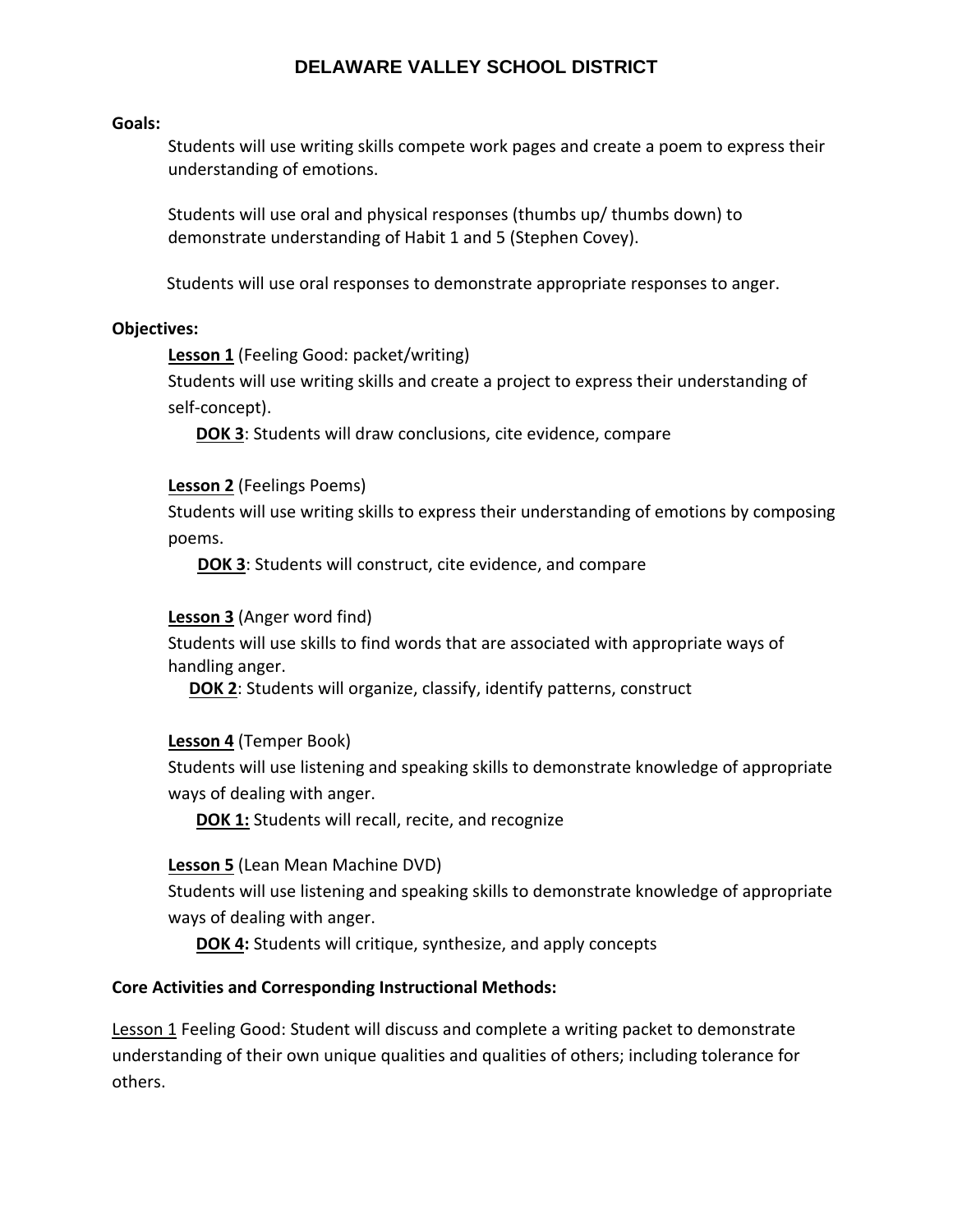#### **Goals:**

Students will use writing skills compete work pages and create a poem to express their understanding of emotions.

Students will use oral and physical responses (thumbs up/ thumbs down) to demonstrate understanding of Habit 1 and 5 (Stephen Covey).

Students will use oral responses to demonstrate appropriate responses to anger.

#### **Objectives:**

**Lesson 1** (Feeling Good: packet/writing)

Students will use writing skills and create a project to express their understanding of self‐concept).

**DOK 3**: Students will draw conclusions, cite evidence, compare

**Lesson 2** (Feelings Poems)

Students will use writing skills to express their understanding of emotions by composing poems.

**DOK 3**: Students will construct, cite evidence, and compare

#### **Lesson 3** (Anger word find)

Students will use skills to find words that are associated with appropriate ways of handling anger.

**DOK 2**: Students will organize, classify, identify patterns, construct

**Lesson 4** (Temper Book)

Students will use listening and speaking skills to demonstrate knowledge of appropriate ways of dealing with anger.

**DOK 1:** Students will recall, recite, and recognize

#### **Lesson 5** (Lean Mean Machine DVD)

Students will use listening and speaking skills to demonstrate knowledge of appropriate ways of dealing with anger.

**DOK 4:** Students will critique, synthesize, and apply concepts

#### **Core Activities and Corresponding Instructional Methods:**

Lesson 1 Feeling Good: Student will discuss and complete a writing packet to demonstrate understanding of their own unique qualities and qualities of others; including tolerance for others.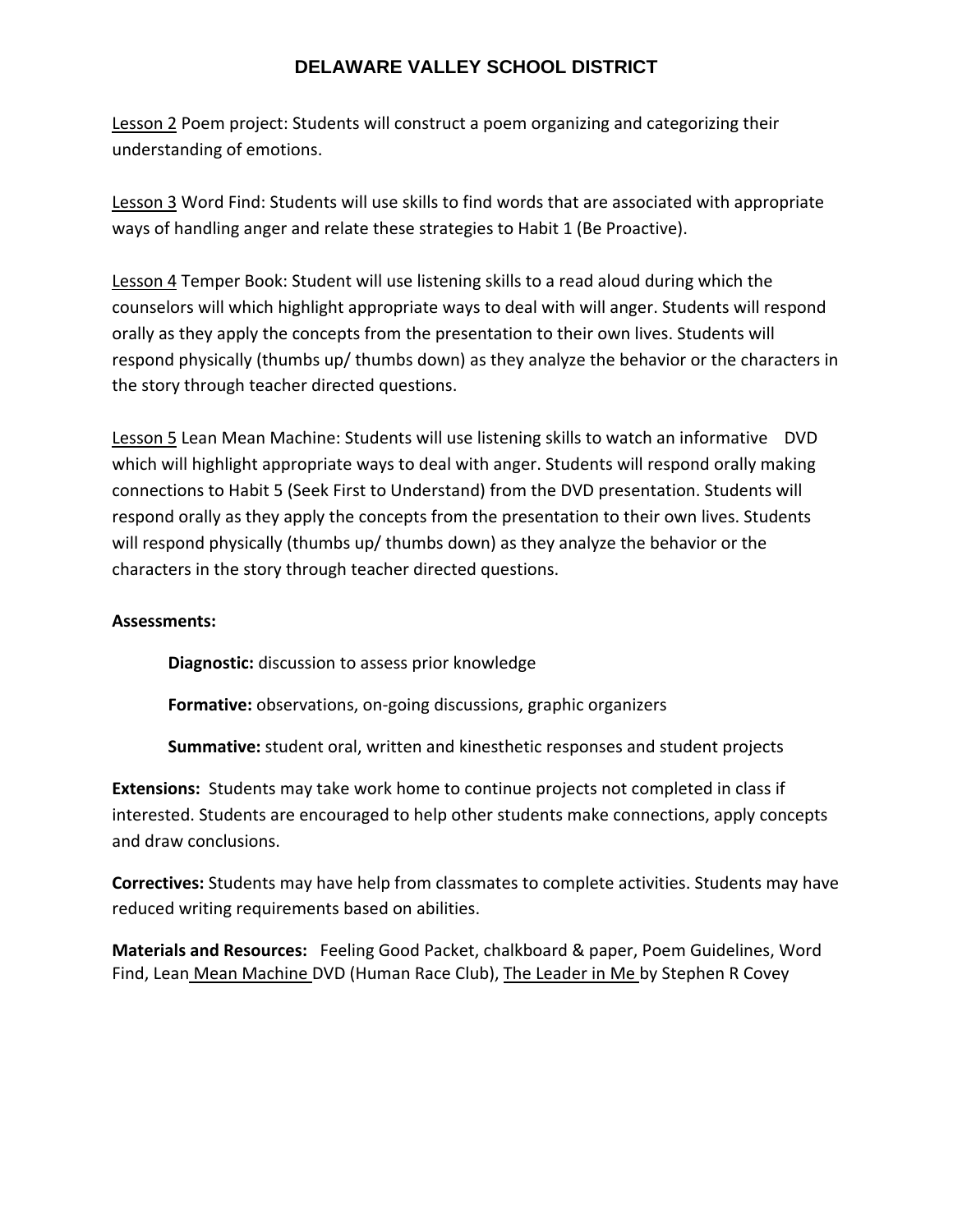Lesson 2 Poem project: Students will construct a poem organizing and categorizing their understanding of emotions.

Lesson 3 Word Find: Students will use skills to find words that are associated with appropriate ways of handling anger and relate these strategies to Habit 1 (Be Proactive).

Lesson 4 Temper Book: Student will use listening skills to a read aloud during which the counselors will which highlight appropriate ways to deal with will anger. Students will respond orally as they apply the concepts from the presentation to their own lives. Students will respond physically (thumbs up/ thumbs down) as they analyze the behavior or the characters in the story through teacher directed questions.

Lesson 5 Lean Mean Machine: Students will use listening skills to watch an informative DVD which will highlight appropriate ways to deal with anger. Students will respond orally making connections to Habit 5 (Seek First to Understand) from the DVD presentation. Students will respond orally as they apply the concepts from the presentation to their own lives. Students will respond physically (thumbs up/ thumbs down) as they analyze the behavior or the characters in the story through teacher directed questions.

## **Assessments:**

**Diagnostic:** discussion to assess prior knowledge

**Formative:** observations, on‐going discussions, graphic organizers

**Summative:** student oral, written and kinesthetic responses and student projects

**Extensions:** Students may take work home to continue projects not completed in class if interested. Students are encouraged to help other students make connections, apply concepts and draw conclusions.

**Correctives:** Students may have help from classmates to complete activities. Students may have reduced writing requirements based on abilities.

**Materials and Resources:** Feeling Good Packet, chalkboard & paper, Poem Guidelines, Word Find, Lean Mean Machine DVD (Human Race Club), The Leader in Me by Stephen R Covey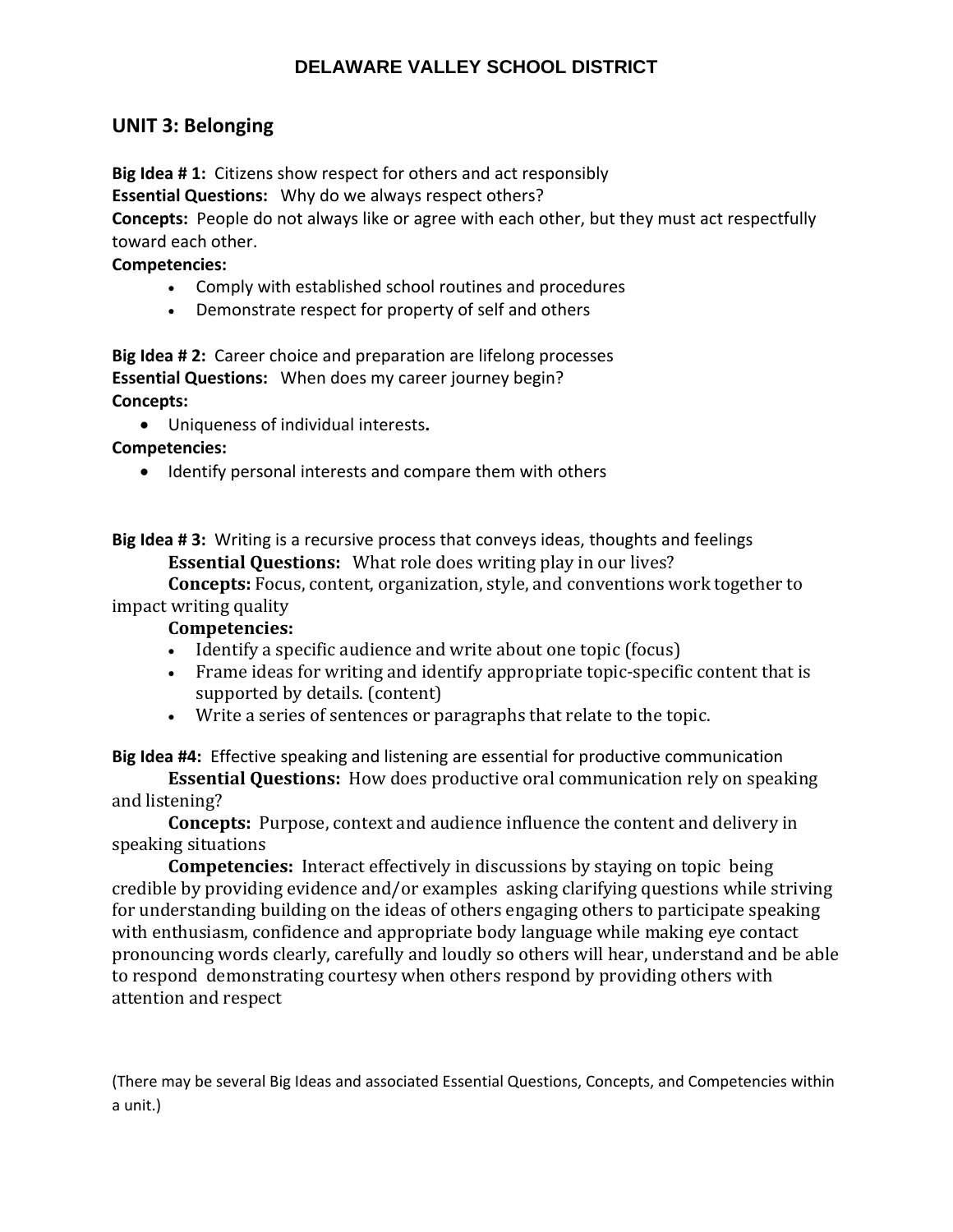## **UNIT 3: Belonging**

**Big Idea # 1:** Citizens show respect for others and act responsibly **Essential Questions:** Why do we always respect others?

**Concepts:** People do not always like or agree with each other, but they must act respectfully toward each other.

#### **Competencies:**

- Comply with established school routines and procedures
- Demonstrate respect for property of self and others

**Big Idea # 2:** Career choice and preparation are lifelong processes **Essential Questions:** When does my career journey begin? **Concepts:** 

Uniqueness of individual interests**.**

**Competencies:** 

• Identify personal interests and compare them with others

**Big Idea # 3:** Writing is a recursive process that conveys ideas, thoughts and feelings **Essential Questions:** What role does writing play in our lives?

**Concepts:** Focus, content, organization, style, and conventions work together to impact writing quality

## **Competencies:**

- Identify a specific audience and write about one topic (focus)
- Frame ideas for writing and identify appropriate topic-specific content that is supported by details. (content)
- Write a series of sentences or paragraphs that relate to the topic.

**Big Idea #4:** Effective speaking and listening are essential for productive communication

**Essential Questions:** How does productive oral communication rely on speaking and listening?

**Concepts:** Purpose, context and audience influence the content and delivery in speaking situations

**Competencies:** Interact effectively in discussions by staying on topic being credible by providing evidence and/or examples asking clarifying questions while striving for understanding building on the ideas of others engaging others to participate speaking with enthusiasm, confidence and appropriate body language while making eye contact pronouncing words clearly, carefully and loudly so others will hear, understand and be able to respond demonstrating courtesy when others respond by providing others with attention and respect

(There may be several Big Ideas and associated Essential Questions, Concepts, and Competencies within a unit.)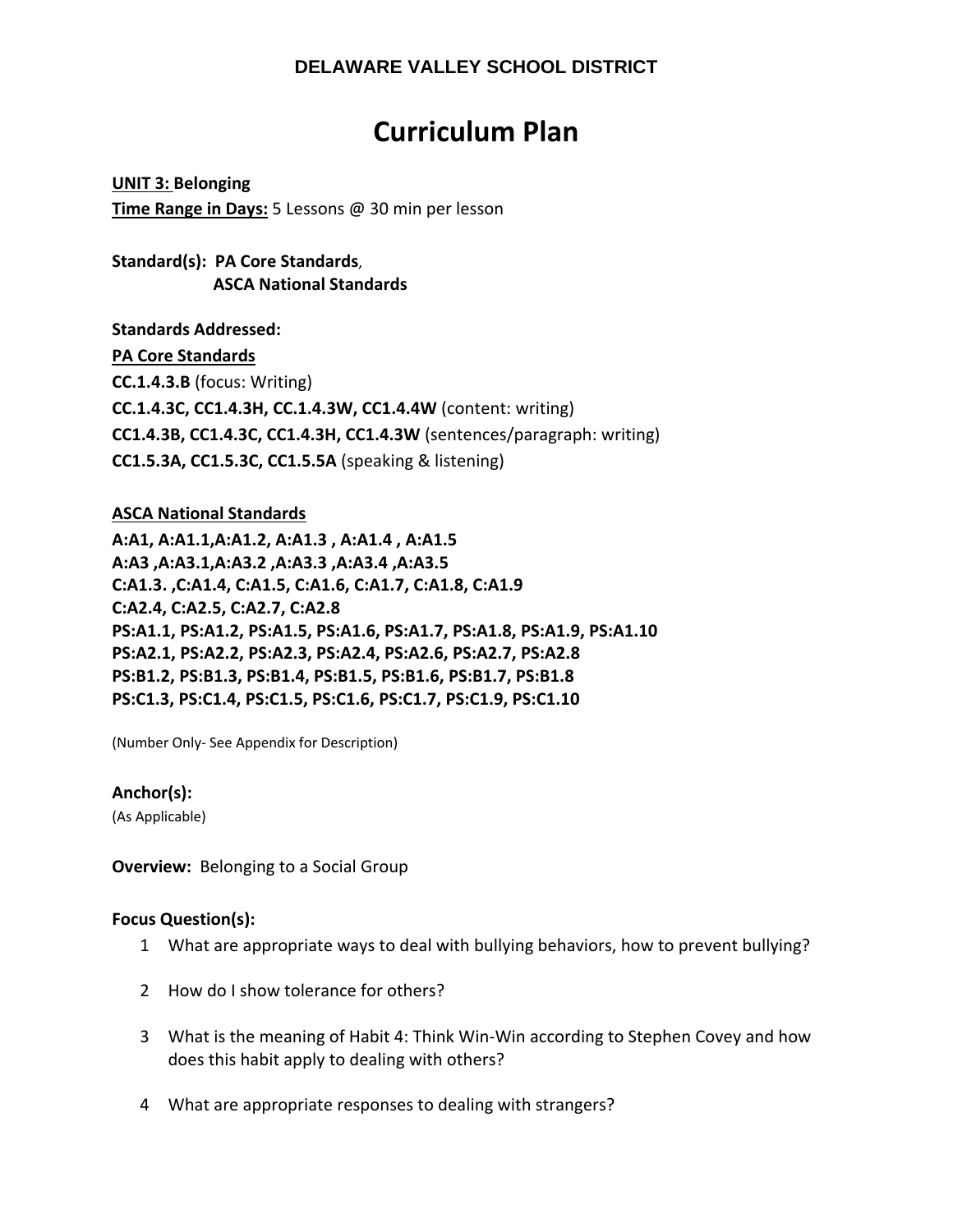# **Curriculum Plan**

**UNIT 3: Belonging Time Range in Days:** 5 Lessons @ 30 min per lesson

**Standard(s): PA Core Standards**,  **ASCA National Standards**

**Standards Addressed: PA Core Standards CC.1.4.3.B** (focus: Writing) **CC.1.4.3C, CC1.4.3H, CC.1.4.3W, CC1.4.4W** (content: writing) **CC1.4.3B, CC1.4.3C, CC1.4.3H, CC1.4.3W** (sentences/paragraph: writing) **CC1.5.3A, CC1.5.3C, CC1.5.5A** (speaking & listening)

## **ASCA National Standards**

**A:A1, A:A1.1,A:A1.2, A:A1.3 , A:A1.4 , A:A1.5 A:A3 ,A:A3.1,A:A3.2 ,A:A3.3 ,A:A3.4 ,A:A3.5 C:A1.3. ,C:A1.4, C:A1.5, C:A1.6, C:A1.7, C:A1.8, C:A1.9 C:A2.4, C:A2.5, C:A2.7, C:A2.8 PS:A1.1, PS:A1.2, PS:A1.5, PS:A1.6, PS:A1.7, PS:A1.8, PS:A1.9, PS:A1.10 PS:A2.1, PS:A2.2, PS:A2.3, PS:A2.4, PS:A2.6, PS:A2.7, PS:A2.8 PS:B1.2, PS:B1.3, PS:B1.4, PS:B1.5, PS:B1.6, PS:B1.7, PS:B1.8 PS:C1.3, PS:C1.4, PS:C1.5, PS:C1.6, PS:C1.7, PS:C1.9, PS:C1.10** 

(Number Only‐ See Appendix for Description)

## **Anchor(s):**

(As Applicable)

**Overview:** Belonging to a Social Group

## **Focus Question(s):**

- 1 What are appropriate ways to deal with bullying behaviors, how to prevent bullying?
- 2 How do I show tolerance for others?
- 3 What is the meaning of Habit 4: Think Win‐Win according to Stephen Covey and how does this habit apply to dealing with others?
- 4 What are appropriate responses to dealing with strangers?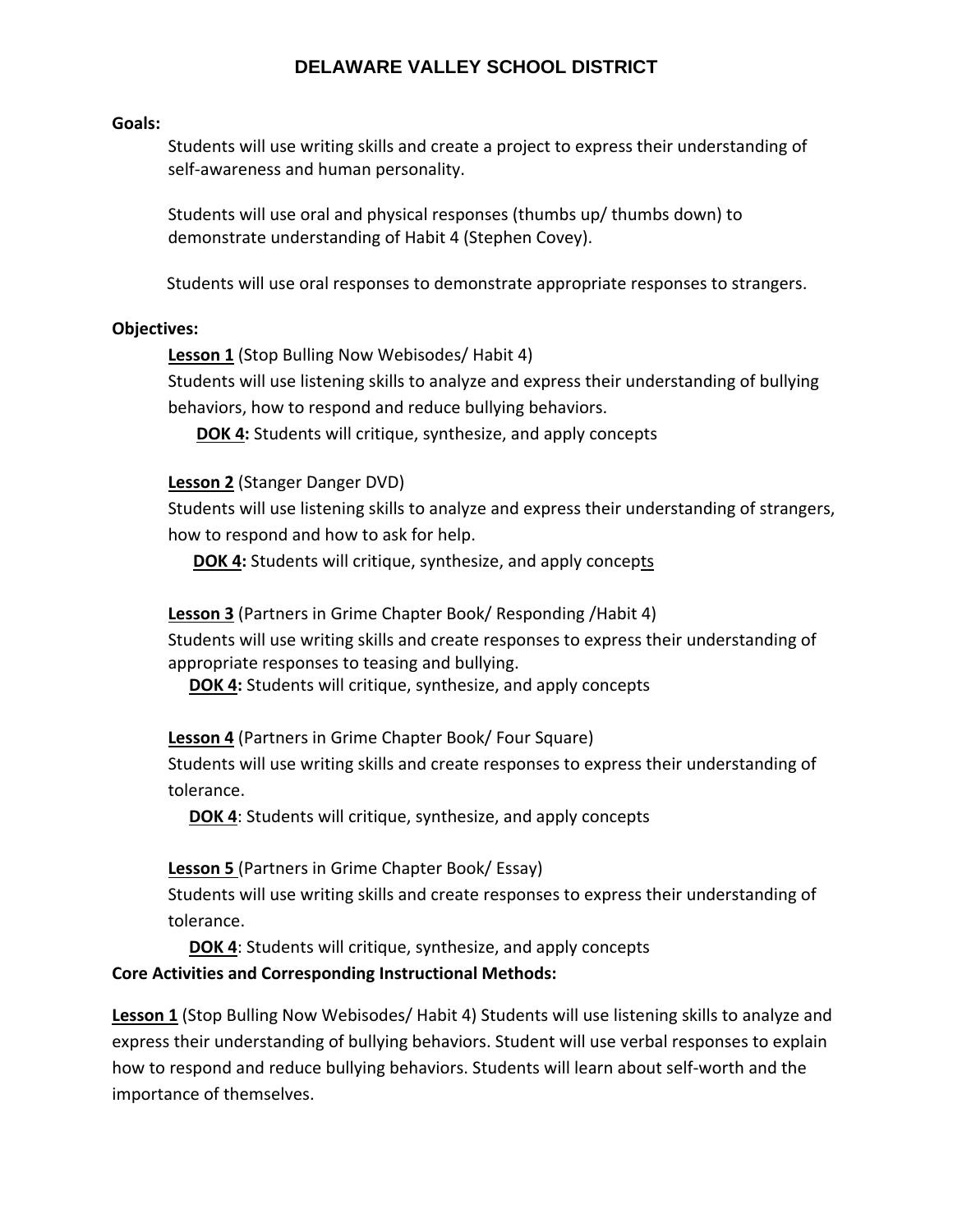#### **Goals:**

Students will use writing skills and create a project to express their understanding of self-awareness and human personality.

Students will use oral and physical responses (thumbs up/ thumbs down) to demonstrate understanding of Habit 4 (Stephen Covey).

Students will use oral responses to demonstrate appropriate responses to strangers.

#### **Objectives:**

**Lesson 1** (Stop Bulling Now Webisodes/ Habit 4)

Students will use listening skills to analyze and express their understanding of bullying behaviors, how to respond and reduce bullying behaviors.

**DOK 4:** Students will critique, synthesize, and apply concepts

#### **Lesson 2** (Stanger Danger DVD)

Students will use listening skills to analyze and express their understanding of strangers, how to respond and how to ask for help.

**DOK 4:** Students will critique, synthesize, and apply concepts

**Lesson 3** (Partners in Grime Chapter Book/ Responding /Habit 4)

Students will use writing skills and create responses to express their understanding of appropriate responses to teasing and bullying.

**DOK 4:** Students will critique, synthesize, and apply concepts

**Lesson 4** (Partners in Grime Chapter Book/ Four Square)

Students will use writing skills and create responses to express their understanding of tolerance.

**DOK 4**: Students will critique, synthesize, and apply concepts

**Lesson 5** (Partners in Grime Chapter Book/ Essay)

Students will use writing skills and create responses to express their understanding of tolerance.

**DOK 4**: Students will critique, synthesize, and apply concepts

## **Core Activities and Corresponding Instructional Methods:**

**Lesson 1** (Stop Bulling Now Webisodes/ Habit 4) Students will use listening skills to analyze and express their understanding of bullying behaviors. Student will use verbal responses to explain how to respond and reduce bullying behaviors. Students will learn about self‐worth and the importance of themselves.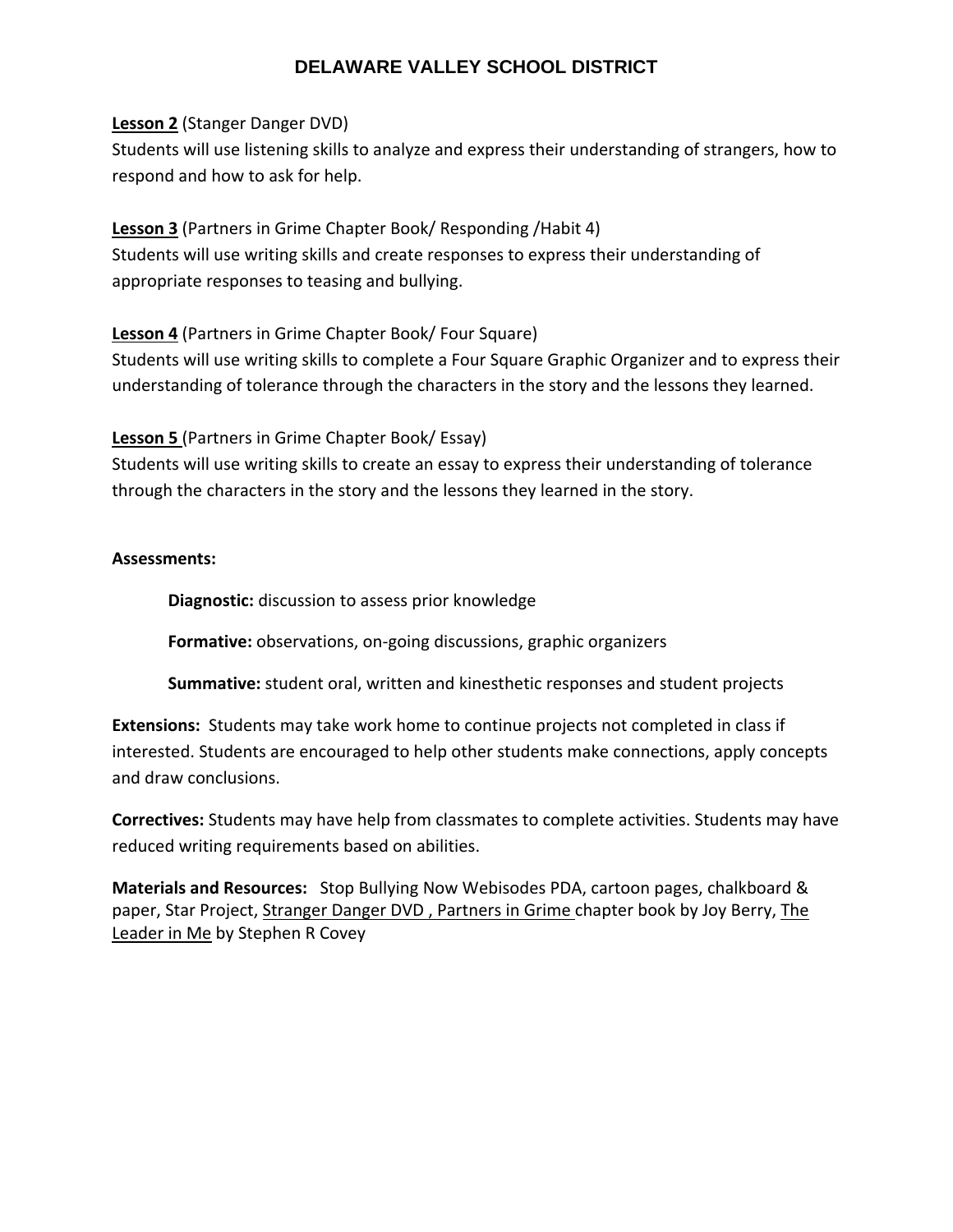## **Lesson 2** (Stanger Danger DVD)

Students will use listening skills to analyze and express their understanding of strangers, how to respond and how to ask for help.

**Lesson 3** (Partners in Grime Chapter Book/ Responding /Habit 4) Students will use writing skills and create responses to express their understanding of appropriate responses to teasing and bullying.

**Lesson 4** (Partners in Grime Chapter Book/ Four Square)

Students will use writing skills to complete a Four Square Graphic Organizer and to express their understanding of tolerance through the characters in the story and the lessons they learned.

**Lesson 5** (Partners in Grime Chapter Book/ Essay)

Students will use writing skills to create an essay to express their understanding of tolerance through the characters in the story and the lessons they learned in the story.

## **Assessments:**

**Diagnostic:** discussion to assess prior knowledge

**Formative:** observations, on‐going discussions, graphic organizers

**Summative:** student oral, written and kinesthetic responses and student projects

**Extensions:** Students may take work home to continue projects not completed in class if interested. Students are encouraged to help other students make connections, apply concepts and draw conclusions.

**Correctives:** Students may have help from classmates to complete activities. Students may have reduced writing requirements based on abilities.

**Materials and Resources:** Stop Bullying Now Webisodes PDA, cartoon pages, chalkboard & paper, Star Project, Stranger Danger DVD, Partners in Grime chapter book by Joy Berry, The Leader in Me by Stephen R Covey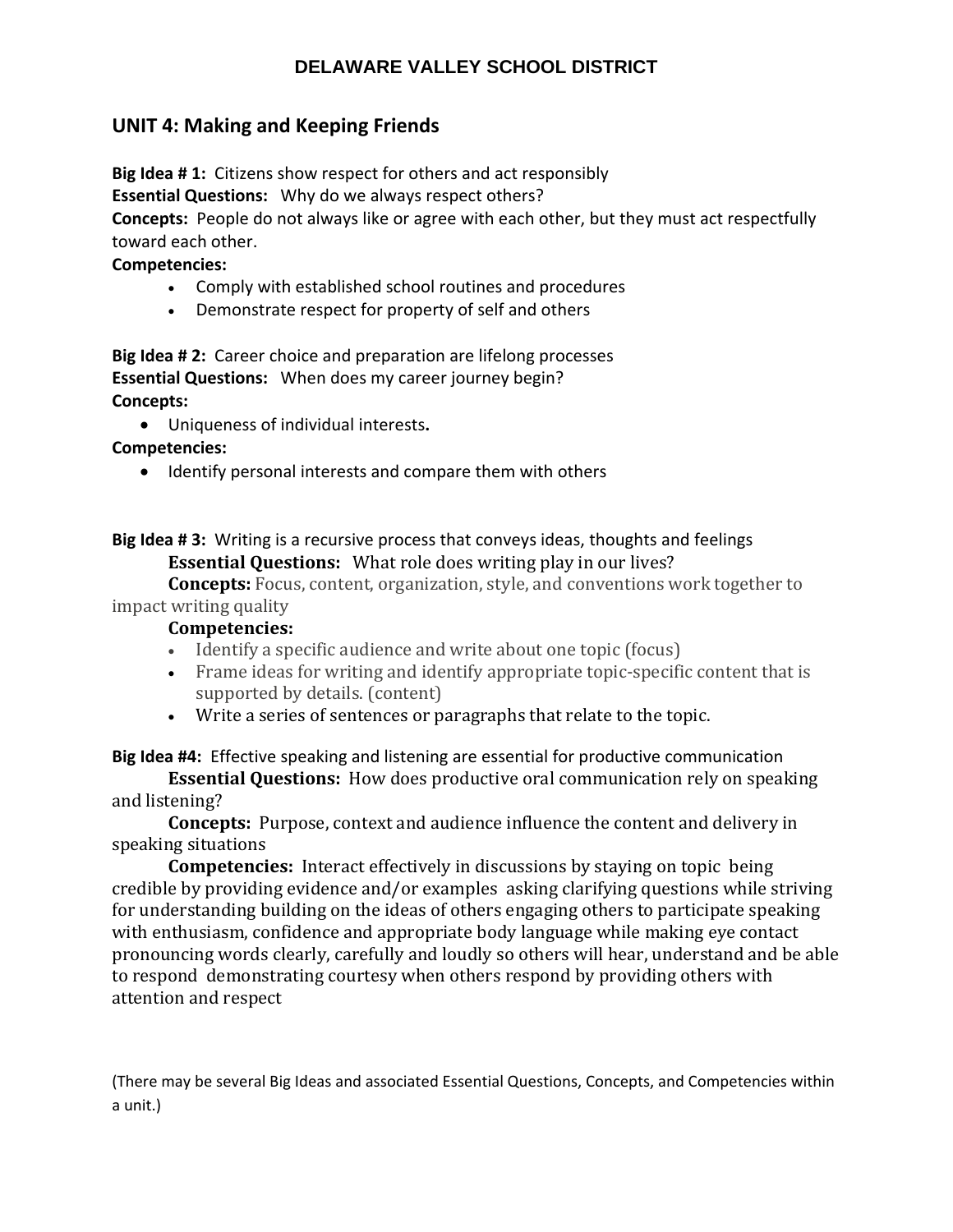# **UNIT 4: Making and Keeping Friends**

**Big Idea # 1:** Citizens show respect for others and act responsibly

**Essential Questions:** Why do we always respect others?

**Concepts:** People do not always like or agree with each other, but they must act respectfully toward each other.

## **Competencies:**

- Comply with established school routines and procedures
- Demonstrate respect for property of self and others

**Big Idea # 2:** Career choice and preparation are lifelong processes **Essential Questions:** When does my career journey begin? **Concepts:** 

Uniqueness of individual interests**.**

**Competencies:** 

• Identify personal interests and compare them with others

**Big Idea # 3:** Writing is a recursive process that conveys ideas, thoughts and feelings **Essential Questions:** What role does writing play in our lives?

**Concepts:** Focus, content, organization, style, and conventions work together to impact writing quality

## **Competencies:**

- Identify a specific audience and write about one topic (focus)
- Frame ideas for writing and identify appropriate topic-specific content that is supported by details. (content)
- Write a series of sentences or paragraphs that relate to the topic.

# **Big Idea #4:** Effective speaking and listening are essential for productive communication

**Essential Questions:** How does productive oral communication rely on speaking and listening?

**Concepts:** Purpose, context and audience influence the content and delivery in speaking situations

**Competencies:** Interact effectively in discussions by staying on topic being credible by providing evidence and/or examples asking clarifying questions while striving for understanding building on the ideas of others engaging others to participate speaking with enthusiasm, confidence and appropriate body language while making eye contact pronouncing words clearly, carefully and loudly so others will hear, understand and be able to respond demonstrating courtesy when others respond by providing others with attention and respect

(There may be several Big Ideas and associated Essential Questions, Concepts, and Competencies within a unit.)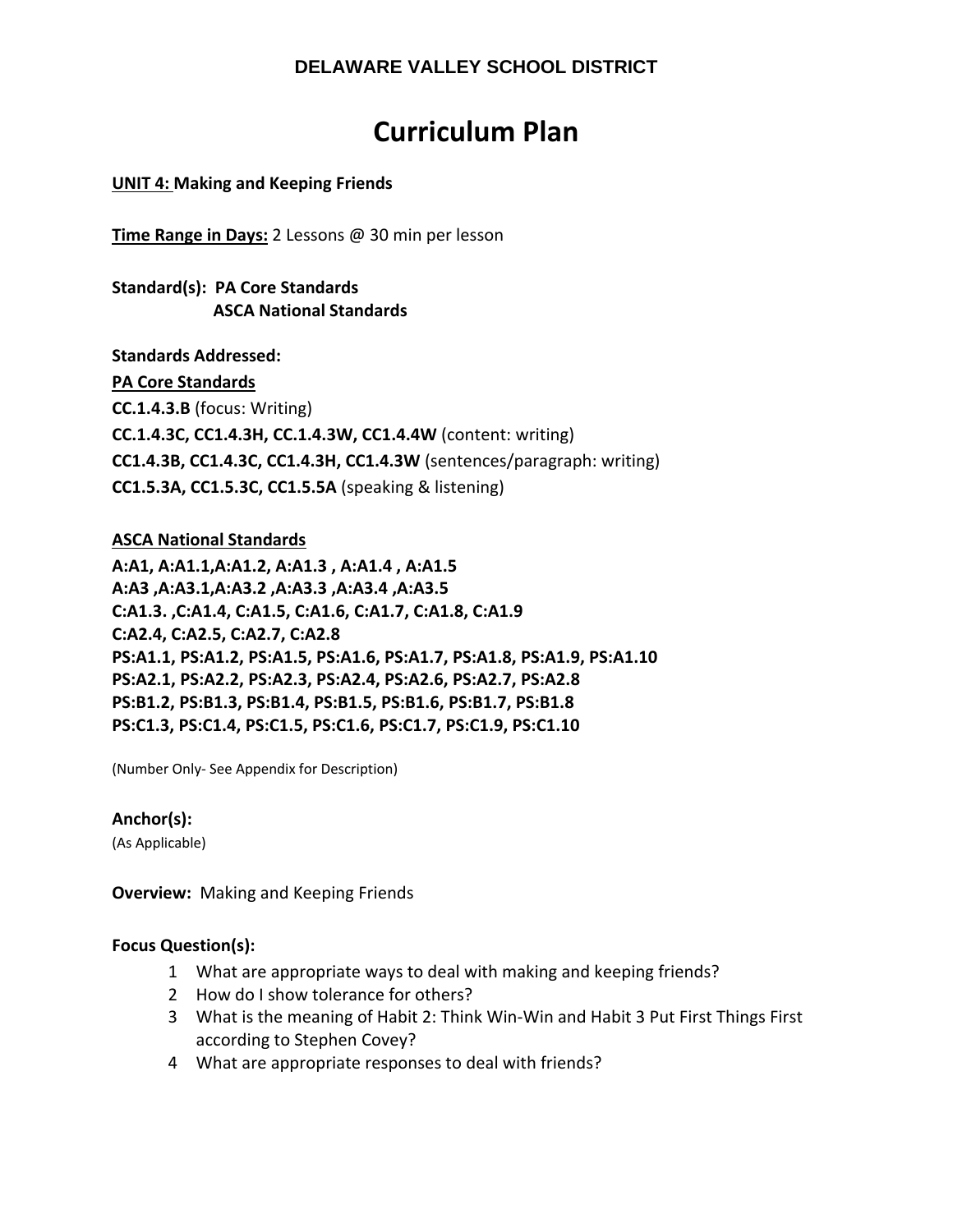# **Curriculum Plan**

## **UNIT 4: Making and Keeping Friends**

**Time Range in Days:** 2 Lessons @ 30 min per lesson

## **Standard(s): PA Core Standards ASCA National Standards**

**Standards Addressed: PA Core Standards CC.1.4.3.B** (focus: Writing) **CC.1.4.3C, CC1.4.3H, CC.1.4.3W, CC1.4.4W** (content: writing) **CC1.4.3B, CC1.4.3C, CC1.4.3H, CC1.4.3W** (sentences/paragraph: writing) **CC1.5.3A, CC1.5.3C, CC1.5.5A** (speaking & listening)

## **ASCA National Standards**

**A:A1, A:A1.1,A:A1.2, A:A1.3 , A:A1.4 , A:A1.5 A:A3 ,A:A3.1,A:A3.2 ,A:A3.3 ,A:A3.4 ,A:A3.5 C:A1.3. ,C:A1.4, C:A1.5, C:A1.6, C:A1.7, C:A1.8, C:A1.9 C:A2.4, C:A2.5, C:A2.7, C:A2.8 PS:A1.1, PS:A1.2, PS:A1.5, PS:A1.6, PS:A1.7, PS:A1.8, PS:A1.9, PS:A1.10 PS:A2.1, PS:A2.2, PS:A2.3, PS:A2.4, PS:A2.6, PS:A2.7, PS:A2.8 PS:B1.2, PS:B1.3, PS:B1.4, PS:B1.5, PS:B1.6, PS:B1.7, PS:B1.8 PS:C1.3, PS:C1.4, PS:C1.5, PS:C1.6, PS:C1.7, PS:C1.9, PS:C1.10** 

(Number Only‐ See Appendix for Description)

## **Anchor(s):**

(As Applicable)

**Overview:** Making and Keeping Friends

#### **Focus Question(s):**

- 1 What are appropriate ways to deal with making and keeping friends?
- 2 How do I show tolerance for others?
- 3 What is the meaning of Habit 2: Think Win‐Win and Habit 3 Put First Things First according to Stephen Covey?
- 4 What are appropriate responses to deal with friends?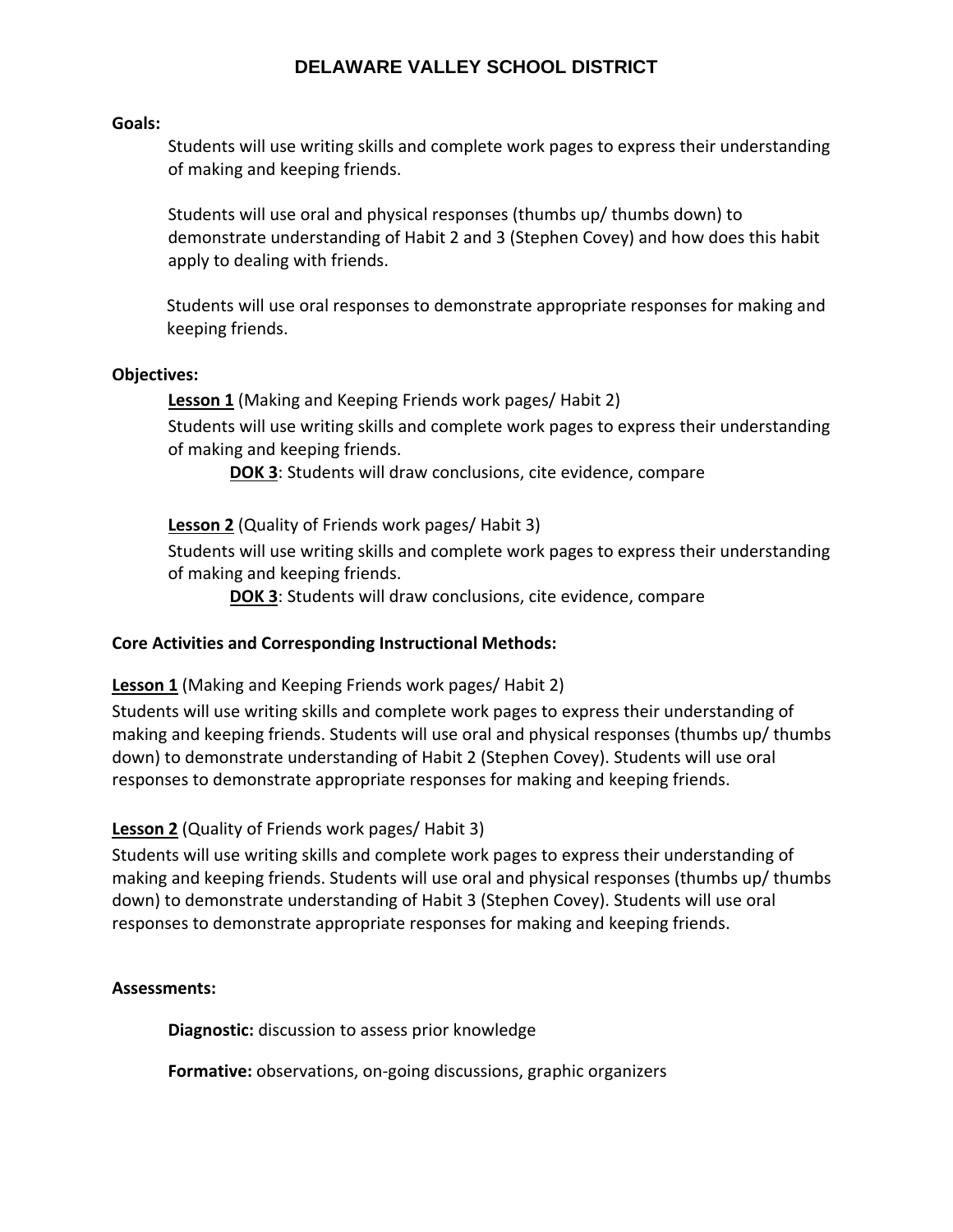#### **Goals:**

Students will use writing skills and complete work pages to express their understanding of making and keeping friends.

Students will use oral and physical responses (thumbs up/ thumbs down) to demonstrate understanding of Habit 2 and 3 (Stephen Covey) and how does this habit apply to dealing with friends.

Students will use oral responses to demonstrate appropriate responses for making and keeping friends.

## **Objectives:**

**Lesson 1** (Making and Keeping Friends work pages/ Habit 2)

Students will use writing skills and complete work pages to express their understanding of making and keeping friends.

**DOK 3**: Students will draw conclusions, cite evidence, compare

**Lesson 2** (Quality of Friends work pages/ Habit 3)

Students will use writing skills and complete work pages to express their understanding of making and keeping friends.

**DOK 3**: Students will draw conclusions, cite evidence, compare

## **Core Activities and Corresponding Instructional Methods:**

**Lesson 1** (Making and Keeping Friends work pages/ Habit 2)

Students will use writing skills and complete work pages to express their understanding of making and keeping friends. Students will use oral and physical responses (thumbs up/ thumbs down) to demonstrate understanding of Habit 2 (Stephen Covey). Students will use oral responses to demonstrate appropriate responses for making and keeping friends.

## **Lesson 2** (Quality of Friends work pages/ Habit 3)

Students will use writing skills and complete work pages to express their understanding of making and keeping friends. Students will use oral and physical responses (thumbs up/ thumbs down) to demonstrate understanding of Habit 3 (Stephen Covey). Students will use oral responses to demonstrate appropriate responses for making and keeping friends.

## **Assessments:**

**Diagnostic:** discussion to assess prior knowledge

**Formative:** observations, on‐going discussions, graphic organizers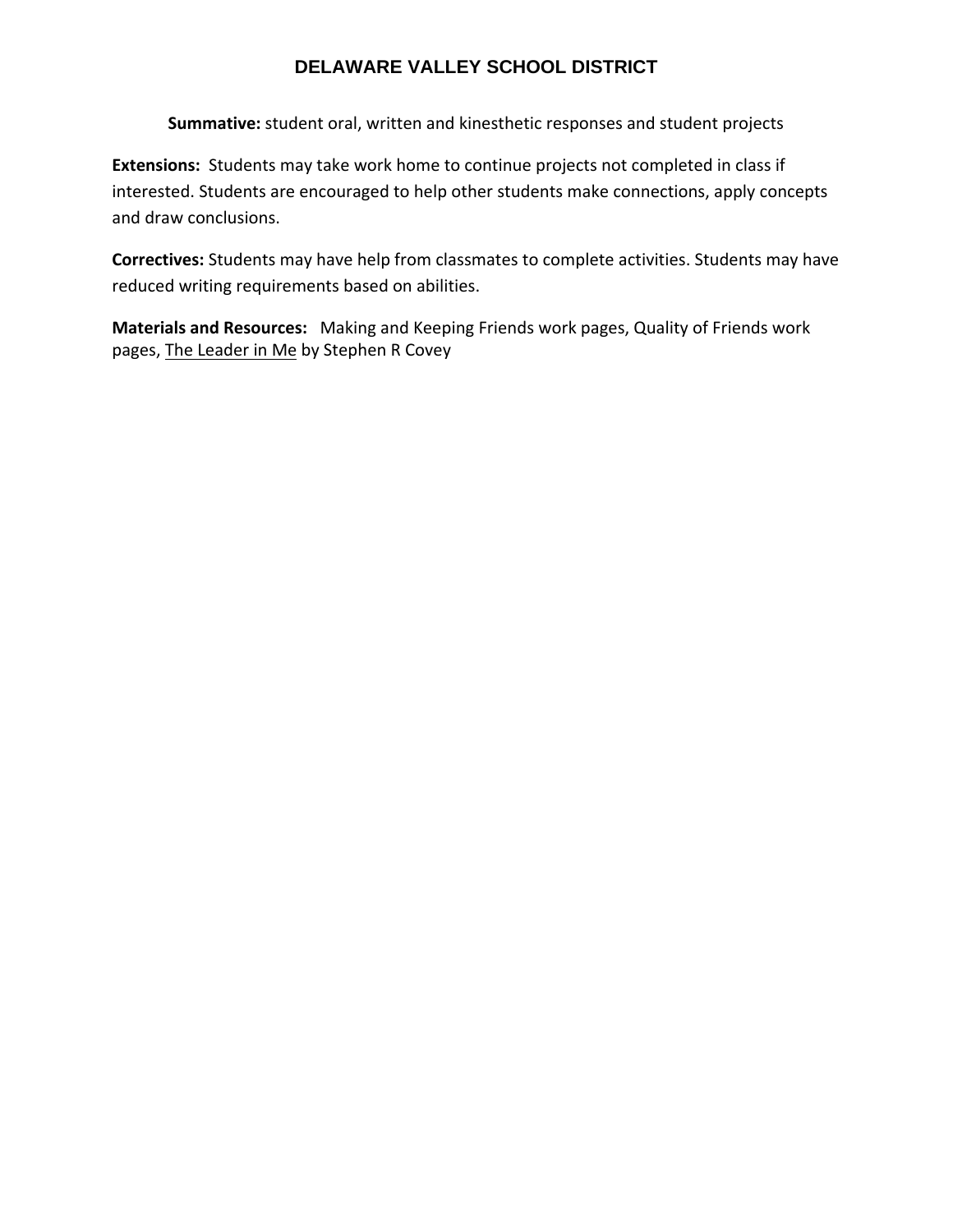**Summative:** student oral, written and kinesthetic responses and student projects

**Extensions:** Students may take work home to continue projects not completed in class if interested. Students are encouraged to help other students make connections, apply concepts and draw conclusions.

**Correctives:** Students may have help from classmates to complete activities. Students may have reduced writing requirements based on abilities.

**Materials and Resources:** Making and Keeping Friends work pages, Quality of Friends work pages, The Leader in Me by Stephen R Covey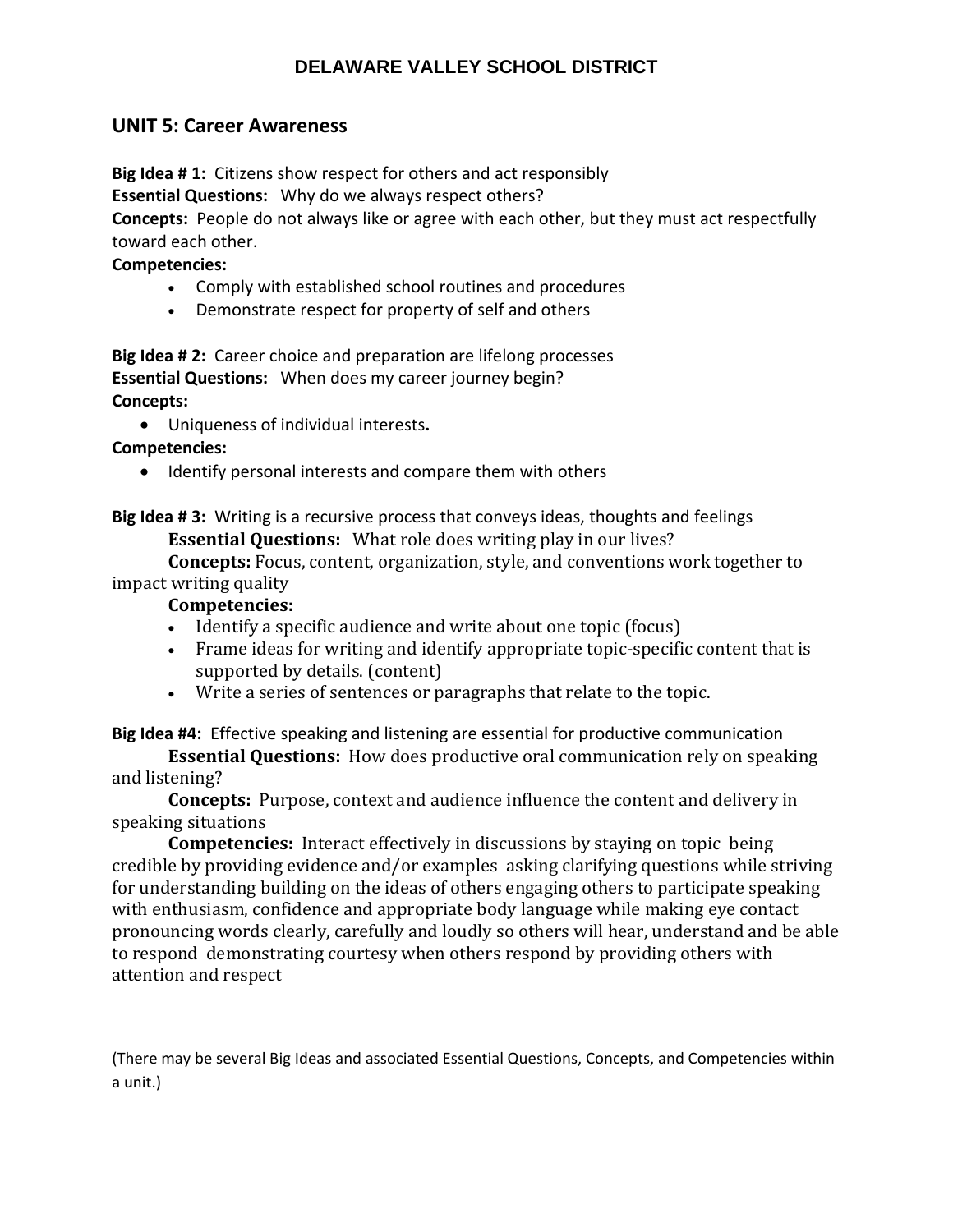## **UNIT 5: Career Awareness**

**Big Idea # 1:** Citizens show respect for others and act responsibly

**Essential Questions:** Why do we always respect others?

**Concepts:** People do not always like or agree with each other, but they must act respectfully toward each other.

## **Competencies:**

- Comply with established school routines and procedures
- Demonstrate respect for property of self and others

**Big Idea # 2:** Career choice and preparation are lifelong processes **Essential Questions:** When does my career journey begin? **Concepts:** 

Uniqueness of individual interests**.**

## **Competencies:**

• Identify personal interests and compare them with others

**Big Idea # 3:** Writing is a recursive process that conveys ideas, thoughts and feelings **Essential Questions:** What role does writing play in our lives?

**Concepts:** Focus, content, organization, style, and conventions work together to impact writing quality

## **Competencies:**

- Identify a specific audience and write about one topic (focus)
- Frame ideas for writing and identify appropriate topic-specific content that is supported by details. (content)
- Write a series of sentences or paragraphs that relate to the topic.

**Big Idea #4:** Effective speaking and listening are essential for productive communication

**Essential Questions:** How does productive oral communication rely on speaking and listening?

**Concepts:** Purpose, context and audience influence the content and delivery in speaking situations

**Competencies:** Interact effectively in discussions by staying on topic being credible by providing evidence and/or examples asking clarifying questions while striving for understanding building on the ideas of others engaging others to participate speaking with enthusiasm, confidence and appropriate body language while making eye contact pronouncing words clearly, carefully and loudly so others will hear, understand and be able to respond demonstrating courtesy when others respond by providing others with attention and respect

(There may be several Big Ideas and associated Essential Questions, Concepts, and Competencies within a unit.)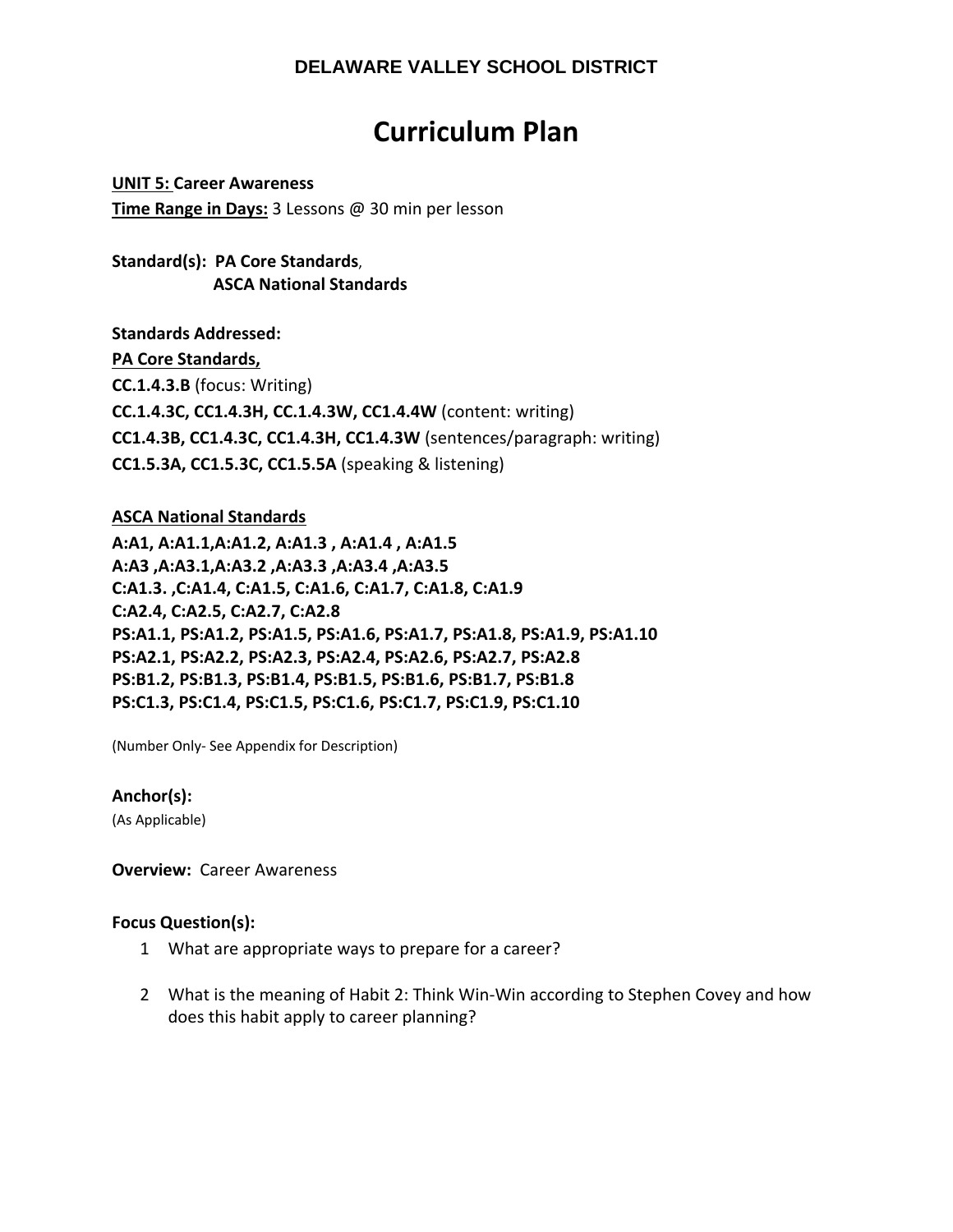# **Curriculum Plan**

**UNIT 5: Career Awareness Time Range in Days:** 3 Lessons @ 30 min per lesson

**Standard(s): PA Core Standards**,  **ASCA National Standards**

**Standards Addressed: PA Core Standards, CC.1.4.3.B** (focus: Writing) **CC.1.4.3C, CC1.4.3H, CC.1.4.3W, CC1.4.4W** (content: writing) **CC1.4.3B, CC1.4.3C, CC1.4.3H, CC1.4.3W** (sentences/paragraph: writing) **CC1.5.3A, CC1.5.3C, CC1.5.5A** (speaking & listening)

## **ASCA National Standards**

**A:A1, A:A1.1,A:A1.2, A:A1.3 , A:A1.4 , A:A1.5 A:A3 ,A:A3.1,A:A3.2 ,A:A3.3 ,A:A3.4 ,A:A3.5 C:A1.3. ,C:A1.4, C:A1.5, C:A1.6, C:A1.7, C:A1.8, C:A1.9 C:A2.4, C:A2.5, C:A2.7, C:A2.8 PS:A1.1, PS:A1.2, PS:A1.5, PS:A1.6, PS:A1.7, PS:A1.8, PS:A1.9, PS:A1.10 PS:A2.1, PS:A2.2, PS:A2.3, PS:A2.4, PS:A2.6, PS:A2.7, PS:A2.8 PS:B1.2, PS:B1.3, PS:B1.4, PS:B1.5, PS:B1.6, PS:B1.7, PS:B1.8 PS:C1.3, PS:C1.4, PS:C1.5, PS:C1.6, PS:C1.7, PS:C1.9, PS:C1.10** 

(Number Only‐ See Appendix for Description)

## **Anchor(s):**

(As Applicable)

**Overview: Career Awareness** 

#### **Focus Question(s):**

- 1 What are appropriate ways to prepare for a career?
- 2 What is the meaning of Habit 2: Think Win‐Win according to Stephen Covey and how does this habit apply to career planning?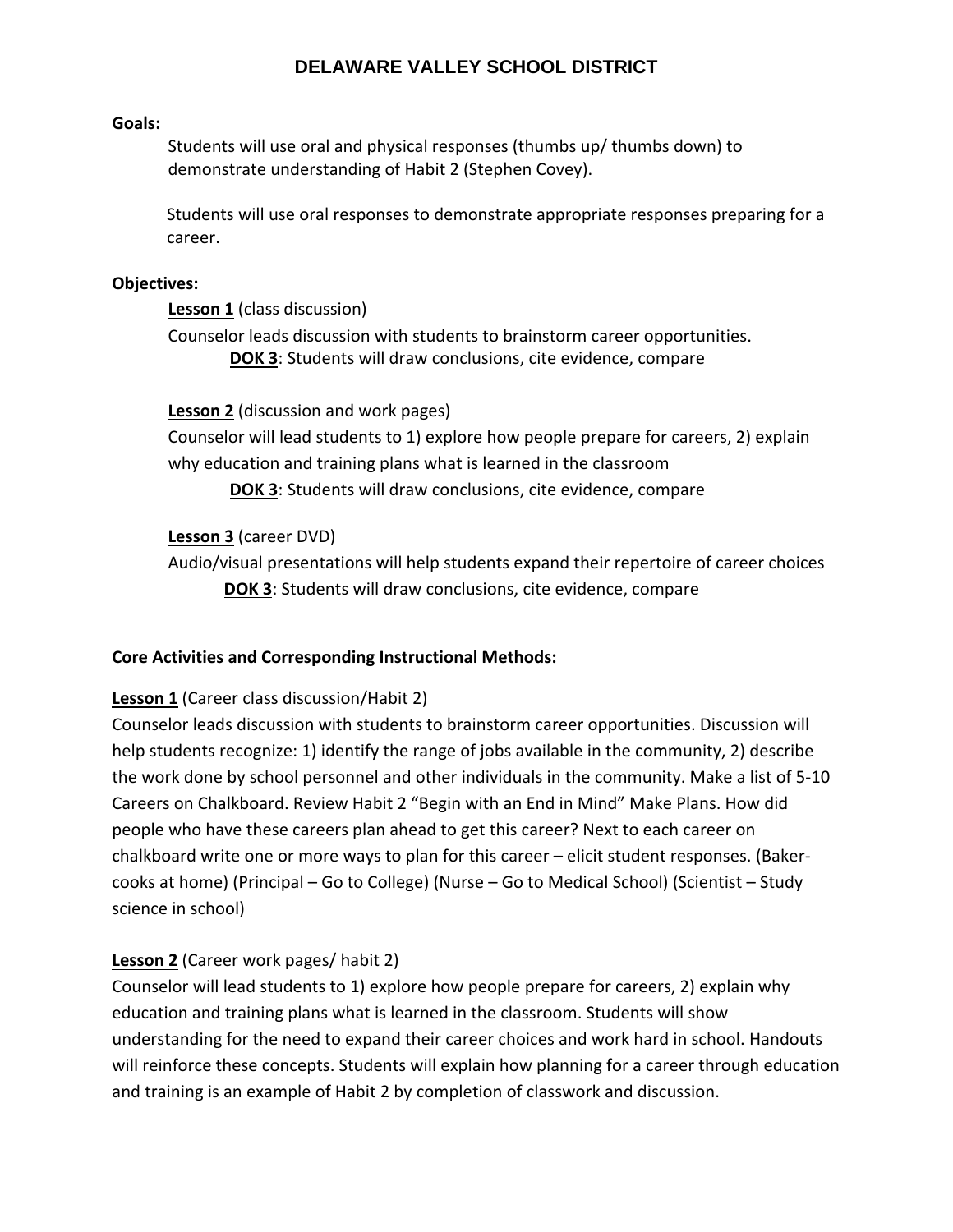#### **Goals:**

Students will use oral and physical responses (thumbs up/ thumbs down) to demonstrate understanding of Habit 2 (Stephen Covey).

Students will use oral responses to demonstrate appropriate responses preparing for a career.

#### **Objectives:**

**Lesson 1** (class discussion)

Counselor leads discussion with students to brainstorm career opportunities. **DOK 3**: Students will draw conclusions, cite evidence, compare

**Lesson 2** (discussion and work pages)

Counselor will lead students to 1) explore how people prepare for careers, 2) explain why education and training plans what is learned in the classroom

**DOK 3**: Students will draw conclusions, cite evidence, compare

## **Lesson 3** (career DVD)

Audio/visual presentations will help students expand their repertoire of career choices **DOK 3**: Students will draw conclusions, cite evidence, compare

## **Core Activities and Corresponding Instructional Methods:**

## **Lesson 1** (Career class discussion/Habit 2)

Counselor leads discussion with students to brainstorm career opportunities. Discussion will help students recognize: 1) identify the range of jobs available in the community, 2) describe the work done by school personnel and other individuals in the community. Make a list of 5‐10 Careers on Chalkboard. Review Habit 2 "Begin with an End in Mind" Make Plans. How did people who have these careers plan ahead to get this career? Next to each career on chalkboard write one or more ways to plan for this career – elicit student responses. (Baker‐ cooks at home) (Principal – Go to College) (Nurse – Go to Medical School) (Scientist – Study science in school)

## **Lesson 2** (Career work pages/ habit 2)

Counselor will lead students to 1) explore how people prepare for careers, 2) explain why education and training plans what is learned in the classroom. Students will show understanding for the need to expand their career choices and work hard in school. Handouts will reinforce these concepts. Students will explain how planning for a career through education and training is an example of Habit 2 by completion of classwork and discussion.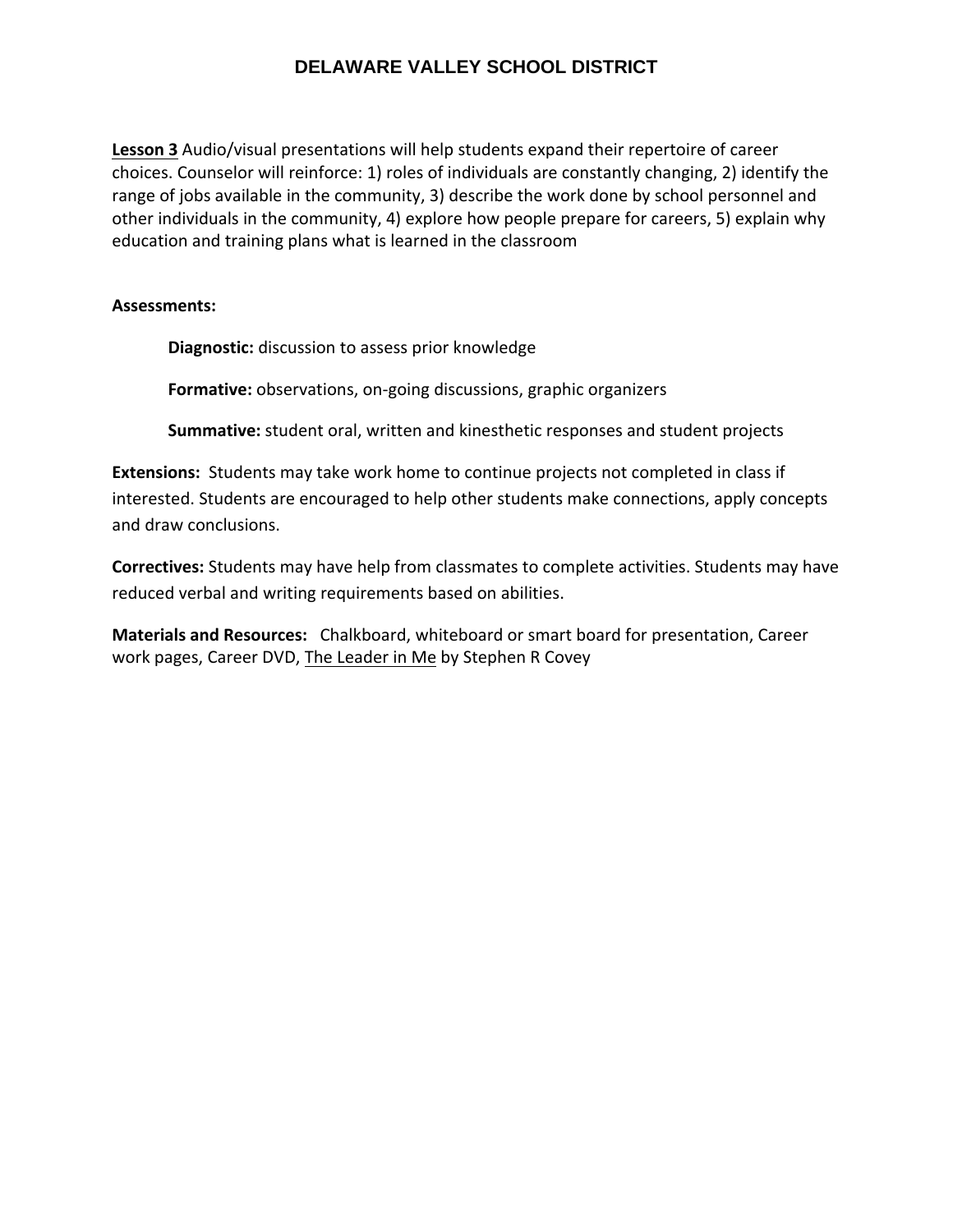**Lesson 3** Audio/visual presentations will help students expand their repertoire of career choices. Counselor will reinforce: 1) roles of individuals are constantly changing, 2) identify the range of jobs available in the community, 3) describe the work done by school personnel and other individuals in the community, 4) explore how people prepare for careers, 5) explain why education and training plans what is learned in the classroom

#### **Assessments:**

**Diagnostic:** discussion to assess prior knowledge

**Formative:** observations, on‐going discussions, graphic organizers

**Summative:** student oral, written and kinesthetic responses and student projects

**Extensions:** Students may take work home to continue projects not completed in class if interested. Students are encouraged to help other students make connections, apply concepts and draw conclusions.

**Correctives:** Students may have help from classmates to complete activities. Students may have reduced verbal and writing requirements based on abilities.

**Materials and Resources:** Chalkboard, whiteboard or smart board for presentation, Career work pages, Career DVD, The Leader in Me by Stephen R Covey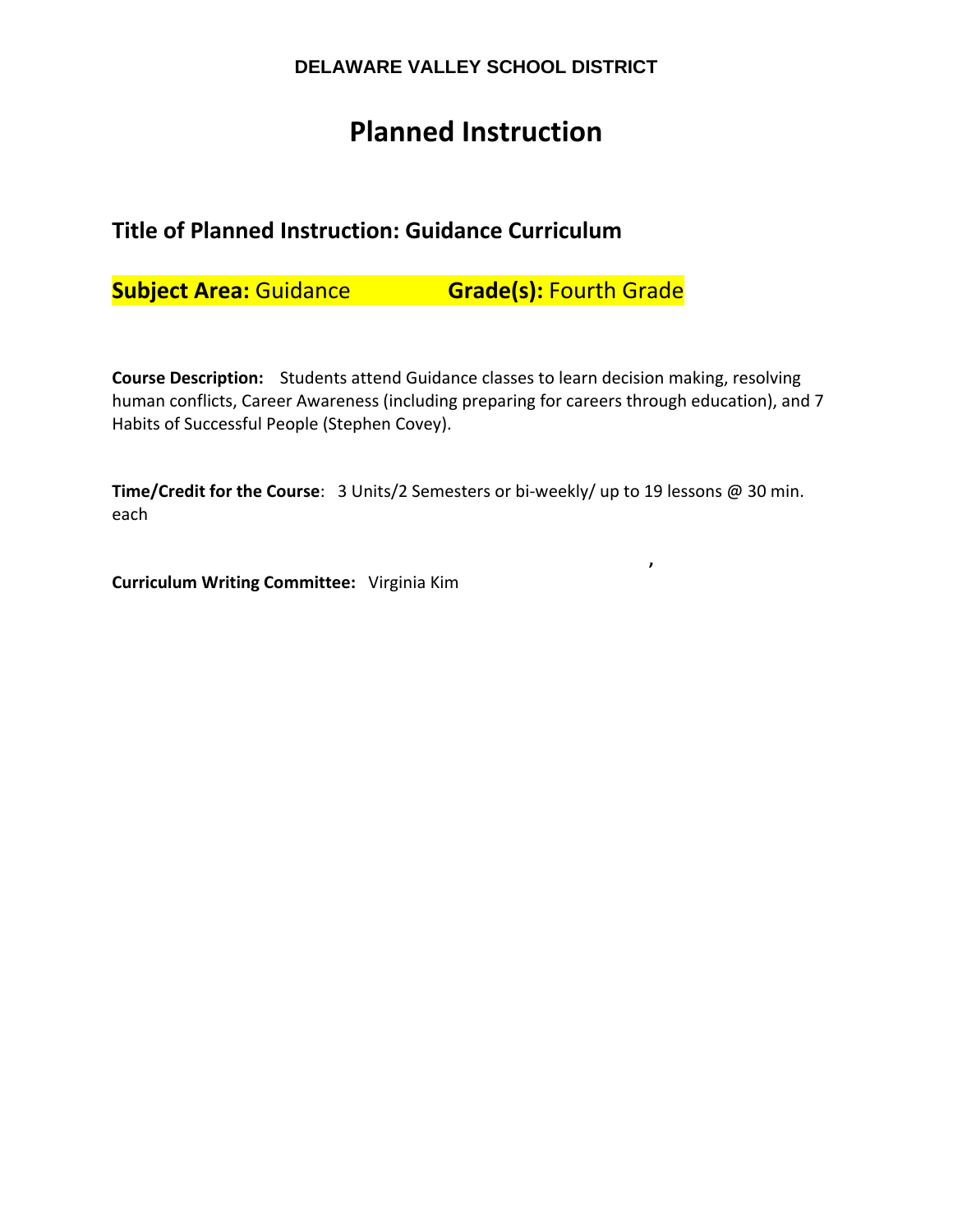# **Planned Instruction**

# **Title of Planned Instruction: Guidance Curriculum**

**Subject Area:** Guidance **Grade(s):** Fourth Grade

**,**

**Course Description:**  Students attend Guidance classes to learn decision making, resolving human conflicts, Career Awareness (including preparing for careers through education), and 7 Habits of Successful People (Stephen Covey).

**Time/Credit for the Course**: 3 Units/2 Semesters or bi‐weekly/ up to 19 lessons @ 30 min. each

**Curriculum Writing Committee:** Virginia Kim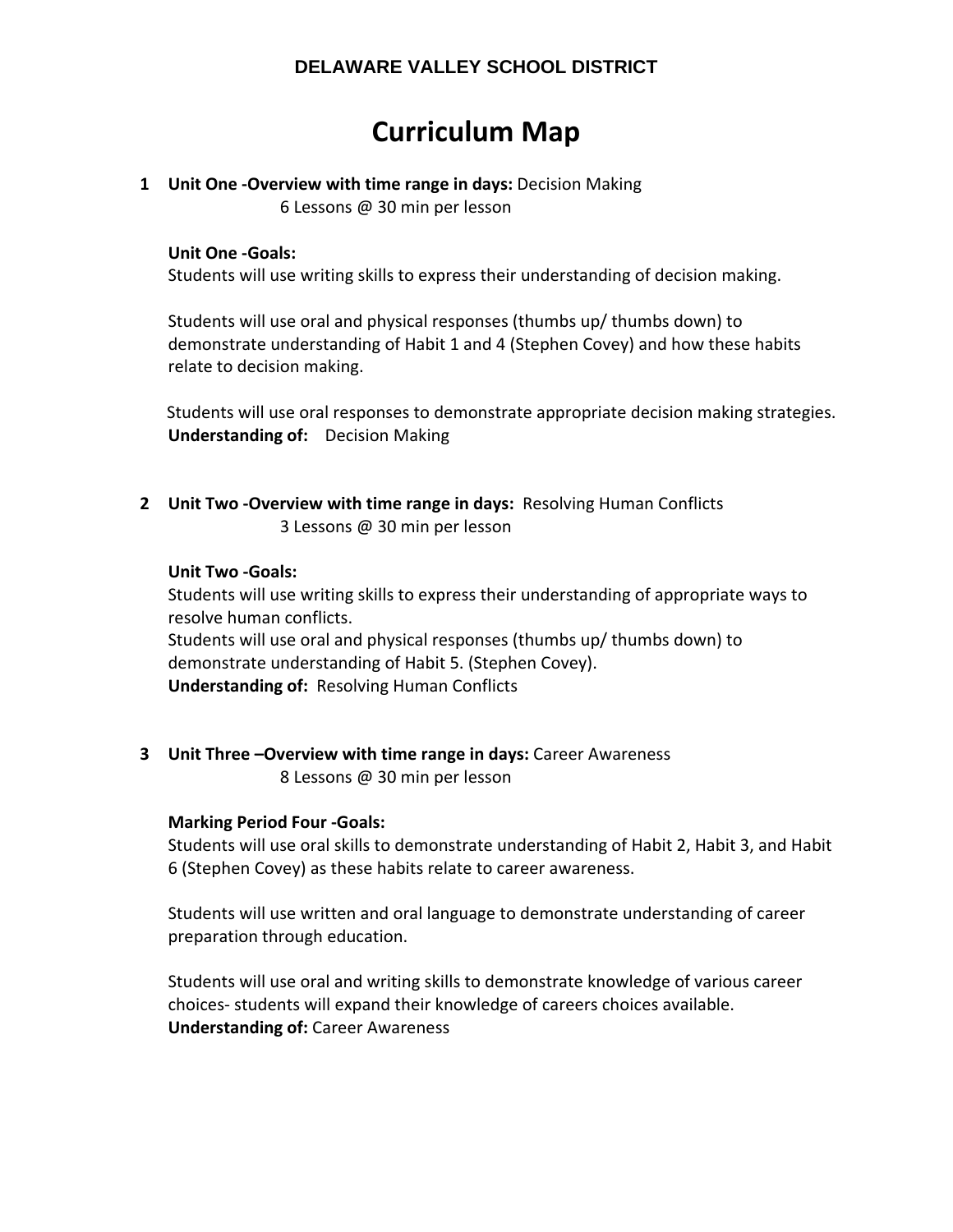# **Curriculum Map**

# **1 Unit One ‐Overview with time range in days:** Decision Making

6 Lessons @ 30 min per lesson

## **Unit One ‐Goals:**

Students will use writing skills to express their understanding of decision making.

Students will use oral and physical responses (thumbs up/ thumbs down) to demonstrate understanding of Habit 1 and 4 (Stephen Covey) and how these habits relate to decision making.

 Students will use oral responses to demonstrate appropriate decision making strategies. **Understanding of:** Decision Making

**2 Unit Two ‐Overview with time range in days:** Resolving Human Conflicts 3 Lessons @ 30 min per lesson

## **Unit Two ‐Goals:**

Students will use writing skills to express their understanding of appropriate ways to resolve human conflicts. Students will use oral and physical responses (thumbs up/ thumbs down) to

demonstrate understanding of Habit 5. (Stephen Covey).

**Understanding of: Resolving Human Conflicts** 

**3 Unit Three –Overview with time range in days:** Career Awareness 8 Lessons @ 30 min per lesson

## **Marking Period Four ‐Goals:**

Students will use oral skills to demonstrate understanding of Habit 2, Habit 3, and Habit 6 (Stephen Covey) as these habits relate to career awareness.

Students will use written and oral language to demonstrate understanding of career preparation through education.

Students will use oral and writing skills to demonstrate knowledge of various career choices‐ students will expand their knowledge of careers choices available. **Understanding of:** Career Awareness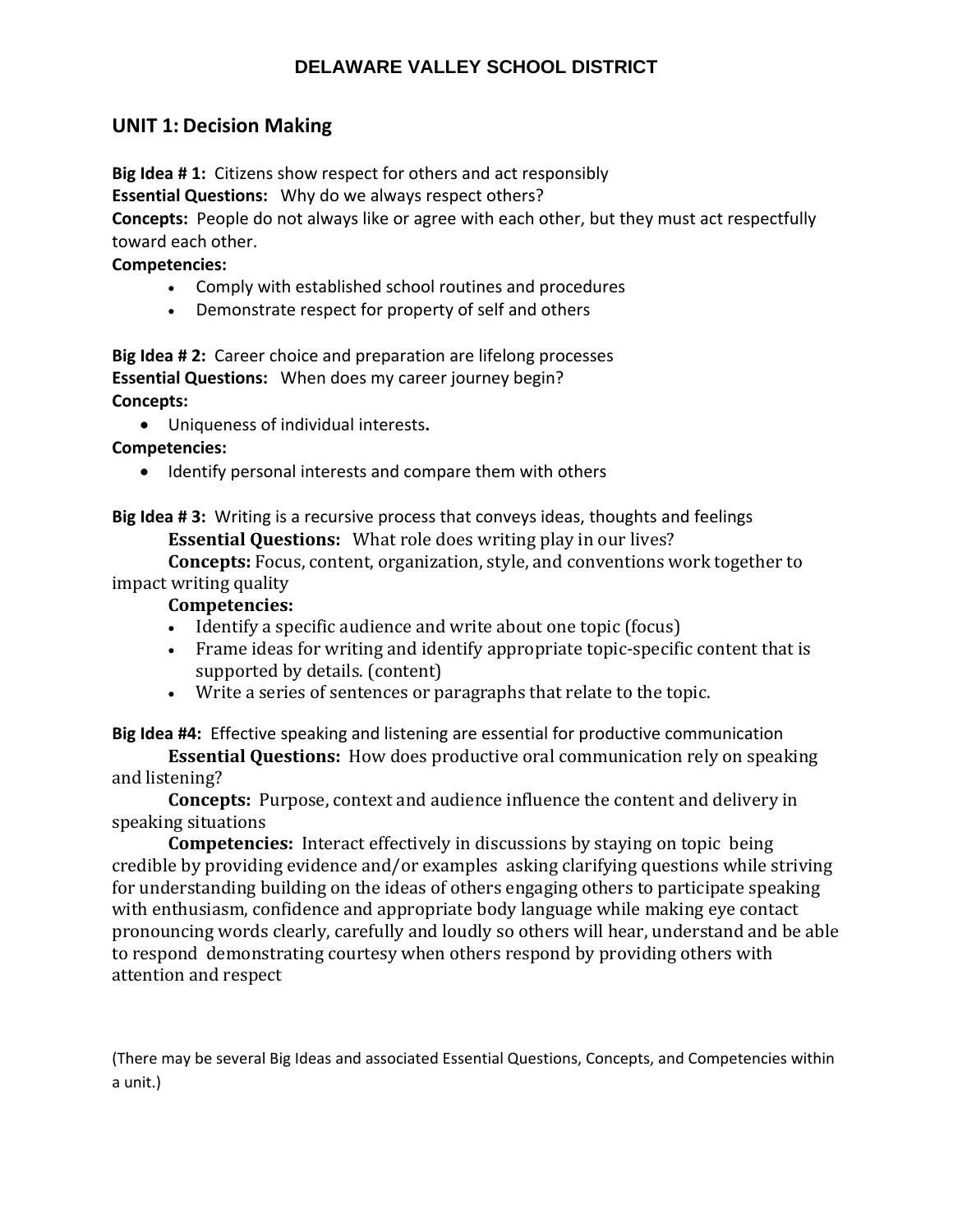## **UNIT 1: Decision Making**

**Big Idea # 1:** Citizens show respect for others and act responsibly **Essential Questions:** Why do we always respect others?

**Concepts:** People do not always like or agree with each other, but they must act respectfully toward each other.

#### **Competencies:**

- Comply with established school routines and procedures
- Demonstrate respect for property of self and others

**Big Idea # 2:** Career choice and preparation are lifelong processes **Essential Questions:** When does my career journey begin? **Concepts:** 

Uniqueness of individual interests**.**

## **Competencies:**

• Identify personal interests and compare them with others

**Big Idea # 3:** Writing is a recursive process that conveys ideas, thoughts and feelings **Essential Questions:** What role does writing play in our lives?

**Concepts:** Focus, content, organization, style, and conventions work together to impact writing quality

## **Competencies:**

- Identify a specific audience and write about one topic (focus)
- Frame ideas for writing and identify appropriate topic-specific content that is supported by details. (content)
- Write a series of sentences or paragraphs that relate to the topic.

**Big Idea #4:** Effective speaking and listening are essential for productive communication

**Essential Questions:** How does productive oral communication rely on speaking and listening?

**Concepts:** Purpose, context and audience influence the content and delivery in speaking situations

**Competencies:** Interact effectively in discussions by staying on topic being credible by providing evidence and/or examples asking clarifying questions while striving for understanding building on the ideas of others engaging others to participate speaking with enthusiasm, confidence and appropriate body language while making eye contact pronouncing words clearly, carefully and loudly so others will hear, understand and be able to respond demonstrating courtesy when others respond by providing others with attention and respect

(There may be several Big Ideas and associated Essential Questions, Concepts, and Competencies within a unit.)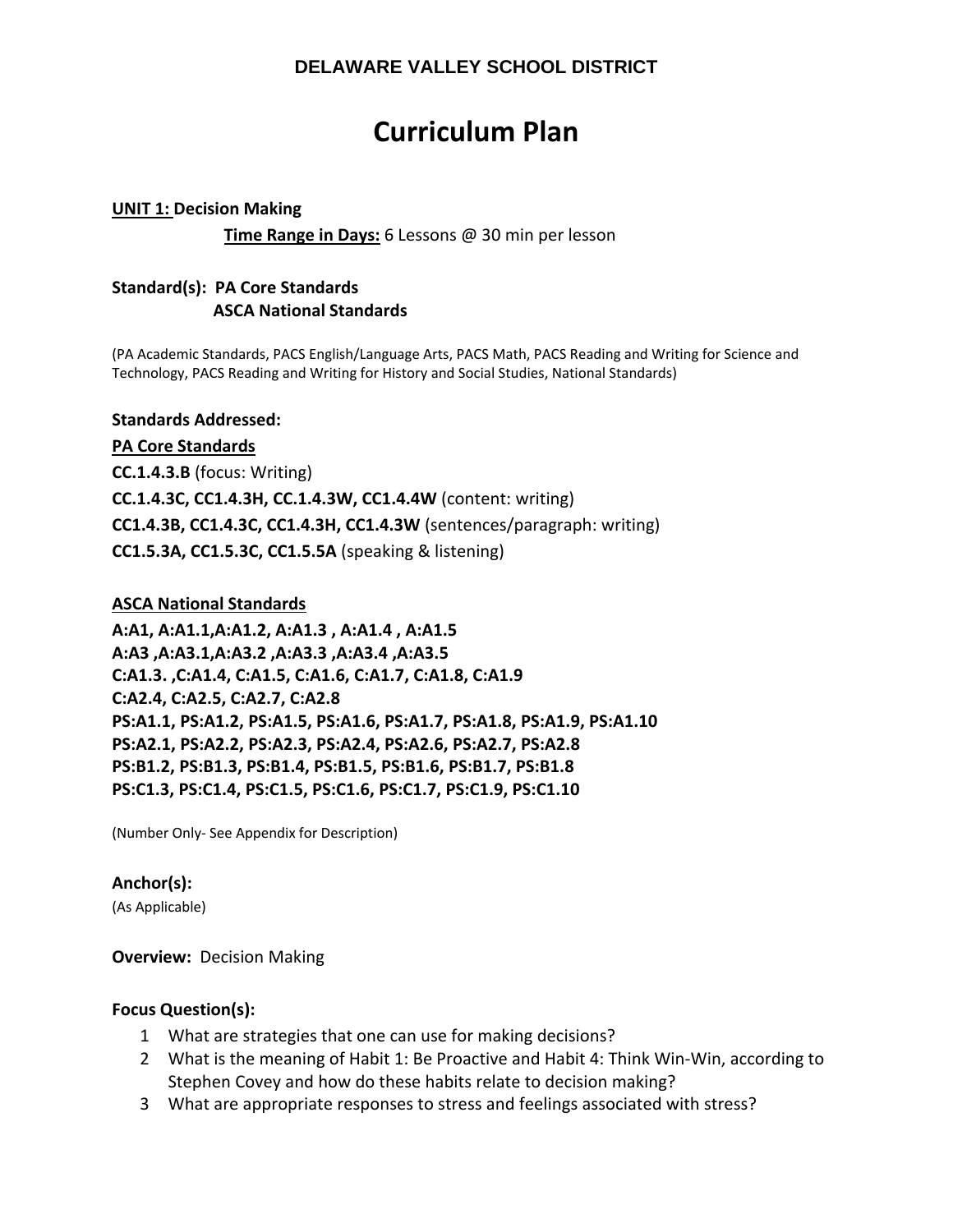# **Curriculum Plan**

#### **UNIT 1: Decision Making**

 **Time Range in Days:** 6 Lessons @ 30 min per lesson

## **Standard(s): PA Core Standards ASCA National Standards**

(PA Academic Standards, PACS English/Language Arts, PACS Math, PACS Reading and Writing for Science and Technology, PACS Reading and Writing for History and Social Studies, National Standards)

#### **Standards Addressed:**

#### **PA Core Standards**

**CC.1.4.3.B** (focus: Writing) **CC.1.4.3C, CC1.4.3H, CC.1.4.3W, CC1.4.4W** (content: writing) **CC1.4.3B, CC1.4.3C, CC1.4.3H, CC1.4.3W** (sentences/paragraph: writing) **CC1.5.3A, CC1.5.3C, CC1.5.5A** (speaking & listening)

#### **ASCA National Standards**

**A:A1, A:A1.1,A:A1.2, A:A1.3 , A:A1.4 , A:A1.5 A:A3 ,A:A3.1,A:A3.2 ,A:A3.3 ,A:A3.4 ,A:A3.5 C:A1.3. ,C:A1.4, C:A1.5, C:A1.6, C:A1.7, C:A1.8, C:A1.9 C:A2.4, C:A2.5, C:A2.7, C:A2.8 PS:A1.1, PS:A1.2, PS:A1.5, PS:A1.6, PS:A1.7, PS:A1.8, PS:A1.9, PS:A1.10 PS:A2.1, PS:A2.2, PS:A2.3, PS:A2.4, PS:A2.6, PS:A2.7, PS:A2.8 PS:B1.2, PS:B1.3, PS:B1.4, PS:B1.5, PS:B1.6, PS:B1.7, PS:B1.8 PS:C1.3, PS:C1.4, PS:C1.5, PS:C1.6, PS:C1.7, PS:C1.9, PS:C1.10** 

(Number Only‐ See Appendix for Description)

## **Anchor(s):**

(As Applicable)

#### **Overview: Decision Making**

## **Focus Question(s):**

- 1 What are strategies that one can use for making decisions?
- 2 What is the meaning of Habit 1: Be Proactive and Habit 4: Think Win-Win, according to Stephen Covey and how do these habits relate to decision making?
- 3 What are appropriate responses to stress and feelings associated with stress?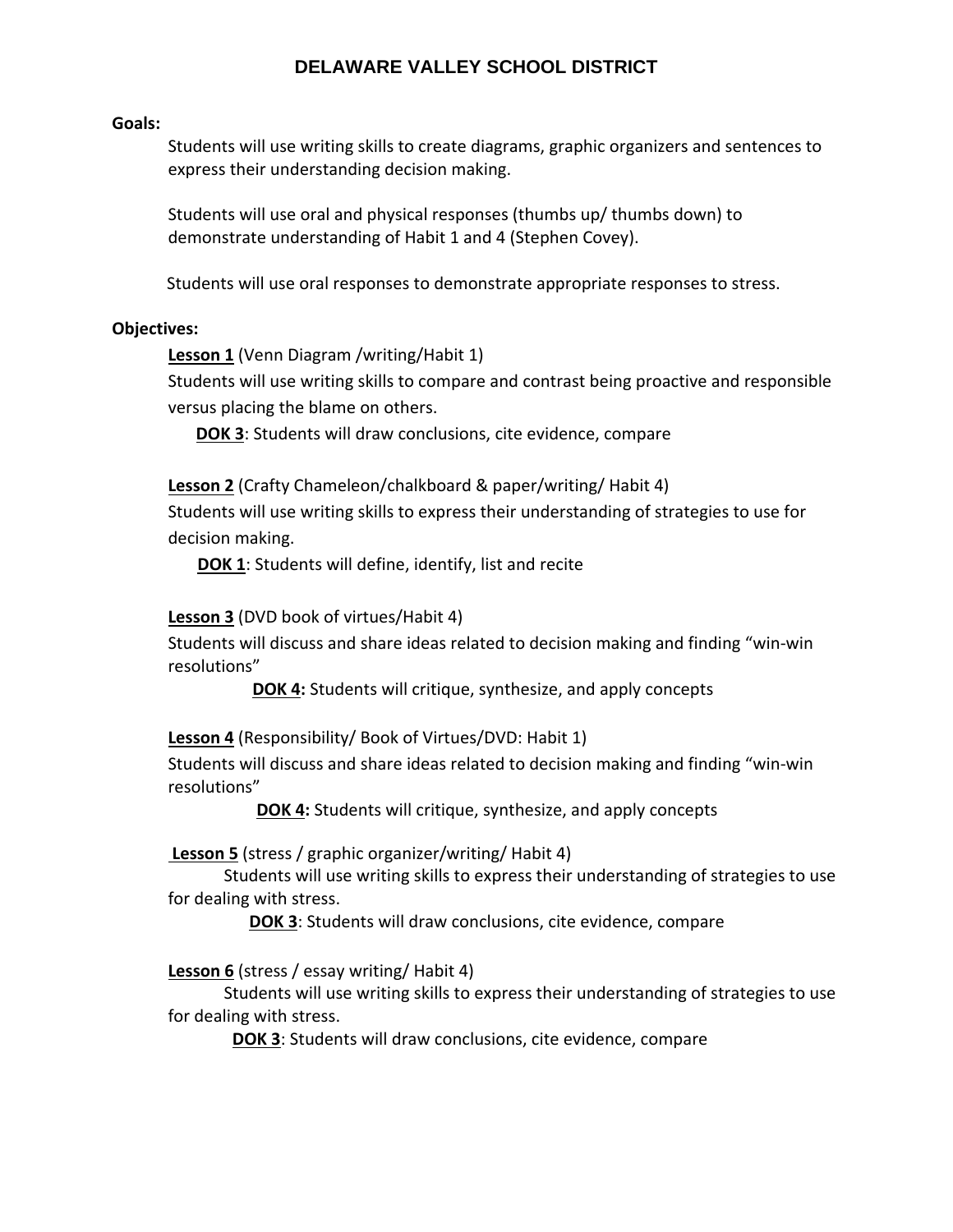#### **Goals:**

Students will use writing skills to create diagrams, graphic organizers and sentences to express their understanding decision making.

Students will use oral and physical responses (thumbs up/ thumbs down) to demonstrate understanding of Habit 1 and 4 (Stephen Covey).

Students will use oral responses to demonstrate appropriate responses to stress.

#### **Objectives:**

**Lesson 1** (Venn Diagram /writing/Habit 1)

Students will use writing skills to compare and contrast being proactive and responsible versus placing the blame on others.

**DOK 3**: Students will draw conclusions, cite evidence, compare

**Lesson 2** (Crafty Chameleon/chalkboard & paper/writing/ Habit 4)

Students will use writing skills to express their understanding of strategies to use for decision making.

**DOK 1**: Students will define, identify, list and recite

#### **Lesson 3** (DVD book of virtues/Habit 4)

Students will discuss and share ideas related to decision making and finding "win‐win resolutions"

**DOK 4:** Students will critique, synthesize, and apply concepts

**Lesson 4** (Responsibility/ Book of Virtues/DVD: Habit 1)

Students will discuss and share ideas related to decision making and finding "win‐win resolutions"

**DOK 4:** Students will critique, synthesize, and apply concepts

**Lesson 5** (stress / graphic organizer/writing/ Habit 4)

Students will use writing skills to express their understanding of strategies to use for dealing with stress.

**DOK 3:** Students will draw conclusions, cite evidence, compare

#### **Lesson 6** (stress / essay writing/ Habit 4)

Students will use writing skills to express their understanding of strategies to use for dealing with stress.

**DOK 3:** Students will draw conclusions, cite evidence, compare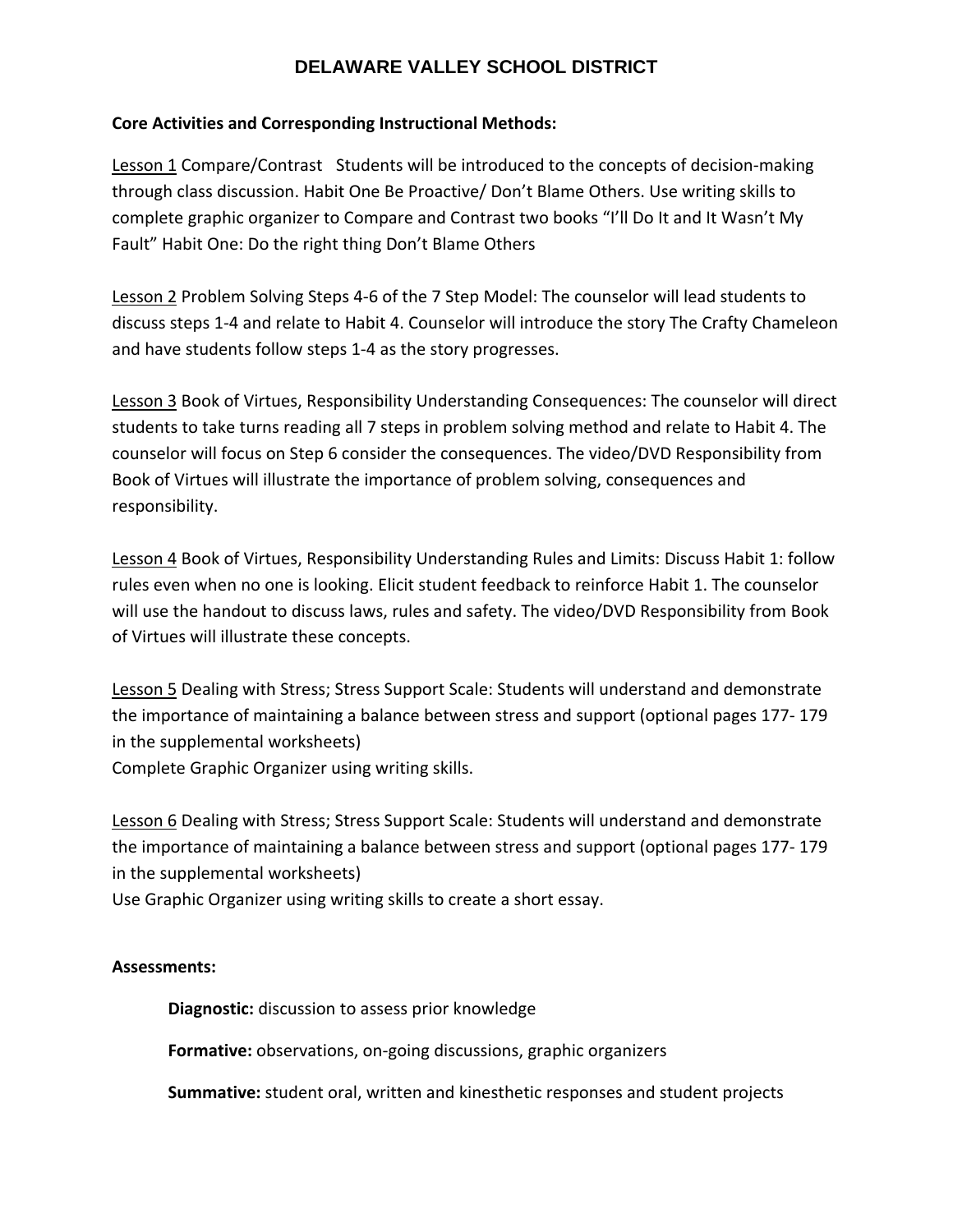## **Core Activities and Corresponding Instructional Methods:**

Lesson 1 Compare/Contrast Students will be introduced to the concepts of decision-making through class discussion. Habit One Be Proactive/ Don't Blame Others. Use writing skills to complete graphic organizer to Compare and Contrast two books "I'll Do It and It Wasn't My Fault" Habit One: Do the right thing Don't Blame Others

Lesson 2 Problem Solving Steps 4‐6 of the 7 Step Model: The counselor will lead students to discuss steps 1‐4 and relate to Habit 4. Counselor will introduce the story The Crafty Chameleon and have students follow steps 1‐4 as the story progresses.

Lesson 3 Book of Virtues, Responsibility Understanding Consequences: The counselor will direct students to take turns reading all 7 steps in problem solving method and relate to Habit 4. The counselor will focus on Step 6 consider the consequences. The video/DVD Responsibility from Book of Virtues will illustrate the importance of problem solving, consequences and responsibility.

Lesson 4 Book of Virtues, Responsibility Understanding Rules and Limits: Discuss Habit 1: follow rules even when no one is looking. Elicit student feedback to reinforce Habit 1. The counselor will use the handout to discuss laws, rules and safety. The video/DVD Responsibility from Book of Virtues will illustrate these concepts.

Lesson 5 Dealing with Stress; Stress Support Scale: Students will understand and demonstrate the importance of maintaining a balance between stress and support (optional pages 177‐ 179 in the supplemental worksheets) Complete Graphic Organizer using writing skills.

Lesson 6 Dealing with Stress; Stress Support Scale: Students will understand and demonstrate the importance of maintaining a balance between stress and support (optional pages 177‐ 179 in the supplemental worksheets)

Use Graphic Organizer using writing skills to create a short essay.

## **Assessments:**

**Diagnostic:** discussion to assess prior knowledge

**Formative:** observations, on‐going discussions, graphic organizers

**Summative:** student oral, written and kinesthetic responses and student projects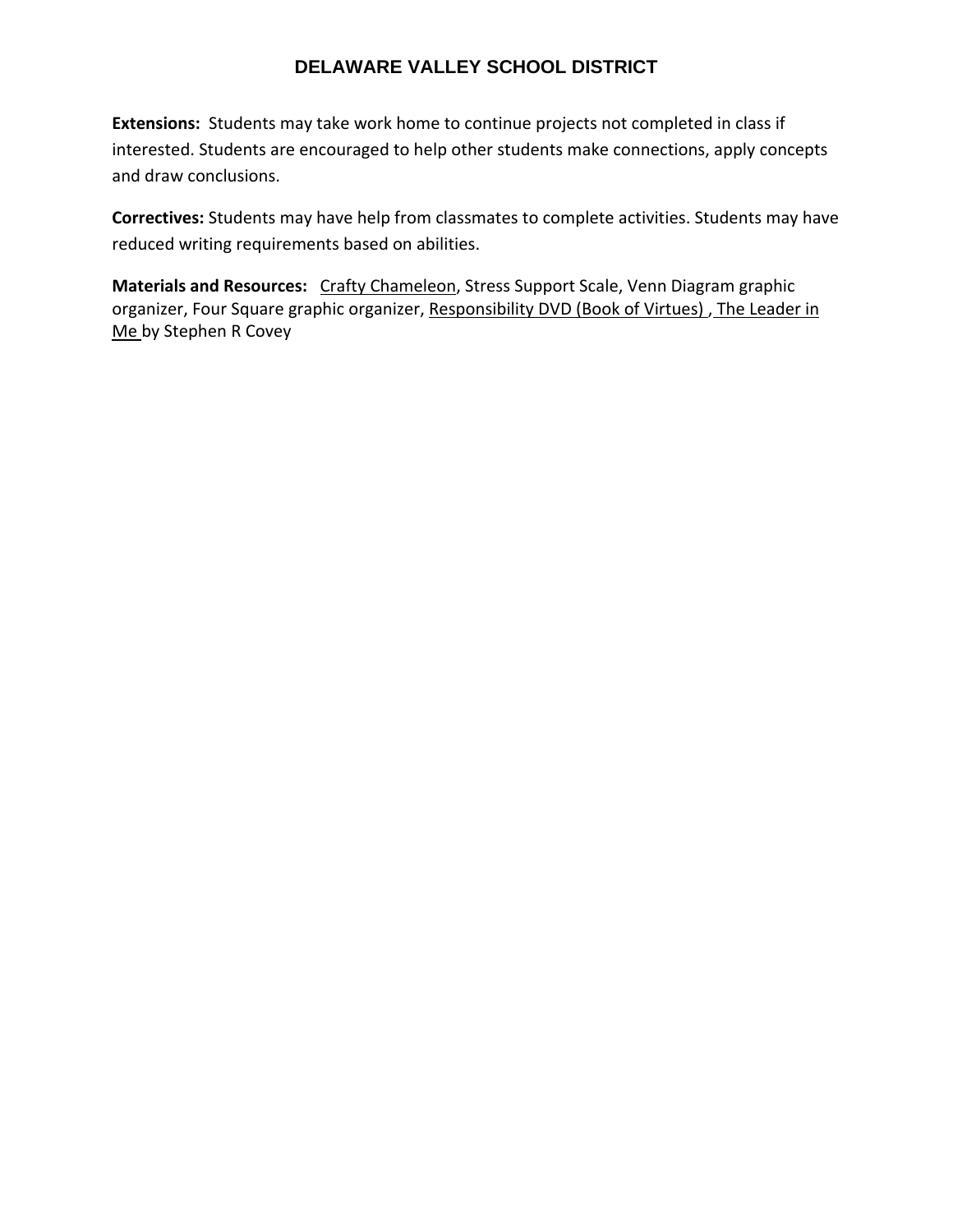**Extensions:** Students may take work home to continue projects not completed in class if interested. Students are encouraged to help other students make connections, apply concepts and draw conclusions.

**Correctives:** Students may have help from classmates to complete activities. Students may have reduced writing requirements based on abilities.

**Materials and Resources:** Crafty Chameleon, Stress Support Scale, Venn Diagram graphic organizer, Four Square graphic organizer, Responsibility DVD (Book of Virtues), The Leader in Me by Stephen R Covey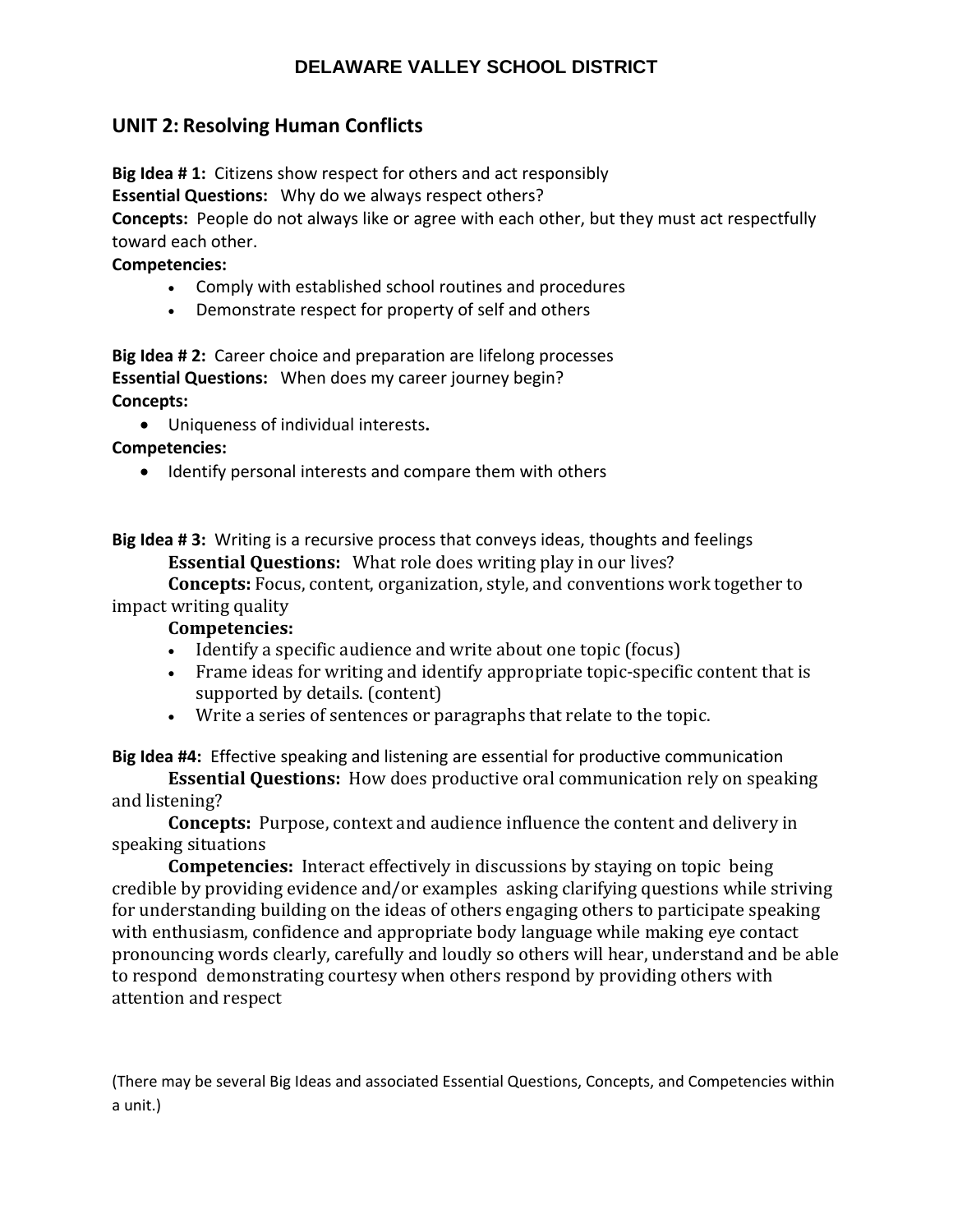# **UNIT 2: Resolving Human Conflicts**

**Big Idea # 1:** Citizens show respect for others and act responsibly

**Essential Questions:** Why do we always respect others?

**Concepts:** People do not always like or agree with each other, but they must act respectfully toward each other.

## **Competencies:**

- Comply with established school routines and procedures
- Demonstrate respect for property of self and others

**Big Idea # 2:** Career choice and preparation are lifelong processes **Essential Questions:** When does my career journey begin? **Concepts:** 

Uniqueness of individual interests**.**

**Competencies:** 

• Identify personal interests and compare them with others

**Big Idea # 3:** Writing is a recursive process that conveys ideas, thoughts and feelings **Essential Questions:** What role does writing play in our lives?

**Concepts:** Focus, content, organization, style, and conventions work together to impact writing quality

## **Competencies:**

- Identify a specific audience and write about one topic (focus)
- Frame ideas for writing and identify appropriate topic-specific content that is supported by details. (content)
- Write a series of sentences or paragraphs that relate to the topic.

**Big Idea #4:** Effective speaking and listening are essential for productive communication

**Essential Questions:** How does productive oral communication rely on speaking and listening?

**Concepts:** Purpose, context and audience influence the content and delivery in speaking situations

**Competencies:** Interact effectively in discussions by staying on topic being credible by providing evidence and/or examples asking clarifying questions while striving for understanding building on the ideas of others engaging others to participate speaking with enthusiasm, confidence and appropriate body language while making eye contact pronouncing words clearly, carefully and loudly so others will hear, understand and be able to respond demonstrating courtesy when others respond by providing others with attention and respect

(There may be several Big Ideas and associated Essential Questions, Concepts, and Competencies within a unit.)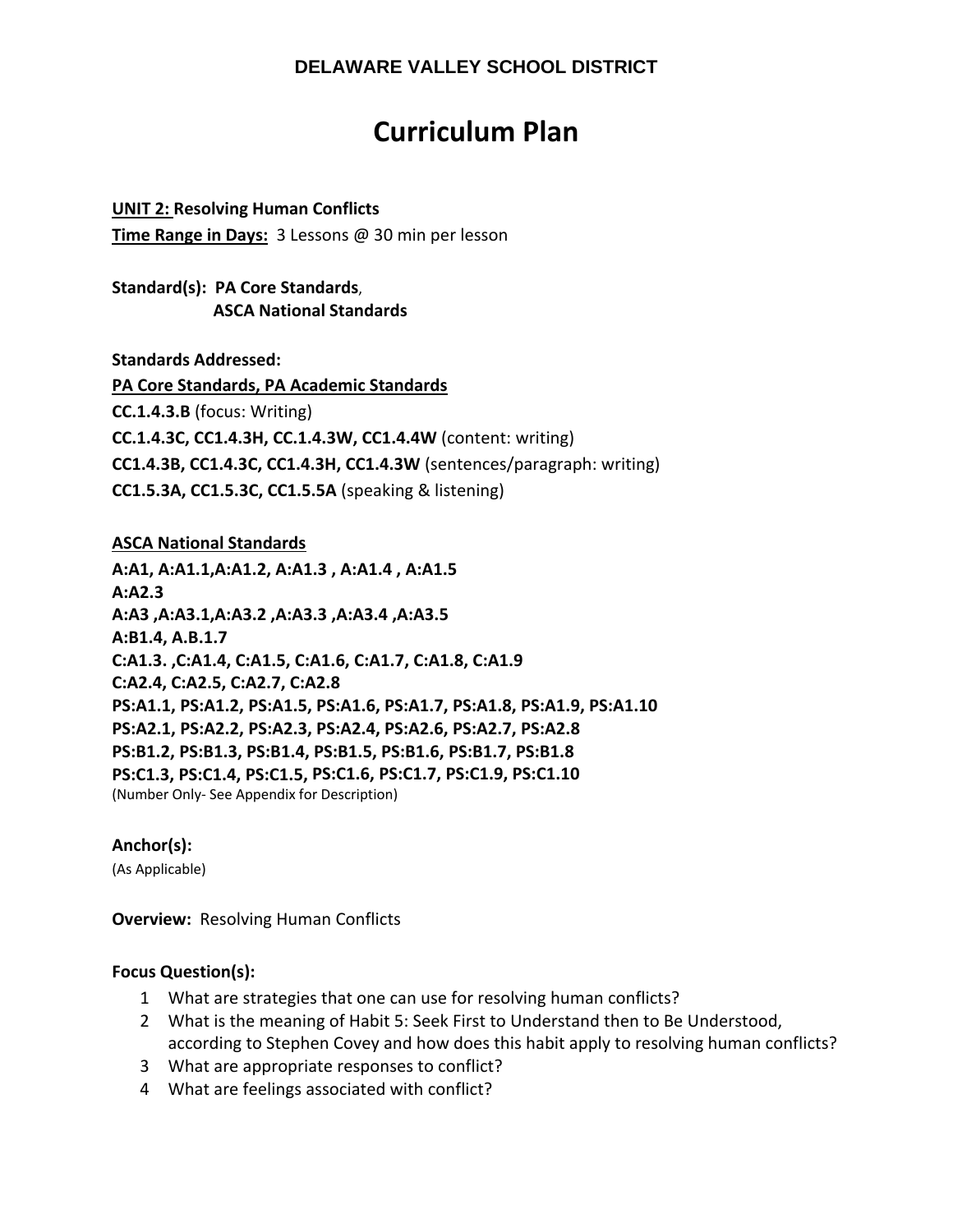# **Curriculum Plan**

**UNIT 2: Resolving Human Conflicts Time Range in Days:** 3 Lessons @ 30 min per lesson

**Standard(s): PA Core Standards**,  **ASCA National Standards**

**Standards Addressed:** 

**PA Core Standards, PA Academic Standards CC.1.4.3.B** (focus: Writing) **CC.1.4.3C, CC1.4.3H, CC.1.4.3W, CC1.4.4W** (content: writing) **CC1.4.3B, CC1.4.3C, CC1.4.3H, CC1.4.3W** (sentences/paragraph: writing) **CC1.5.3A, CC1.5.3C, CC1.5.5A** (speaking & listening)

## **ASCA National Standards**

**A:A1, A:A1.1,A:A1.2, A:A1.3 , A:A1.4 , A:A1.5 A:A2.3 A:A3 ,A:A3.1,A:A3.2 ,A:A3.3 ,A:A3.4 ,A:A3.5 A:B1.4, A.B.1.7 C:A1.3. ,C:A1.4, C:A1.5, C:A1.6, C:A1.7, C:A1.8, C:A1.9 C:A2.4, C:A2.5, C:A2.7, C:A2.8 PS:A1.1, PS:A1.2, PS:A1.5, PS:A1.6, PS:A1.7, PS:A1.8, PS:A1.9, PS:A1.10 PS:A2.1, PS:A2.2, PS:A2.3, PS:A2.4, PS:A2.6, PS:A2.7, PS:A2.8 PS:B1.2, PS:B1.3, PS:B1.4, PS:B1.5, PS:B1.6, PS:B1.7, PS:B1.8 PS:C1.3, PS:C1.4, PS:C1.5, PS:C1.6, PS:C1.7, PS:C1.9, PS:C1.10**  (Number Only‐ See Appendix for Description)

## **Anchor(s):**

(As Applicable)

**Overview: Resolving Human Conflicts** 

## **Focus Question(s):**

- 1 What are strategies that one can use for resolving human conflicts?
- 2 What is the meaning of Habit 5: Seek First to Understand then to Be Understood, according to Stephen Covey and how does this habit apply to resolving human conflicts?
- 3 What are appropriate responses to conflict?
- 4 What are feelings associated with conflict?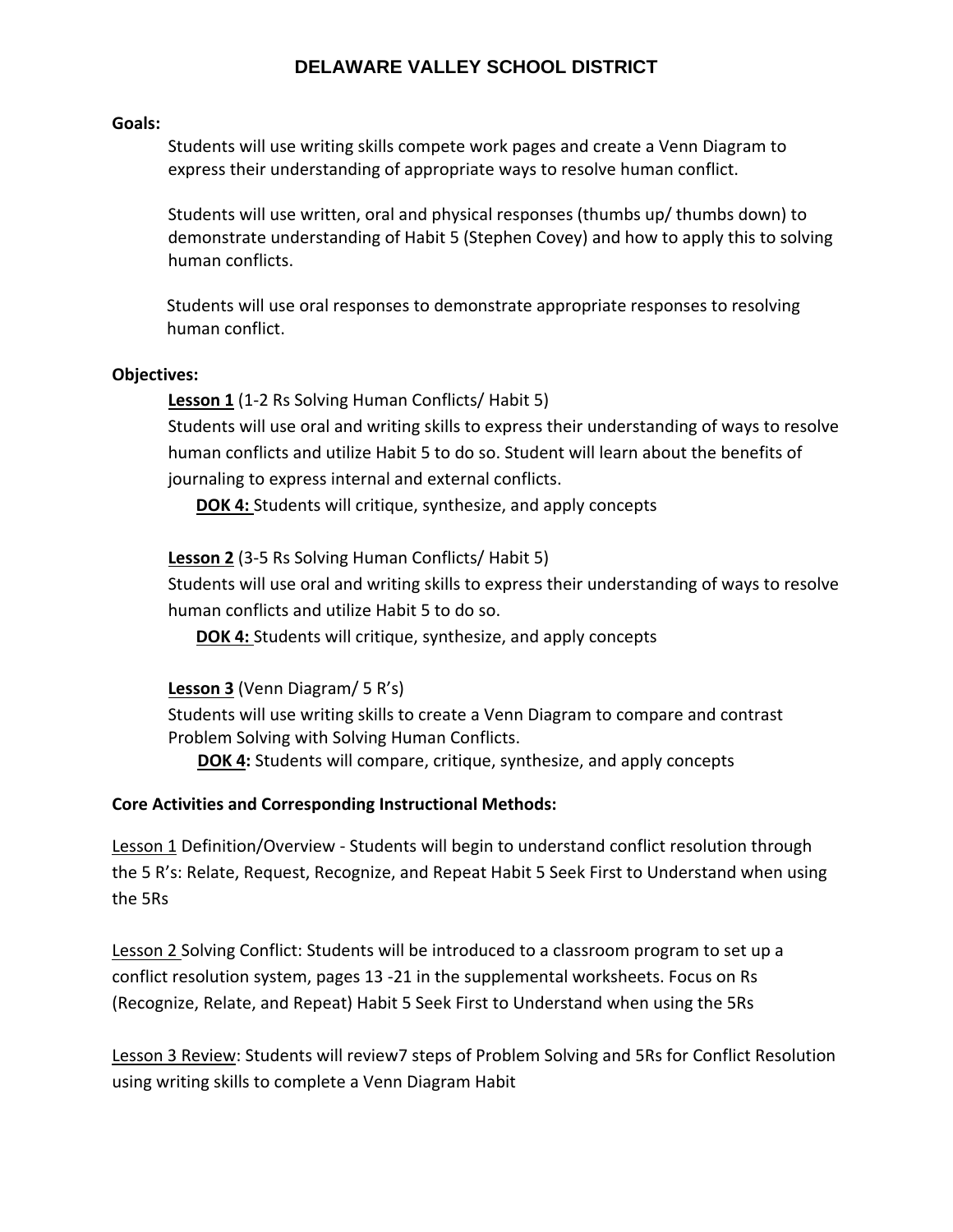#### **Goals:**

Students will use writing skills compete work pages and create a Venn Diagram to express their understanding of appropriate ways to resolve human conflict.

Students will use written, oral and physical responses (thumbs up/ thumbs down) to demonstrate understanding of Habit 5 (Stephen Covey) and how to apply this to solving human conflicts.

Students will use oral responses to demonstrate appropriate responses to resolving human conflict.

#### **Objectives:**

**Lesson 1** (1‐2 Rs Solving Human Conflicts/ Habit 5)

Students will use oral and writing skills to express their understanding of ways to resolve human conflicts and utilize Habit 5 to do so. Student will learn about the benefits of journaling to express internal and external conflicts.

**DOK 4:** Students will critique, synthesize, and apply concepts

## **Lesson 2** (3‐5 Rs Solving Human Conflicts/ Habit 5)

Students will use oral and writing skills to express their understanding of ways to resolve human conflicts and utilize Habit 5 to do so.

**DOK 4:** Students will critique, synthesize, and apply concepts

## **Lesson 3** (Venn Diagram/ 5 R's)

Students will use writing skills to create a Venn Diagram to compare and contrast Problem Solving with Solving Human Conflicts.

**DOK 4:** Students will compare, critique, synthesize, and apply concepts

## **Core Activities and Corresponding Instructional Methods:**

Lesson 1 Definition/Overview ‐ Students will begin to understand conflict resolution through the 5 R's: Relate, Request, Recognize, and Repeat Habit 5 Seek First to Understand when using the 5Rs

Lesson 2 Solving Conflict: Students will be introduced to a classroom program to set up a conflict resolution system, pages 13 ‐21 in the supplemental worksheets. Focus on Rs (Recognize, Relate, and Repeat) Habit 5 Seek First to Understand when using the 5Rs

Lesson 3 Review: Students will review7 steps of Problem Solving and 5Rs for Conflict Resolution using writing skills to complete a Venn Diagram Habit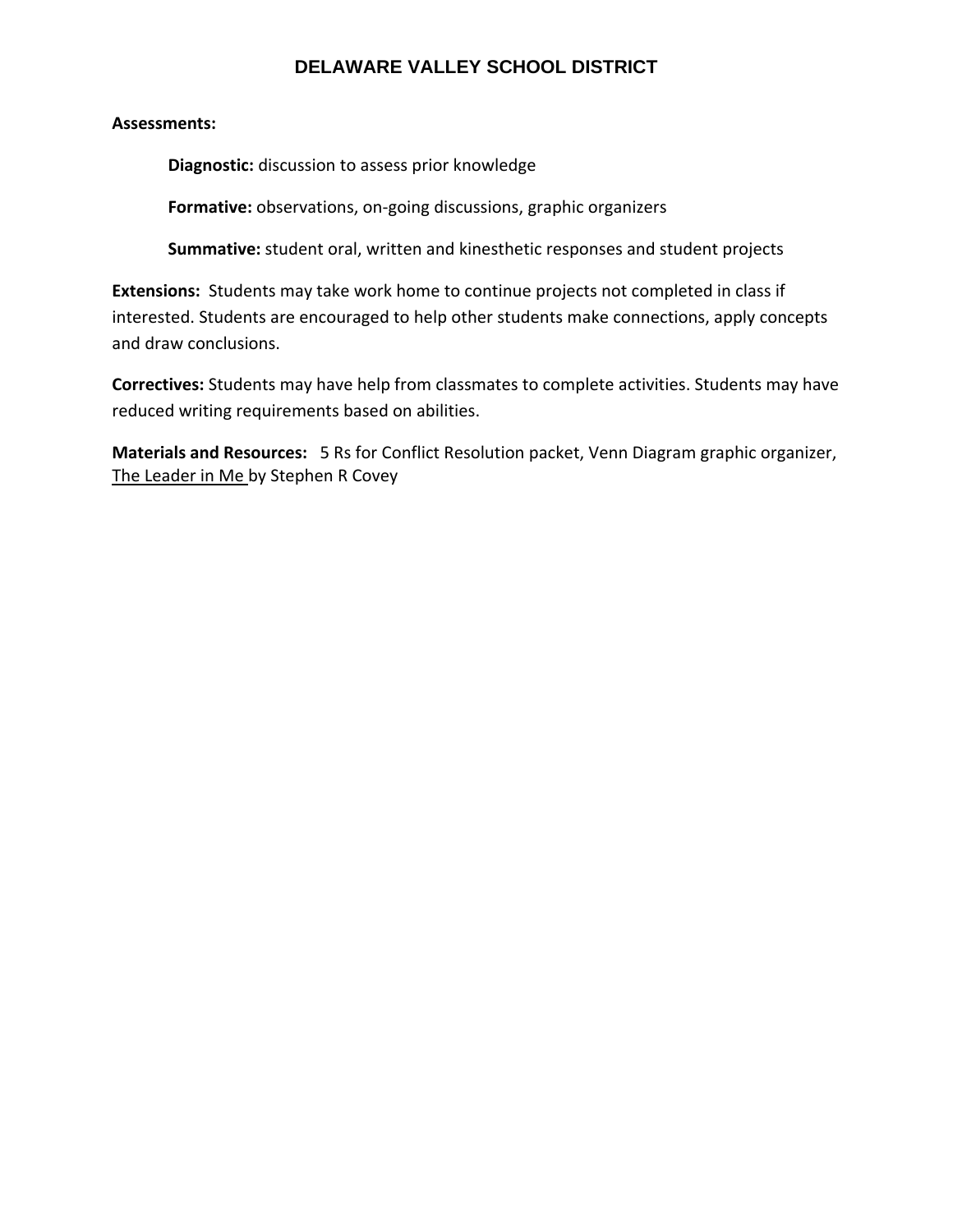## **Assessments:**

**Diagnostic:** discussion to assess prior knowledge

**Formative:** observations, on‐going discussions, graphic organizers

**Summative:** student oral, written and kinesthetic responses and student projects

**Extensions:** Students may take work home to continue projects not completed in class if interested. Students are encouraged to help other students make connections, apply concepts and draw conclusions.

**Correctives:** Students may have help from classmates to complete activities. Students may have reduced writing requirements based on abilities.

**Materials and Resources:** 5 Rs for Conflict Resolution packet, Venn Diagram graphic organizer, The Leader in Me by Stephen R Covey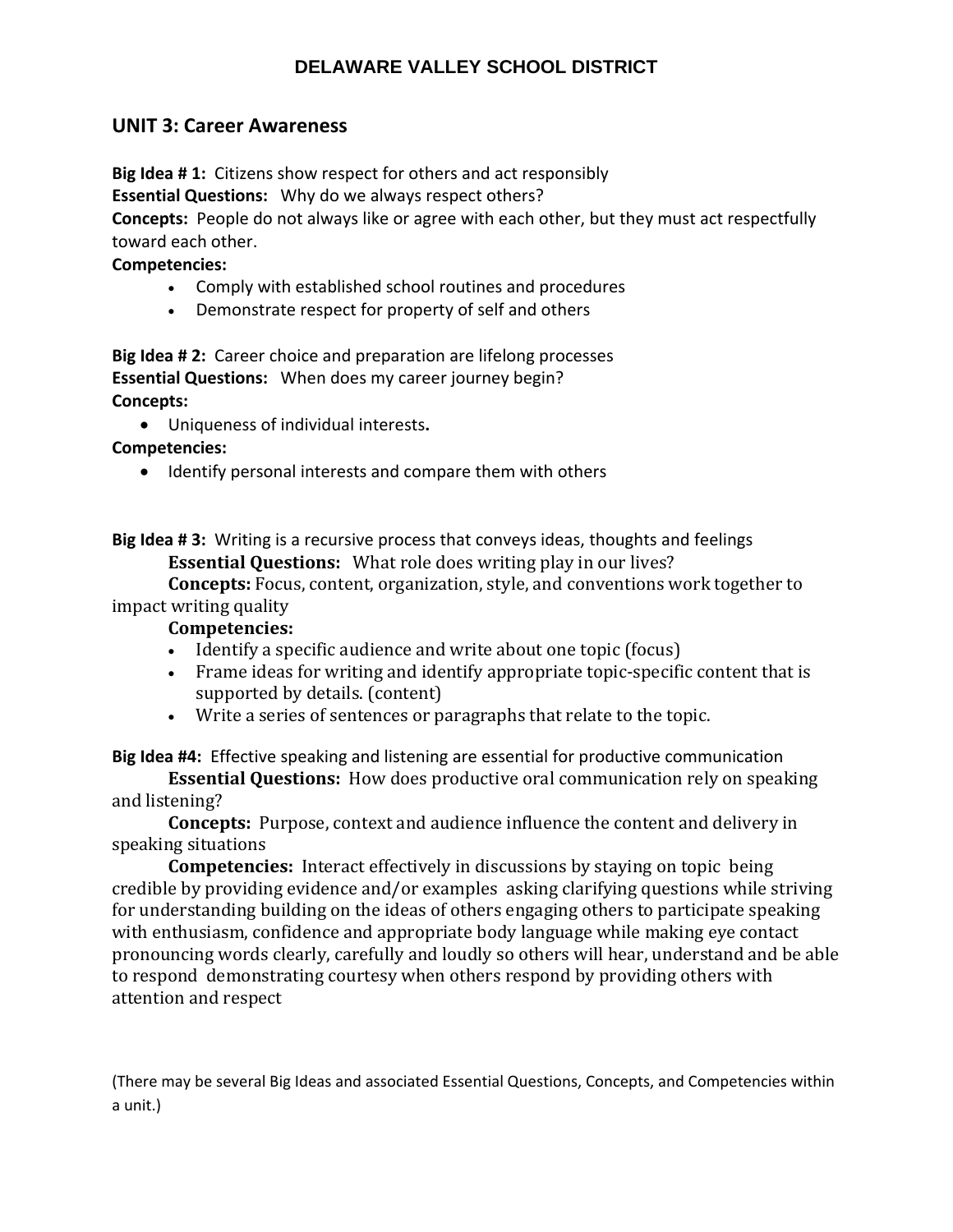## **UNIT 3: Career Awareness**

**Big Idea # 1:** Citizens show respect for others and act responsibly

**Essential Questions:** Why do we always respect others?

**Concepts:** People do not always like or agree with each other, but they must act respectfully toward each other.

## **Competencies:**

- Comply with established school routines and procedures
- Demonstrate respect for property of self and others

**Big Idea # 2:** Career choice and preparation are lifelong processes **Essential Questions:** When does my career journey begin? **Concepts:** 

Uniqueness of individual interests**.**

**Competencies:** 

• Identify personal interests and compare them with others

**Big Idea # 3:** Writing is a recursive process that conveys ideas, thoughts and feelings **Essential Questions:** What role does writing play in our lives?

**Concepts:** Focus, content, organization, style, and conventions work together to impact writing quality

## **Competencies:**

- Identify a specific audience and write about one topic (focus)
- Frame ideas for writing and identify appropriate topic-specific content that is supported by details. (content)
- Write a series of sentences or paragraphs that relate to the topic.

**Big Idea #4:** Effective speaking and listening are essential for productive communication

**Essential Questions:** How does productive oral communication rely on speaking and listening?

**Concepts:** Purpose, context and audience influence the content and delivery in speaking situations

**Competencies:** Interact effectively in discussions by staying on topic being credible by providing evidence and/or examples asking clarifying questions while striving for understanding building on the ideas of others engaging others to participate speaking with enthusiasm, confidence and appropriate body language while making eye contact pronouncing words clearly, carefully and loudly so others will hear, understand and be able to respond demonstrating courtesy when others respond by providing others with attention and respect

(There may be several Big Ideas and associated Essential Questions, Concepts, and Competencies within a unit.)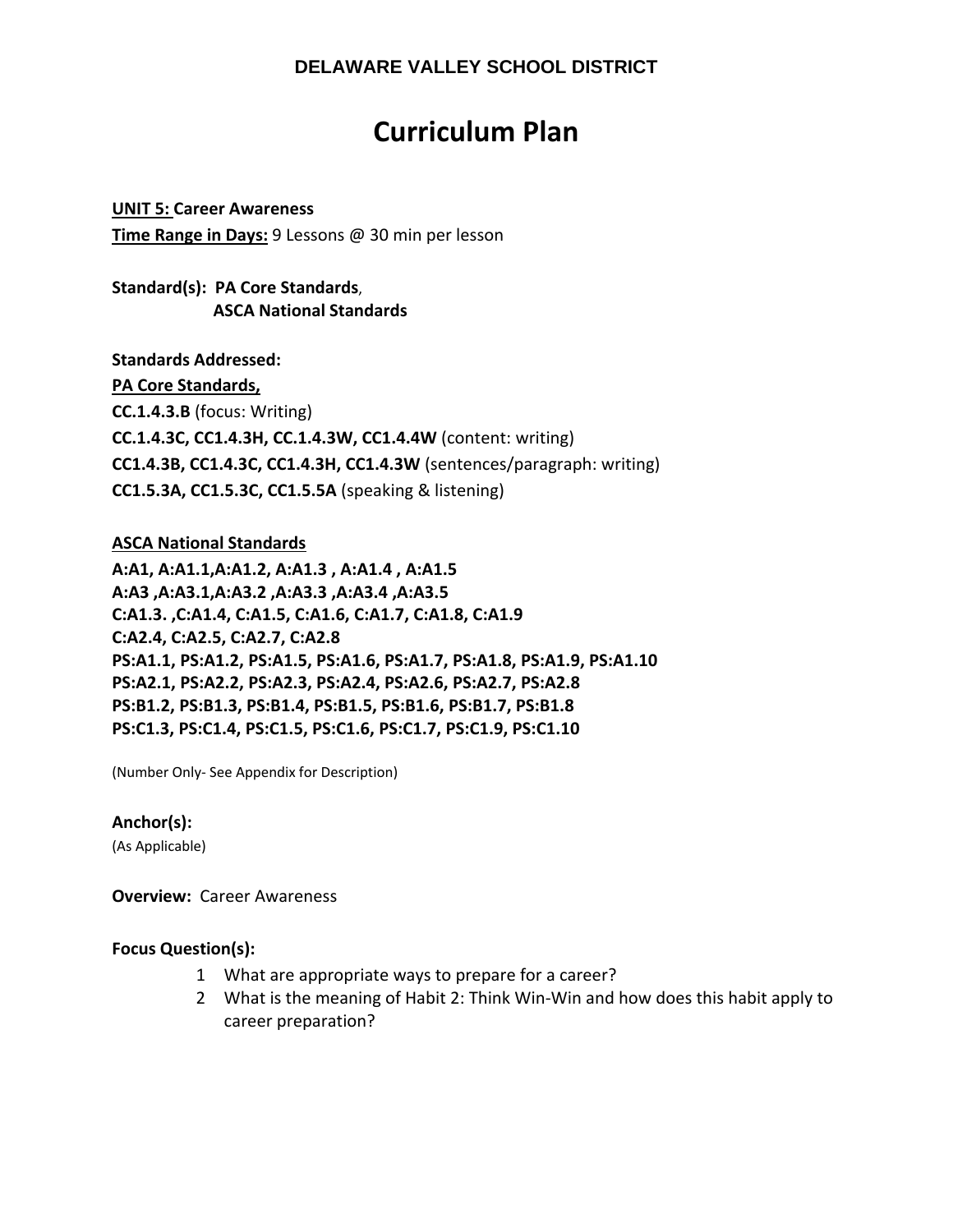# **Curriculum Plan**

**UNIT 5: Career Awareness Time Range in Days:** 9 Lessons @ 30 min per lesson

**Standard(s): PA Core Standards**,  **ASCA National Standards**

**Standards Addressed: PA Core Standards, CC.1.4.3.B** (focus: Writing) **CC.1.4.3C, CC1.4.3H, CC.1.4.3W, CC1.4.4W** (content: writing) **CC1.4.3B, CC1.4.3C, CC1.4.3H, CC1.4.3W** (sentences/paragraph: writing) **CC1.5.3A, CC1.5.3C, CC1.5.5A** (speaking & listening)

## **ASCA National Standards**

**A:A1, A:A1.1,A:A1.2, A:A1.3 , A:A1.4 , A:A1.5 A:A3 ,A:A3.1,A:A3.2 ,A:A3.3 ,A:A3.4 ,A:A3.5 C:A1.3. ,C:A1.4, C:A1.5, C:A1.6, C:A1.7, C:A1.8, C:A1.9 C:A2.4, C:A2.5, C:A2.7, C:A2.8 PS:A1.1, PS:A1.2, PS:A1.5, PS:A1.6, PS:A1.7, PS:A1.8, PS:A1.9, PS:A1.10 PS:A2.1, PS:A2.2, PS:A2.3, PS:A2.4, PS:A2.6, PS:A2.7, PS:A2.8 PS:B1.2, PS:B1.3, PS:B1.4, PS:B1.5, PS:B1.6, PS:B1.7, PS:B1.8 PS:C1.3, PS:C1.4, PS:C1.5, PS:C1.6, PS:C1.7, PS:C1.9, PS:C1.10** 

(Number Only‐ See Appendix for Description)

#### **Anchor(s):**

(As Applicable)

**Overview: Career Awareness** 

#### **Focus Question(s):**

- 1 What are appropriate ways to prepare for a career?
- 2 What is the meaning of Habit 2: Think Win‐Win and how does this habit apply to career preparation?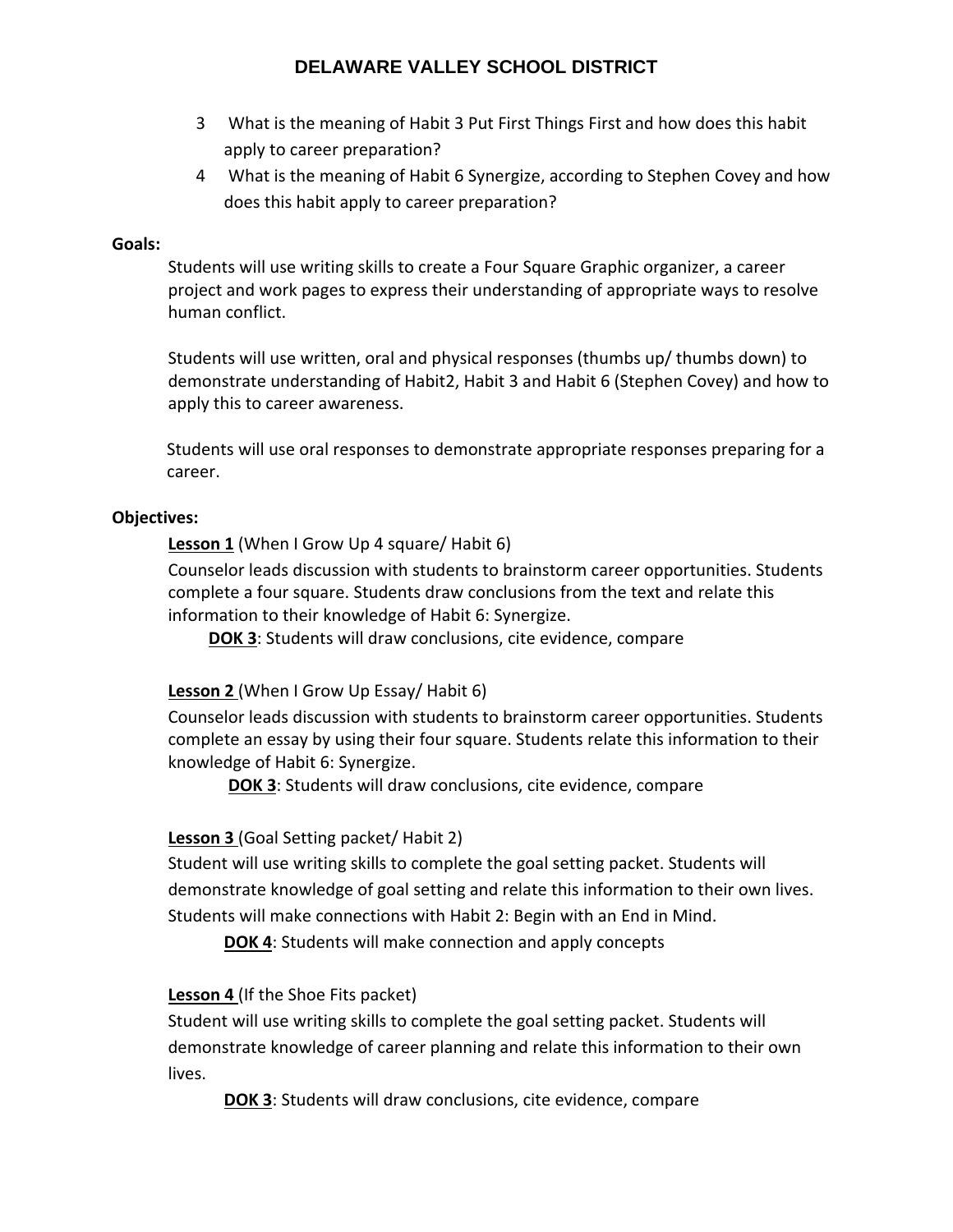- 3 What is the meaning of Habit 3 Put First Things First and how does this habit apply to career preparation?
- 4 What is the meaning of Habit 6 Synergize, according to Stephen Covey and how does this habit apply to career preparation?

## **Goals:**

Students will use writing skills to create a Four Square Graphic organizer, a career project and work pages to express their understanding of appropriate ways to resolve human conflict.

Students will use written, oral and physical responses (thumbs up/ thumbs down) to demonstrate understanding of Habit2, Habit 3 and Habit 6 (Stephen Covey) and how to apply this to career awareness.

Students will use oral responses to demonstrate appropriate responses preparing for a career.

## **Objectives:**

**Lesson 1** (When I Grow Up 4 square/ Habit 6)

Counselor leads discussion with students to brainstorm career opportunities. Students complete a four square. Students draw conclusions from the text and relate this information to their knowledge of Habit 6: Synergize.

**DOK 3**: Students will draw conclusions, cite evidence, compare

## **Lesson 2** (When I Grow Up Essay/ Habit 6)

Counselor leads discussion with students to brainstorm career opportunities. Students complete an essay by using their four square. Students relate this information to their knowledge of Habit 6: Synergize.

**DOK 3**: Students will draw conclusions, cite evidence, compare

# **Lesson 3** (Goal Setting packet/ Habit 2)

Student will use writing skills to complete the goal setting packet. Students will demonstrate knowledge of goal setting and relate this information to their own lives. Students will make connections with Habit 2: Begin with an End in Mind.

**DOK 4**: Students will make connection and apply concepts

# **Lesson 4** (If the Shoe Fits packet)

Student will use writing skills to complete the goal setting packet. Students will demonstrate knowledge of career planning and relate this information to their own lives.

**DOK 3**: Students will draw conclusions, cite evidence, compare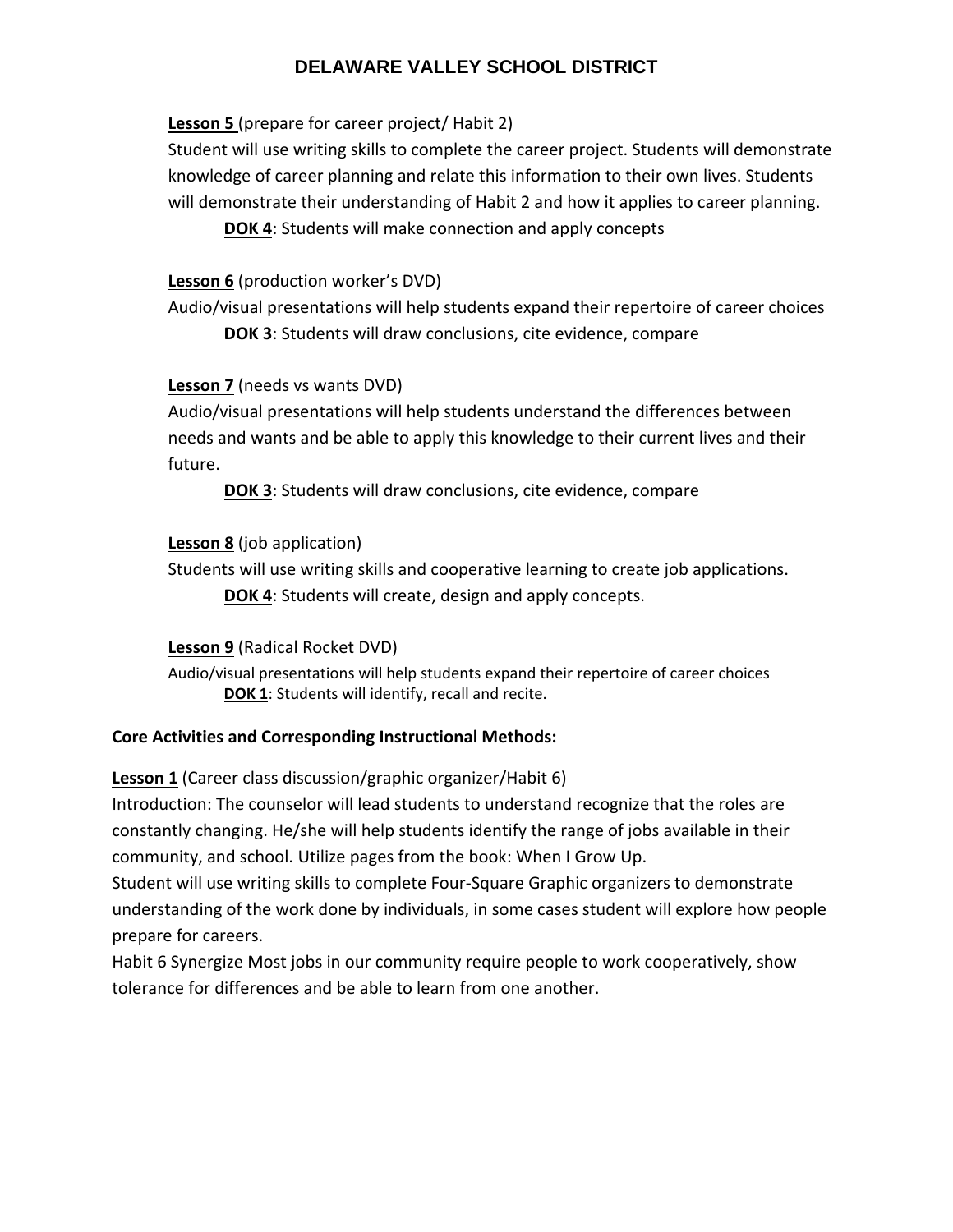## **Lesson 5** (prepare for career project/ Habit 2)

Student will use writing skills to complete the career project. Students will demonstrate knowledge of career planning and relate this information to their own lives. Students will demonstrate their understanding of Habit 2 and how it applies to career planning.

**DOK 4**: Students will make connection and apply concepts

## **Lesson 6** (production worker's DVD)

Audio/visual presentations will help students expand their repertoire of career choices

**DOK 3**: Students will draw conclusions, cite evidence, compare

## **Lesson 7** (needs vs wants DVD)

Audio/visual presentations will help students understand the differences between needs and wants and be able to apply this knowledge to their current lives and their future.

**DOK 3**: Students will draw conclusions, cite evidence, compare

## **Lesson 8** (job application)

Students will use writing skills and cooperative learning to create job applications. **DOK 4**: Students will create, design and apply concepts.

## **Lesson 9** (Radical Rocket DVD)

Audio/visual presentations will help students expand their repertoire of career choices **DOK 1**: Students will identify, recall and recite.

## **Core Activities and Corresponding Instructional Methods:**

## **Lesson 1** (Career class discussion/graphic organizer/Habit 6)

Introduction: The counselor will lead students to understand recognize that the roles are constantly changing. He/she will help students identify the range of jobs available in their community, and school. Utilize pages from the book: When I Grow Up.

Student will use writing skills to complete Four‐Square Graphic organizers to demonstrate understanding of the work done by individuals, in some cases student will explore how people prepare for careers.

Habit 6 Synergize Most jobs in our community require people to work cooperatively, show tolerance for differences and be able to learn from one another.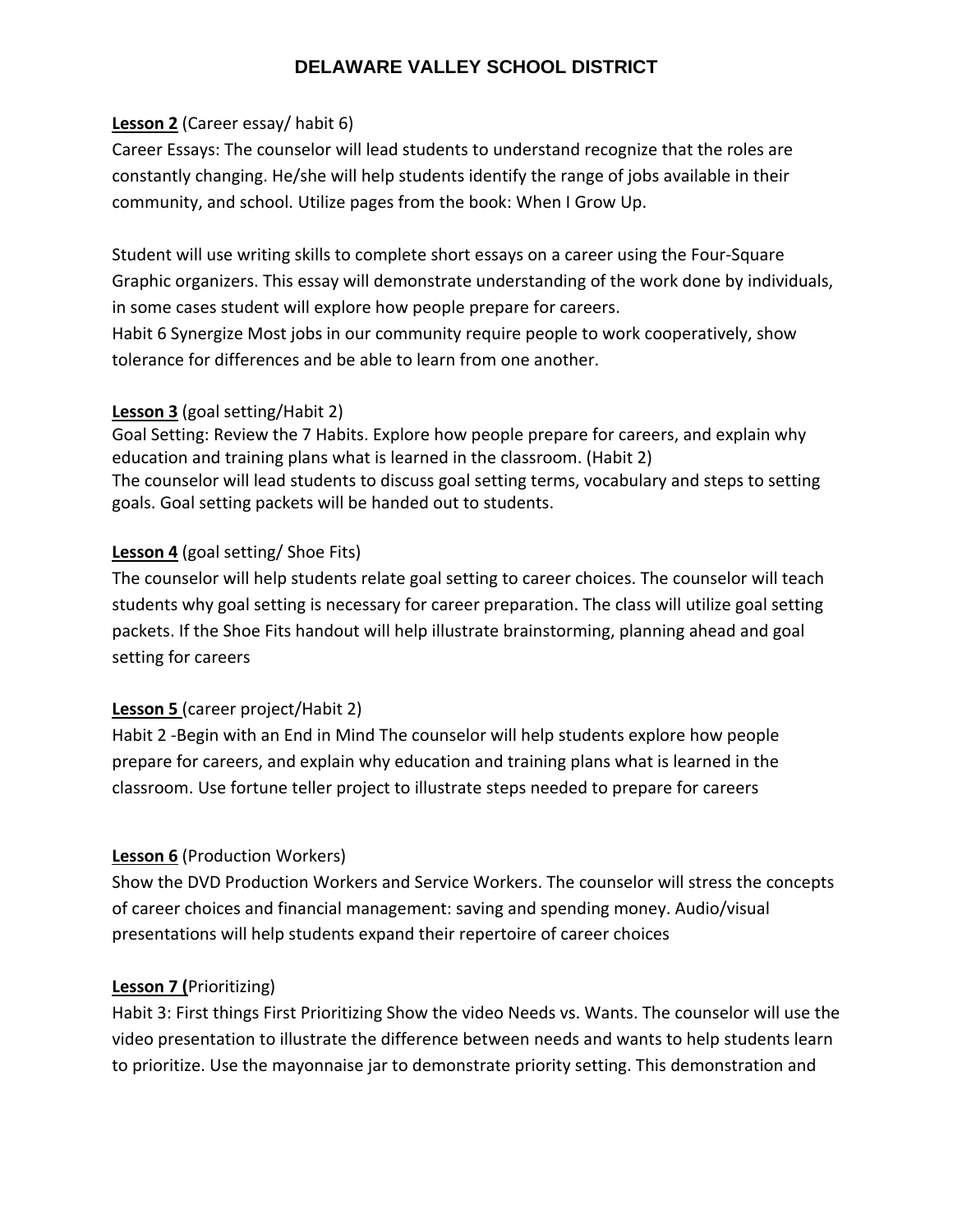## **Lesson 2** (Career essay/ habit 6)

Career Essays: The counselor will lead students to understand recognize that the roles are constantly changing. He/she will help students identify the range of jobs available in their community, and school. Utilize pages from the book: When I Grow Up.

Student will use writing skills to complete short essays on a career using the Four‐Square Graphic organizers. This essay will demonstrate understanding of the work done by individuals, in some cases student will explore how people prepare for careers.

Habit 6 Synergize Most jobs in our community require people to work cooperatively, show tolerance for differences and be able to learn from one another.

## **Lesson 3** (goal setting/Habit 2)

Goal Setting: Review the 7 Habits. Explore how people prepare for careers, and explain why education and training plans what is learned in the classroom. (Habit 2) The counselor will lead students to discuss goal setting terms, vocabulary and steps to setting goals. Goal setting packets will be handed out to students.

## **Lesson 4** (goal setting/ Shoe Fits)

The counselor will help students relate goal setting to career choices. The counselor will teach students why goal setting is necessary for career preparation. The class will utilize goal setting packets. If the Shoe Fits handout will help illustrate brainstorming, planning ahead and goal setting for careers

# **Lesson 5** (career project/Habit 2)

Habit 2 ‐Begin with an End in Mind The counselor will help students explore how people prepare for careers, and explain why education and training plans what is learned in the classroom. Use fortune teller project to illustrate steps needed to prepare for careers

## **Lesson 6** (Production Workers)

Show the DVD Production Workers and Service Workers. The counselor will stress the concepts of career choices and financial management: saving and spending money. Audio/visual presentations will help students expand their repertoire of career choices

## **Lesson 7 (**Prioritizing)

Habit 3: First things First Prioritizing Show the video Needs vs. Wants. The counselor will use the video presentation to illustrate the difference between needs and wants to help students learn to prioritize. Use the mayonnaise jar to demonstrate priority setting. This demonstration and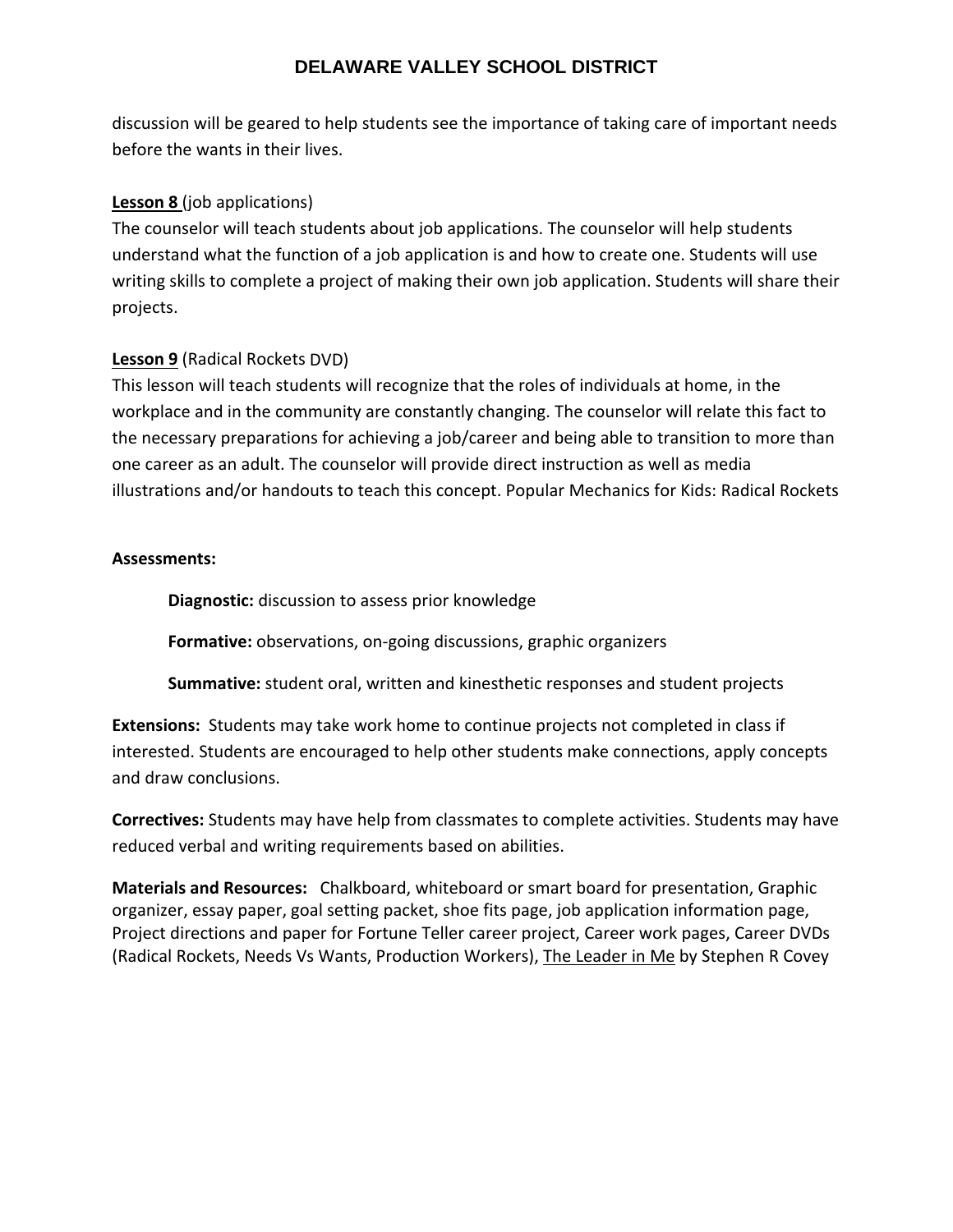discussion will be geared to help students see the importance of taking care of important needs before the wants in their lives.

## **Lesson 8** (job applications)

The counselor will teach students about job applications. The counselor will help students understand what the function of a job application is and how to create one. Students will use writing skills to complete a project of making their own job application. Students will share their projects.

## **Lesson 9** (Radical Rockets DVD)

This lesson will teach students will recognize that the roles of individuals at home, in the workplace and in the community are constantly changing. The counselor will relate this fact to the necessary preparations for achieving a job/career and being able to transition to more than one career as an adult. The counselor will provide direct instruction as well as media illustrations and/or handouts to teach this concept. Popular Mechanics for Kids: Radical Rockets

## **Assessments:**

**Diagnostic:** discussion to assess prior knowledge

**Formative:** observations, on‐going discussions, graphic organizers

**Summative:** student oral, written and kinesthetic responses and student projects

**Extensions:** Students may take work home to continue projects not completed in class if interested. Students are encouraged to help other students make connections, apply concepts and draw conclusions.

**Correctives:** Students may have help from classmates to complete activities. Students may have reduced verbal and writing requirements based on abilities.

**Materials and Resources:** Chalkboard, whiteboard or smart board for presentation, Graphic organizer, essay paper, goal setting packet, shoe fits page, job application information page, Project directions and paper for Fortune Teller career project, Career work pages, Career DVDs (Radical Rockets, Needs Vs Wants, Production Workers), The Leader in Me by Stephen R Covey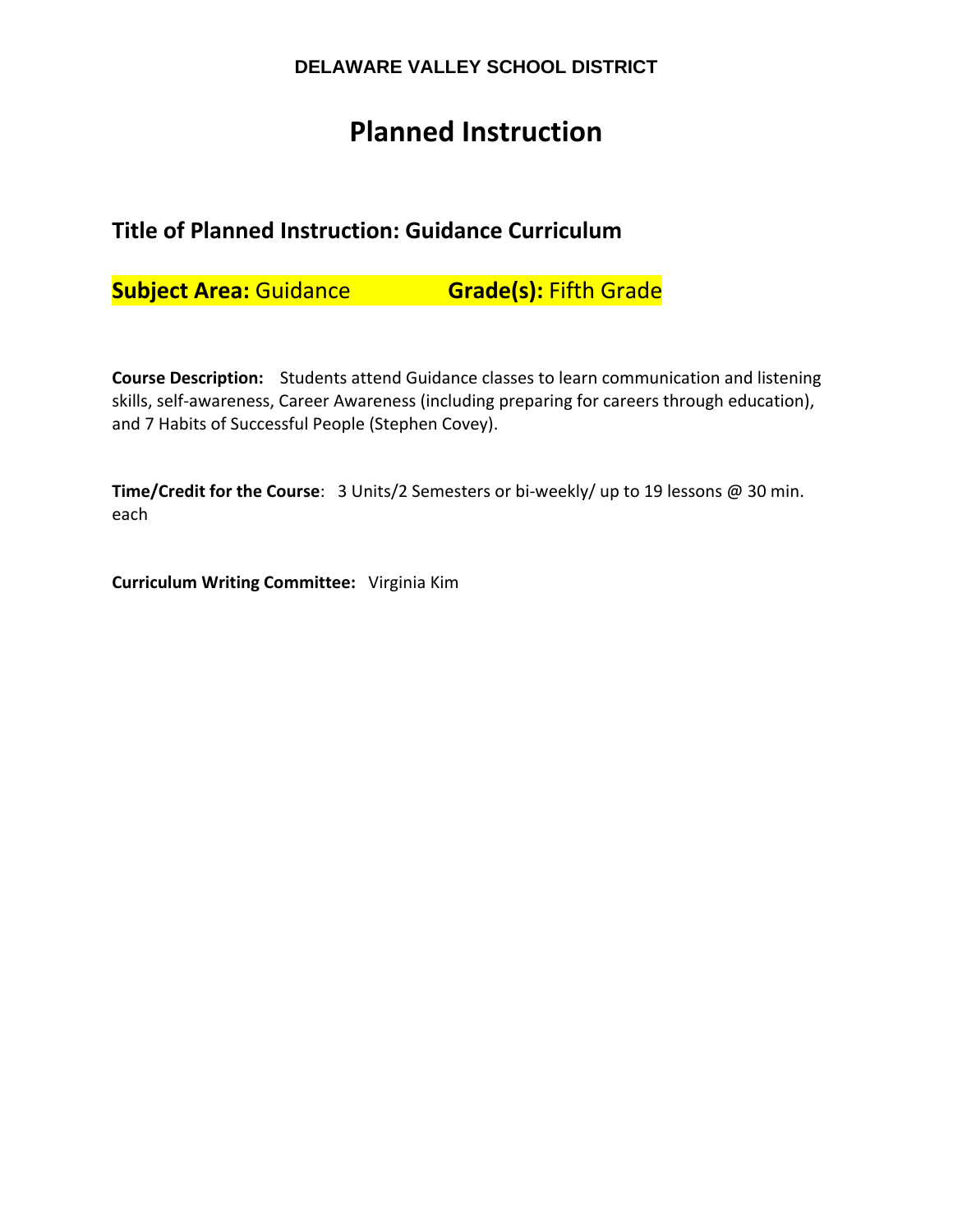# **Planned Instruction**

# **Title of Planned Instruction: Guidance Curriculum**

**Subject Area:** Guidance **Grade(s):** Fifth Grade

**Course Description:**  Students attend Guidance classes to learn communication and listening skills, self-awareness, Career Awareness (including preparing for careers through education), and 7 Habits of Successful People (Stephen Covey).

**Time/Credit for the Course**: 3 Units/2 Semesters or bi‐weekly/ up to 19 lessons @ 30 min. each

**Curriculum Writing Committee:** Virginia Kim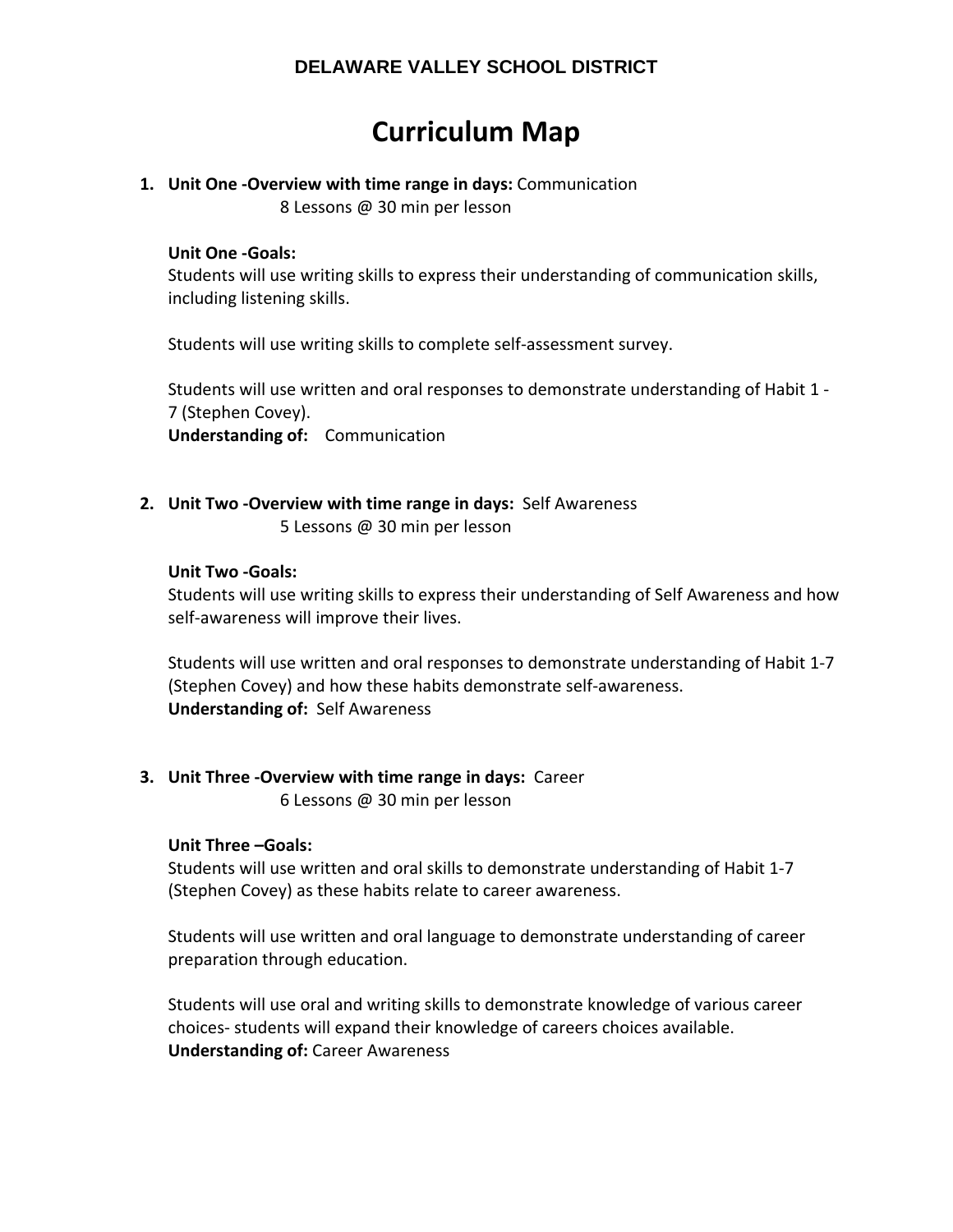# **Curriculum Map**

# **1. Unit One ‐Overview with time range in days:** Communication

8 Lessons @ 30 min per lesson

## **Unit One ‐Goals:**

Students will use writing skills to express their understanding of communication skills, including listening skills.

Students will use writing skills to complete self‐assessment survey.

Students will use written and oral responses to demonstrate understanding of Habit 1 ‐ 7 (Stephen Covey). **Understanding of:** Communication

# **2. Unit Two ‐Overview with time range in days:** Self Awareness

5 Lessons @ 30 min per lesson

## **Unit Two ‐Goals:**

Students will use writing skills to express their understanding of Self Awareness and how self-awareness will improve their lives.

Students will use written and oral responses to demonstrate understanding of Habit 1‐7 (Stephen Covey) and how these habits demonstrate self‐awareness. **Understanding of: Self Awareness** 

# **3. Unit Three ‐Overview with time range in days:** Career

6 Lessons @ 30 min per lesson

## **Unit Three –Goals:**

Students will use written and oral skills to demonstrate understanding of Habit 1‐7 (Stephen Covey) as these habits relate to career awareness.

Students will use written and oral language to demonstrate understanding of career preparation through education.

Students will use oral and writing skills to demonstrate knowledge of various career choices‐ students will expand their knowledge of careers choices available. **Understanding of:** Career Awareness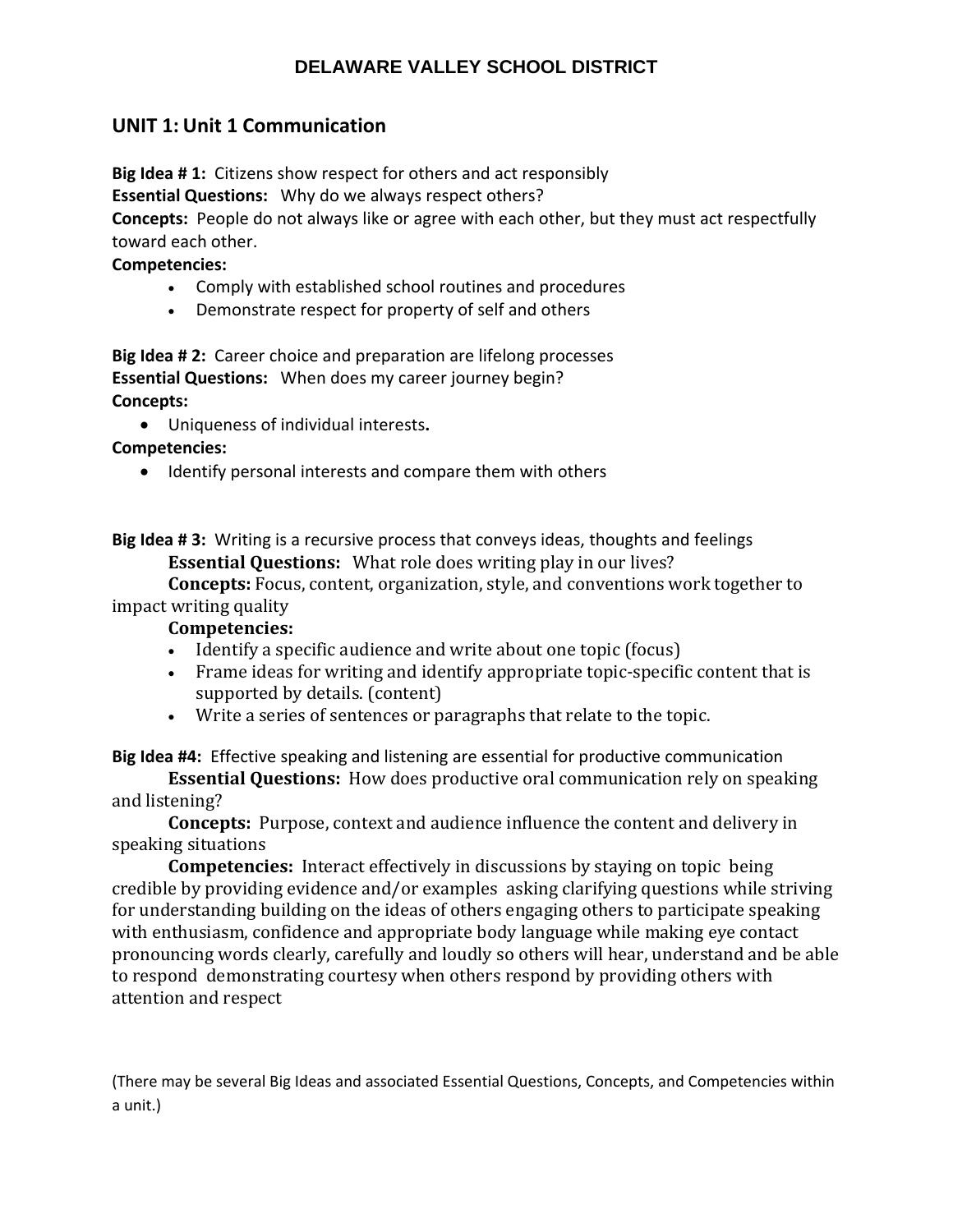# **UNIT 1: Unit 1 Communication**

**Big Idea # 1:** Citizens show respect for others and act responsibly

**Essential Questions:** Why do we always respect others?

**Concepts:** People do not always like or agree with each other, but they must act respectfully toward each other.

## **Competencies:**

- Comply with established school routines and procedures
- Demonstrate respect for property of self and others

**Big Idea # 2:** Career choice and preparation are lifelong processes **Essential Questions:** When does my career journey begin? **Concepts:** 

Uniqueness of individual interests**.**

**Competencies:** 

• Identify personal interests and compare them with others

**Big Idea # 3:** Writing is a recursive process that conveys ideas, thoughts and feelings **Essential Questions:** What role does writing play in our lives?

**Concepts:** Focus, content, organization, style, and conventions work together to impact writing quality

## **Competencies:**

- Identify a specific audience and write about one topic (focus)
- Frame ideas for writing and identify appropriate topic-specific content that is supported by details. (content)
- Write a series of sentences or paragraphs that relate to the topic.

**Big Idea #4:** Effective speaking and listening are essential for productive communication

**Essential Questions:** How does productive oral communication rely on speaking and listening?

**Concepts:** Purpose, context and audience influence the content and delivery in speaking situations

**Competencies:** Interact effectively in discussions by staying on topic being credible by providing evidence and/or examples asking clarifying questions while striving for understanding building on the ideas of others engaging others to participate speaking with enthusiasm, confidence and appropriate body language while making eye contact pronouncing words clearly, carefully and loudly so others will hear, understand and be able to respond demonstrating courtesy when others respond by providing others with attention and respect

(There may be several Big Ideas and associated Essential Questions, Concepts, and Competencies within a unit.)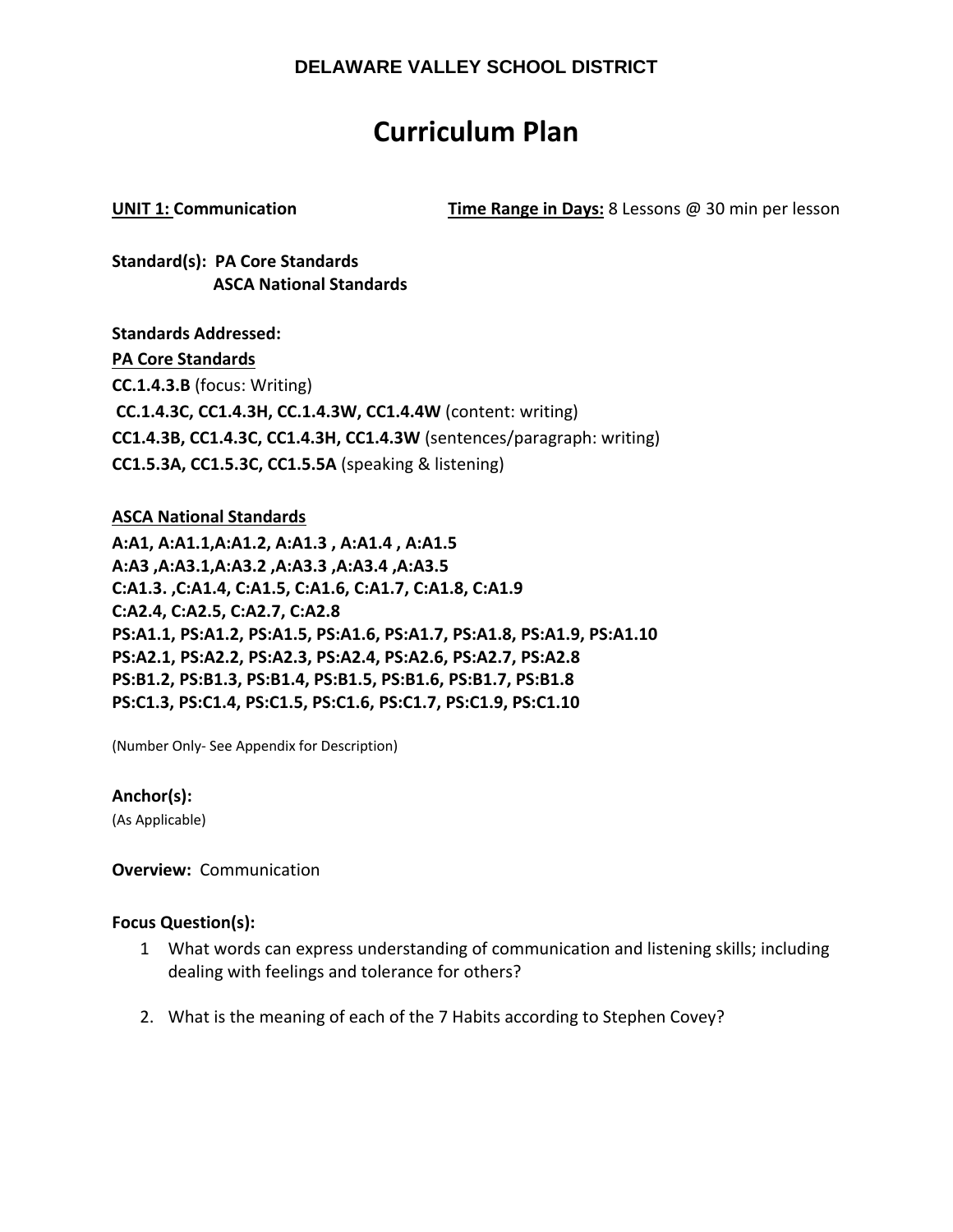# **Curriculum Plan**

**UNIT 1: Communication Time Range in Days:** 8 Lessons @ 30 min per lesson

**Standard(s): PA Core Standards ASCA National Standards**

**Standards Addressed: PA Core Standards CC.1.4.3.B** (focus: Writing) **CC.1.4.3C, CC1.4.3H, CC.1.4.3W, CC1.4.4W** (content: writing) **CC1.4.3B, CC1.4.3C, CC1.4.3H, CC1.4.3W** (sentences/paragraph: writing) **CC1.5.3A, CC1.5.3C, CC1.5.5A** (speaking & listening)

**ASCA National Standards A:A1, A:A1.1,A:A1.2, A:A1.3 , A:A1.4 , A:A1.5 A:A3 ,A:A3.1,A:A3.2 ,A:A3.3 ,A:A3.4 ,A:A3.5 C:A1.3. ,C:A1.4, C:A1.5, C:A1.6, C:A1.7, C:A1.8, C:A1.9 C:A2.4, C:A2.5, C:A2.7, C:A2.8 PS:A1.1, PS:A1.2, PS:A1.5, PS:A1.6, PS:A1.7, PS:A1.8, PS:A1.9, PS:A1.10 PS:A2.1, PS:A2.2, PS:A2.3, PS:A2.4, PS:A2.6, PS:A2.7, PS:A2.8 PS:B1.2, PS:B1.3, PS:B1.4, PS:B1.5, PS:B1.6, PS:B1.7, PS:B1.8 PS:C1.3, PS:C1.4, PS:C1.5, PS:C1.6, PS:C1.7, PS:C1.9, PS:C1.10** 

(Number Only‐ See Appendix for Description)

**Anchor(s):**

(As Applicable)

**Overview: Communication** 

## **Focus Question(s):**

- 1 What words can express understanding of communication and listening skills; including dealing with feelings and tolerance for others?
- 2. What is the meaning of each of the 7 Habits according to Stephen Covey?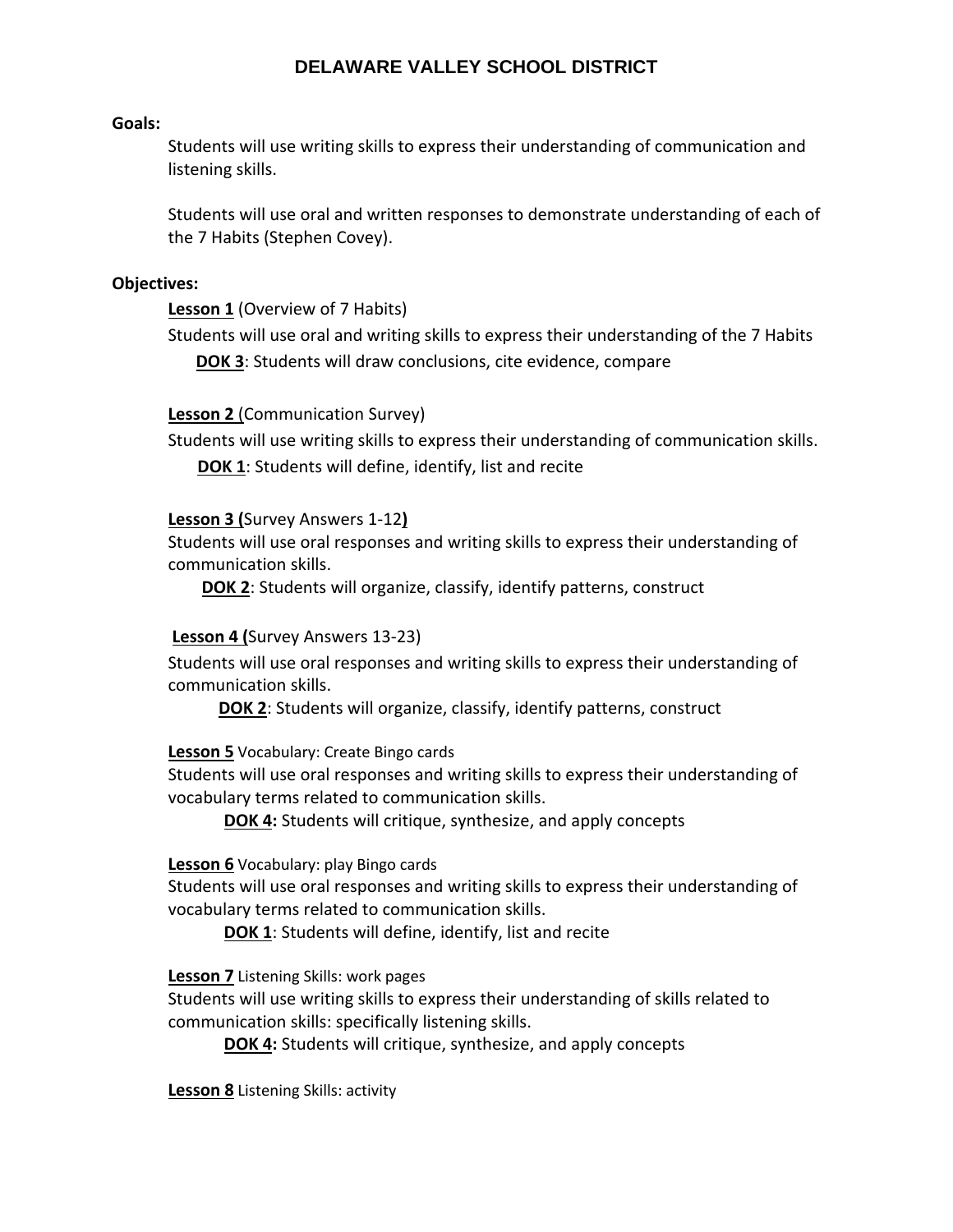#### **Goals:**

Students will use writing skills to express their understanding of communication and listening skills.

Students will use oral and written responses to demonstrate understanding of each of the 7 Habits (Stephen Covey).

#### **Objectives:**

**Lesson 1** (Overview of 7 Habits)

Students will use oral and writing skills to express their understanding of the 7 Habits **DOK 3**: Students will draw conclusions, cite evidence, compare

## **Lesson 2** (Communication Survey)

Students will use writing skills to express their understanding of communication skills. **DOK 1**: Students will define, identify, list and recite

## **Lesson 3 (**Survey Answers 1‐12**)**

Students will use oral responses and writing skills to express their understanding of communication skills.

**DOK 2**: Students will organize, classify, identify patterns, construct

## **Lesson 4 (**Survey Answers 13‐23)

Students will use oral responses and writing skills to express their understanding of communication skills.

**DOK 2**: Students will organize, classify, identify patterns, construct

**Lesson 5** Vocabulary: Create Bingo cards

Students will use oral responses and writing skills to express their understanding of vocabulary terms related to communication skills.

**DOK 4:** Students will critique, synthesize, and apply concepts

## **Lesson 6** Vocabulary: play Bingo cards

Students will use oral responses and writing skills to express their understanding of vocabulary terms related to communication skills.

**DOK 1**: Students will define, identify, list and recite

**Lesson 7** Listening Skills: work pages

Students will use writing skills to express their understanding of skills related to communication skills: specifically listening skills.

**DOK 4:** Students will critique, synthesize, and apply concepts

**Lesson 8** Listening Skills: activity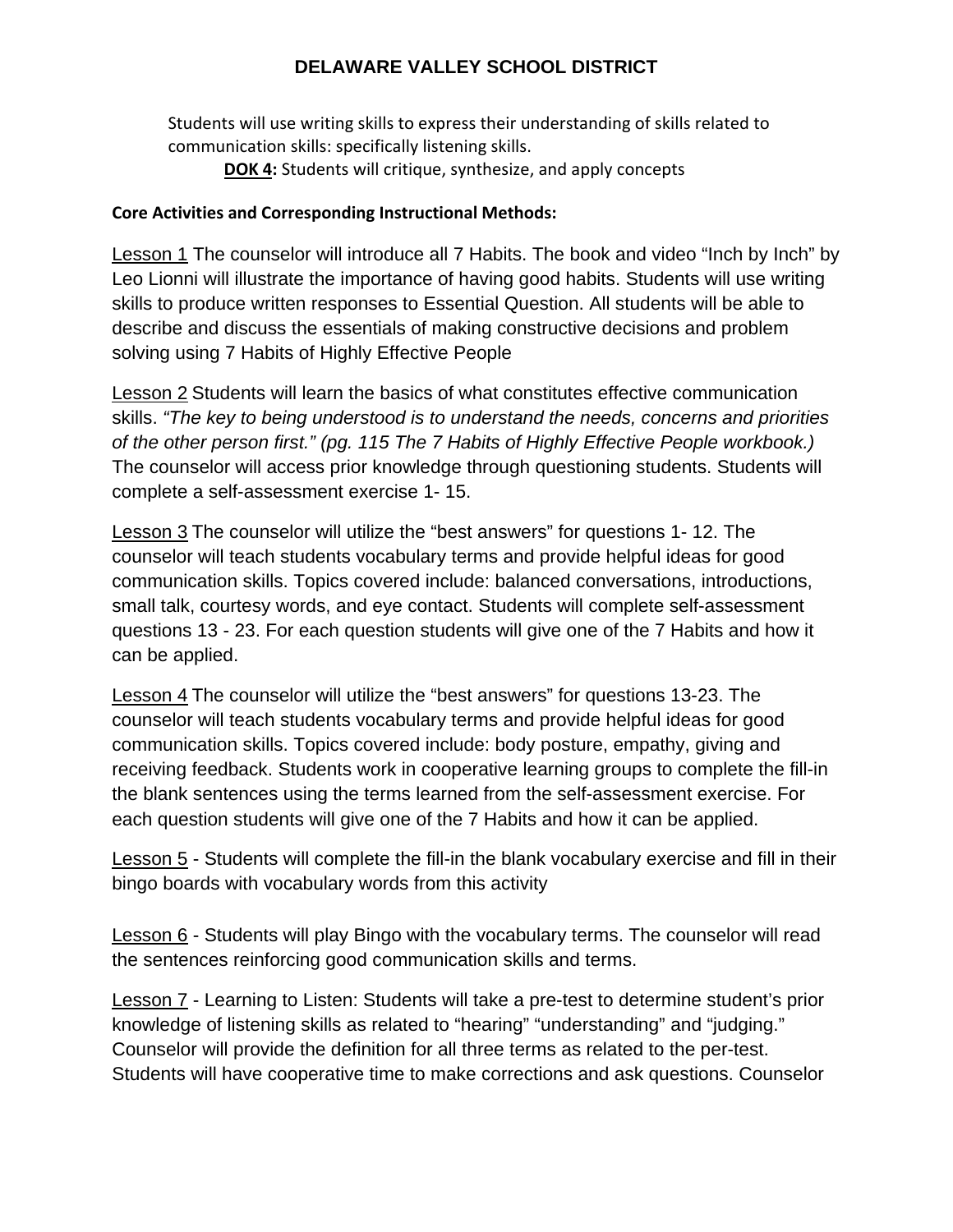Students will use writing skills to express their understanding of skills related to communication skills: specifically listening skills.

**DOK 4:** Students will critique, synthesize, and apply concepts

## **Core Activities and Corresponding Instructional Methods:**

Lesson 1 The counselor will introduce all 7 Habits. The book and video "Inch by Inch" by Leo Lionni will illustrate the importance of having good habits. Students will use writing skills to produce written responses to Essential Question. All students will be able to describe and discuss the essentials of making constructive decisions and problem solving using 7 Habits of Highly Effective People

Lesson 2 Students will learn the basics of what constitutes effective communication skills. *"The key to being understood is to understand the needs, concerns and priorities of the other person first." (pg. 115 The 7 Habits of Highly Effective People workbook.)* The counselor will access prior knowledge through questioning students. Students will complete a self-assessment exercise 1- 15.

Lesson 3 The counselor will utilize the "best answers" for questions 1- 12. The counselor will teach students vocabulary terms and provide helpful ideas for good communication skills. Topics covered include: balanced conversations, introductions, small talk, courtesy words, and eye contact. Students will complete self-assessment questions 13 - 23. For each question students will give one of the 7 Habits and how it can be applied.

Lesson 4 The counselor will utilize the "best answers" for questions 13-23. The counselor will teach students vocabulary terms and provide helpful ideas for good communication skills. Topics covered include: body posture, empathy, giving and receiving feedback. Students work in cooperative learning groups to complete the fill-in the blank sentences using the terms learned from the self-assessment exercise. For each question students will give one of the 7 Habits and how it can be applied.

Lesson 5 - Students will complete the fill-in the blank vocabulary exercise and fill in their bingo boards with vocabulary words from this activity

Lesson 6 - Students will play Bingo with the vocabulary terms. The counselor will read the sentences reinforcing good communication skills and terms.

Lesson 7 - Learning to Listen: Students will take a pre-test to determine student's prior knowledge of listening skills as related to "hearing" "understanding" and "judging." Counselor will provide the definition for all three terms as related to the per-test. Students will have cooperative time to make corrections and ask questions. Counselor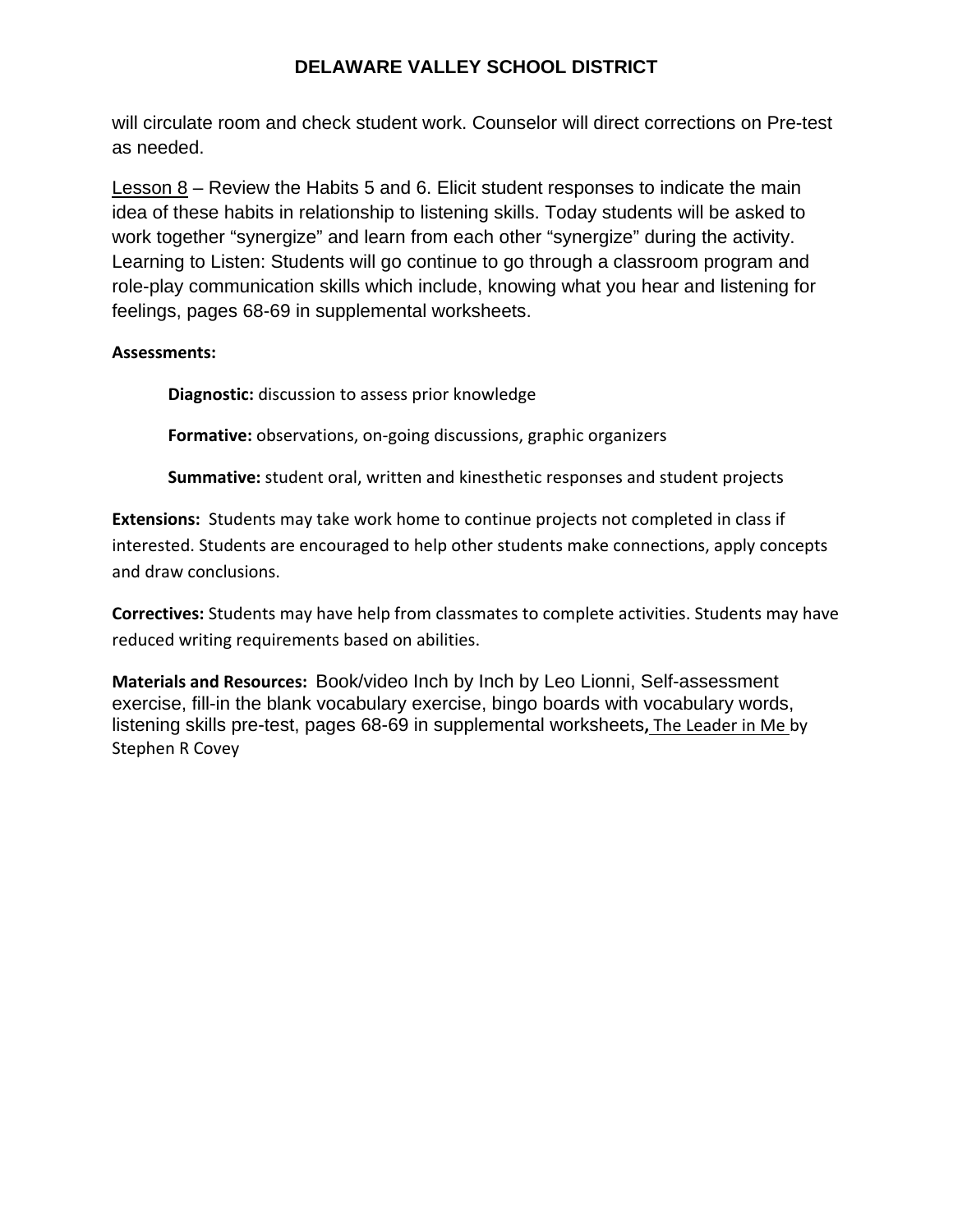will circulate room and check student work. Counselor will direct corrections on Pre-test as needed.

Lesson 8 – Review the Habits 5 and 6. Elicit student responses to indicate the main idea of these habits in relationship to listening skills. Today students will be asked to work together "synergize" and learn from each other "synergize" during the activity. Learning to Listen: Students will go continue to go through a classroom program and role-play communication skills which include, knowing what you hear and listening for feelings, pages 68-69 in supplemental worksheets.

## **Assessments:**

**Diagnostic:** discussion to assess prior knowledge

**Formative:** observations, on‐going discussions, graphic organizers

**Summative:** student oral, written and kinesthetic responses and student projects

**Extensions:** Students may take work home to continue projects not completed in class if interested. Students are encouraged to help other students make connections, apply concepts and draw conclusions.

**Correctives:** Students may have help from classmates to complete activities. Students may have reduced writing requirements based on abilities.

**Materials and Resources:** Book/video Inch by Inch by Leo Lionni, Self-assessment exercise, fill-in the blank vocabulary exercise, bingo boards with vocabulary words, listening skills pre-test, pages 68-69 in supplemental worksheets**,** The Leader in Me by Stephen R Covey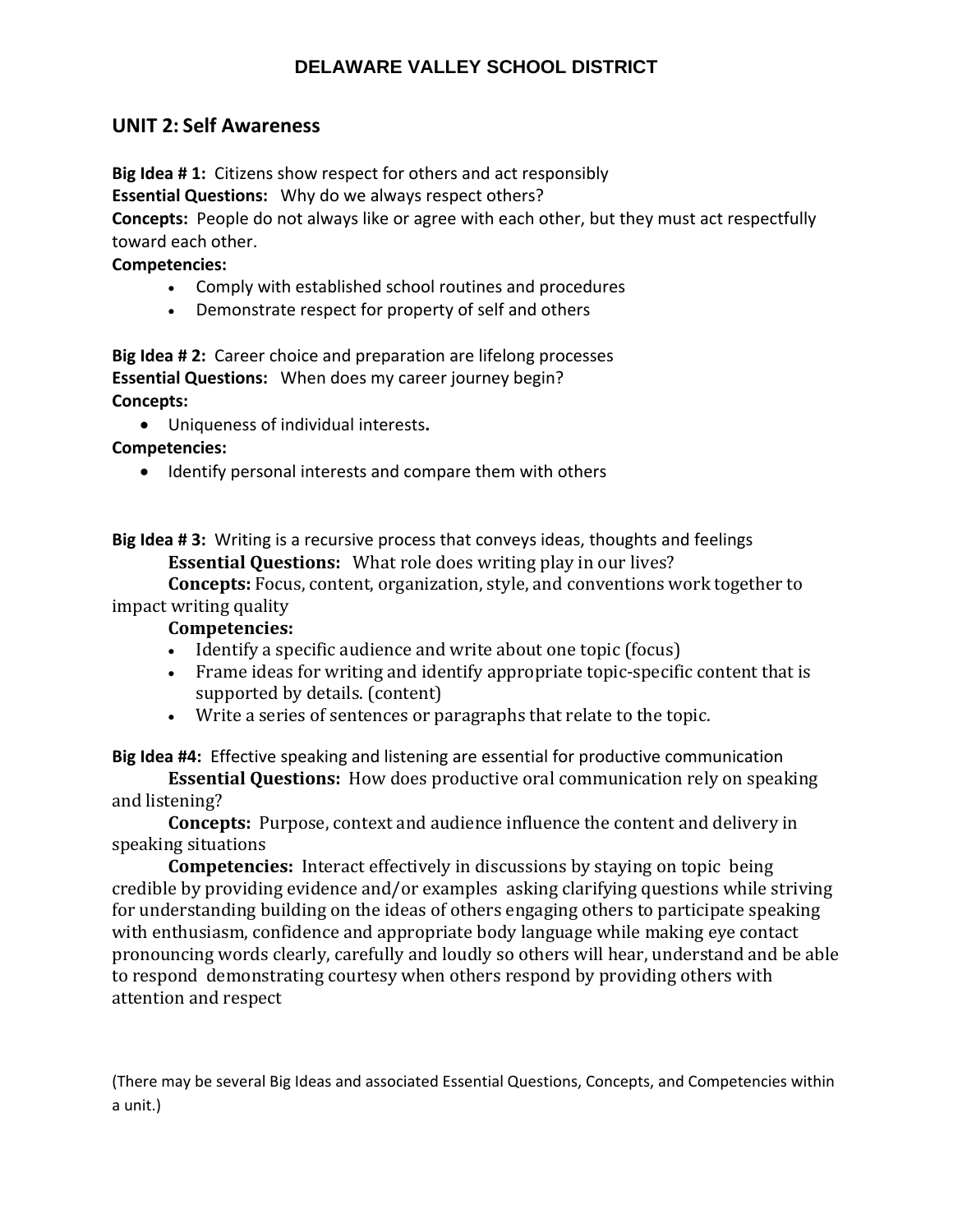## **UNIT 2: Self Awareness**

**Big Idea # 1:** Citizens show respect for others and act responsibly **Essential Questions:** Why do we always respect others?

**Concepts:** People do not always like or agree with each other, but they must act respectfully toward each other.

## **Competencies:**

- Comply with established school routines and procedures
- Demonstrate respect for property of self and others

**Big Idea # 2:** Career choice and preparation are lifelong processes **Essential Questions:** When does my career journey begin? **Concepts:** 

Uniqueness of individual interests**.**

**Competencies:** 

• Identify personal interests and compare them with others

**Big Idea # 3:** Writing is a recursive process that conveys ideas, thoughts and feelings **Essential Questions:** What role does writing play in our lives?

**Concepts:** Focus, content, organization, style, and conventions work together to impact writing quality

## **Competencies:**

- Identify a specific audience and write about one topic (focus)
- Frame ideas for writing and identify appropriate topic-specific content that is supported by details. (content)
- Write a series of sentences or paragraphs that relate to the topic.

**Big Idea #4:** Effective speaking and listening are essential for productive communication

**Essential Questions:** How does productive oral communication rely on speaking and listening?

**Concepts:** Purpose, context and audience influence the content and delivery in speaking situations

**Competencies:** Interact effectively in discussions by staying on topic being credible by providing evidence and/or examples asking clarifying questions while striving for understanding building on the ideas of others engaging others to participate speaking with enthusiasm, confidence and appropriate body language while making eye contact pronouncing words clearly, carefully and loudly so others will hear, understand and be able to respond demonstrating courtesy when others respond by providing others with attention and respect

(There may be several Big Ideas and associated Essential Questions, Concepts, and Competencies within a unit.)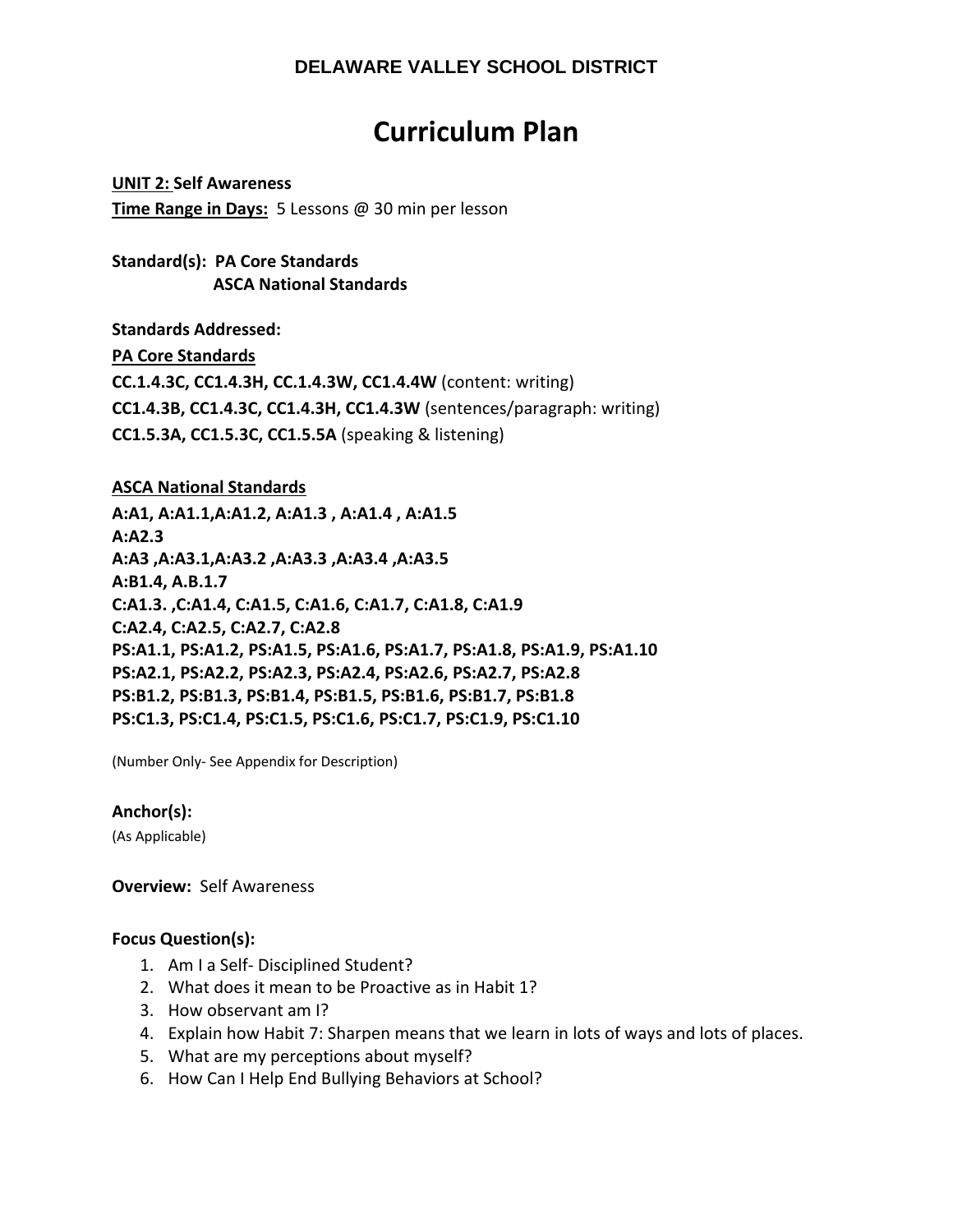# **Curriculum Plan**

**UNIT 2: Self Awareness Time Range in Days:** 5 Lessons @ 30 min per lesson

**Standard(s): PA Core Standards ASCA National Standards**

**Standards Addressed: PA Core Standards CC.1.4.3C, CC1.4.3H, CC.1.4.3W, CC1.4.4W** (content: writing) **CC1.4.3B, CC1.4.3C, CC1.4.3H, CC1.4.3W** (sentences/paragraph: writing) **CC1.5.3A, CC1.5.3C, CC1.5.5A** (speaking & listening)

**ASCA National Standards**

**A:A1, A:A1.1,A:A1.2, A:A1.3 , A:A1.4 , A:A1.5 A:A2.3 A:A3 ,A:A3.1,A:A3.2 ,A:A3.3 ,A:A3.4 ,A:A3.5 A:B1.4, A.B.1.7 C:A1.3. ,C:A1.4, C:A1.5, C:A1.6, C:A1.7, C:A1.8, C:A1.9 C:A2.4, C:A2.5, C:A2.7, C:A2.8 PS:A1.1, PS:A1.2, PS:A1.5, PS:A1.6, PS:A1.7, PS:A1.8, PS:A1.9, PS:A1.10 PS:A2.1, PS:A2.2, PS:A2.3, PS:A2.4, PS:A2.6, PS:A2.7, PS:A2.8 PS:B1.2, PS:B1.3, PS:B1.4, PS:B1.5, PS:B1.6, PS:B1.7, PS:B1.8 PS:C1.3, PS:C1.4, PS:C1.5, PS:C1.6, PS:C1.7, PS:C1.9, PS:C1.10** 

(Number Only‐ See Appendix for Description)

**Anchor(s):**

(As Applicable)

**Overview: Self Awareness** 

## **Focus Question(s):**

- 1. Am I a Self‐ Disciplined Student?
- 2. What does it mean to be Proactive as in Habit 1?
- 3. How observant am I?
- 4. Explain how Habit 7: Sharpen means that we learn in lots of ways and lots of places.
- 5. What are my perceptions about myself?
- 6. How Can I Help End Bullying Behaviors at School?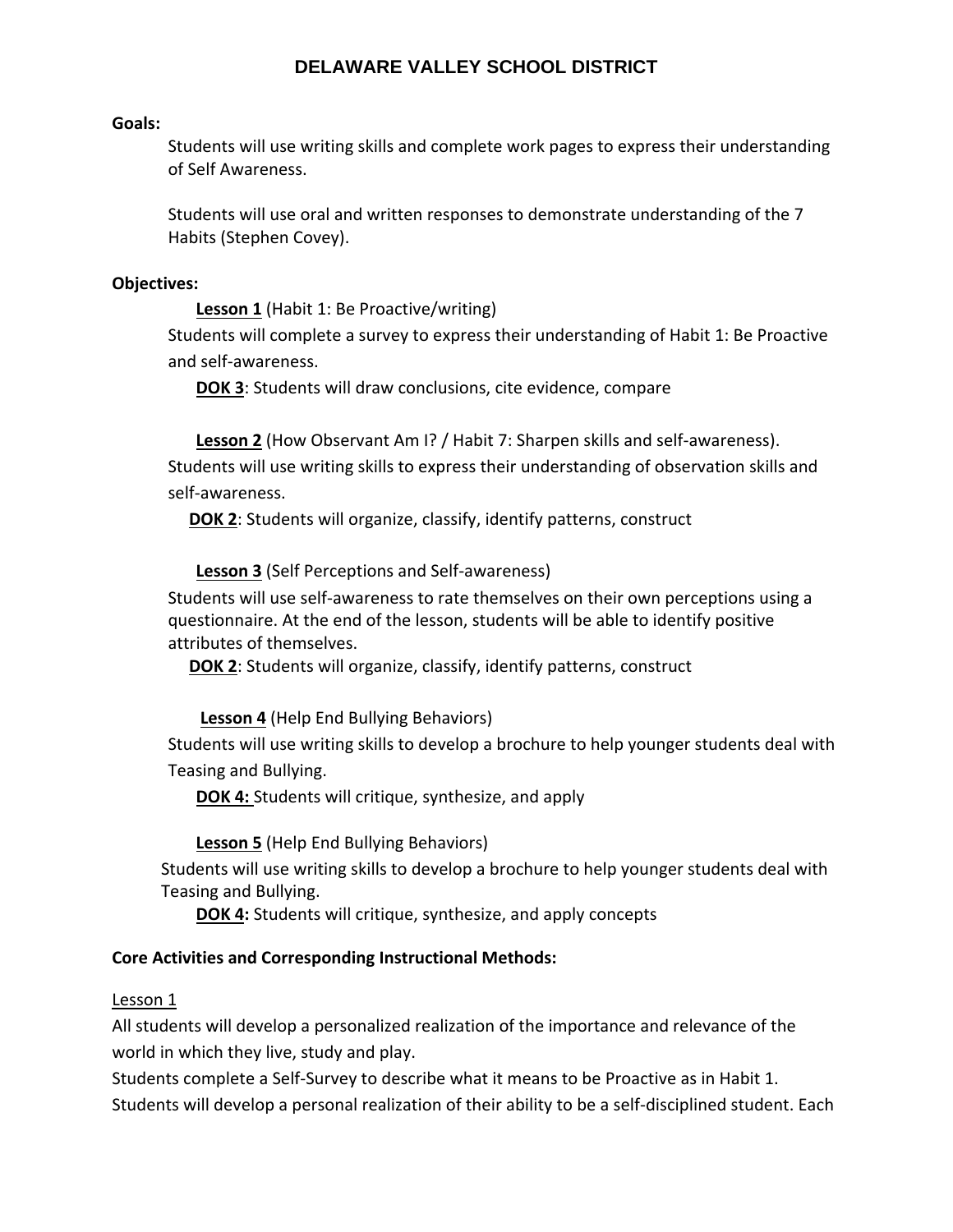#### **Goals:**

Students will use writing skills and complete work pages to express their understanding of Self Awareness.

Students will use oral and written responses to demonstrate understanding of the 7 Habits (Stephen Covey).

#### **Objectives:**

**Lesson 1** (Habit 1: Be Proactive/writing)

Students will complete a survey to express their understanding of Habit 1: Be Proactive and self‐awareness.

**DOK 3**: Students will draw conclusions, cite evidence, compare

**Lesson 2** (How Observant Am I? / Habit 7: Sharpen skills and self‐awareness). Students will use writing skills to express their understanding of observation skills and self‐awareness.

**DOK 2**: Students will organize, classify, identify patterns, construct

**Lesson 3** (Self Perceptions and Self‐awareness)

Students will use self‐awareness to rate themselves on their own perceptions using a questionnaire. At the end of the lesson, students will be able to identify positive attributes of themselves.

**DOK 2**: Students will organize, classify, identify patterns, construct

**Lesson 4** (Help End Bullying Behaviors)

Students will use writing skills to develop a brochure to help younger students deal with Teasing and Bullying.

**DOK 4:** Students will critique, synthesize, and apply

**Lesson 5** (Help End Bullying Behaviors)

 Students will use writing skills to develop a brochure to help younger students deal with Teasing and Bullying.

**DOK 4:** Students will critique, synthesize, and apply concepts

#### **Core Activities and Corresponding Instructional Methods:**

#### Lesson 1

All students will develop a personalized realization of the importance and relevance of the world in which they live, study and play.

Students complete a Self‐Survey to describe what it means to be Proactive as in Habit 1. Students will develop a personal realization of their ability to be a self‐disciplined student. Each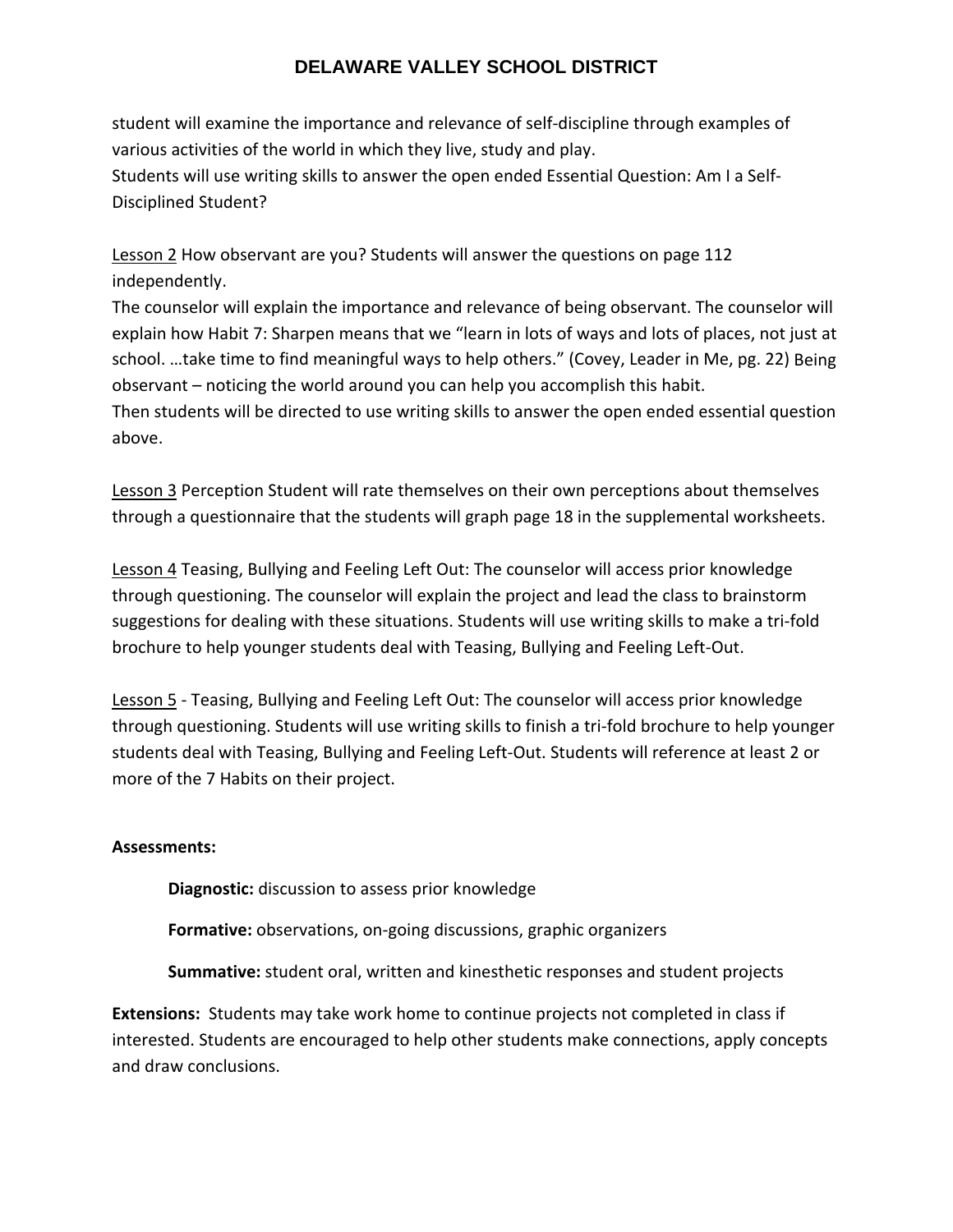student will examine the importance and relevance of self‐discipline through examples of various activities of the world in which they live, study and play. Students will use writing skills to answer the open ended Essential Question: Am I a Self‐ Disciplined Student?

Lesson 2 How observant are you? Students will answer the questions on page 112 independently.

The counselor will explain the importance and relevance of being observant. The counselor will explain how Habit 7: Sharpen means that we "learn in lots of ways and lots of places, not just at school. …take time to find meaningful ways to help others." (Covey, Leader in Me, pg. 22) Being observant – noticing the world around you can help you accomplish this habit.

Then students will be directed to use writing skills to answer the open ended essential question above.

Lesson 3 Perception Student will rate themselves on their own perceptions about themselves through a questionnaire that the students will graph page 18 in the supplemental worksheets.

Lesson 4 Teasing, Bullying and Feeling Left Out: The counselor will access prior knowledge through questioning. The counselor will explain the project and lead the class to brainstorm suggestions for dealing with these situations. Students will use writing skills to make a tri‐fold brochure to help younger students deal with Teasing, Bullying and Feeling Left‐Out.

Lesson 5 - Teasing, Bullying and Feeling Left Out: The counselor will access prior knowledge through questioning. Students will use writing skills to finish a tri‐fold brochure to help younger students deal with Teasing, Bullying and Feeling Left‐Out. Students will reference at least 2 or more of the 7 Habits on their project.

## **Assessments:**

**Diagnostic:** discussion to assess prior knowledge

**Formative:** observations, on‐going discussions, graphic organizers

**Summative:** student oral, written and kinesthetic responses and student projects

**Extensions:** Students may take work home to continue projects not completed in class if interested. Students are encouraged to help other students make connections, apply concepts and draw conclusions.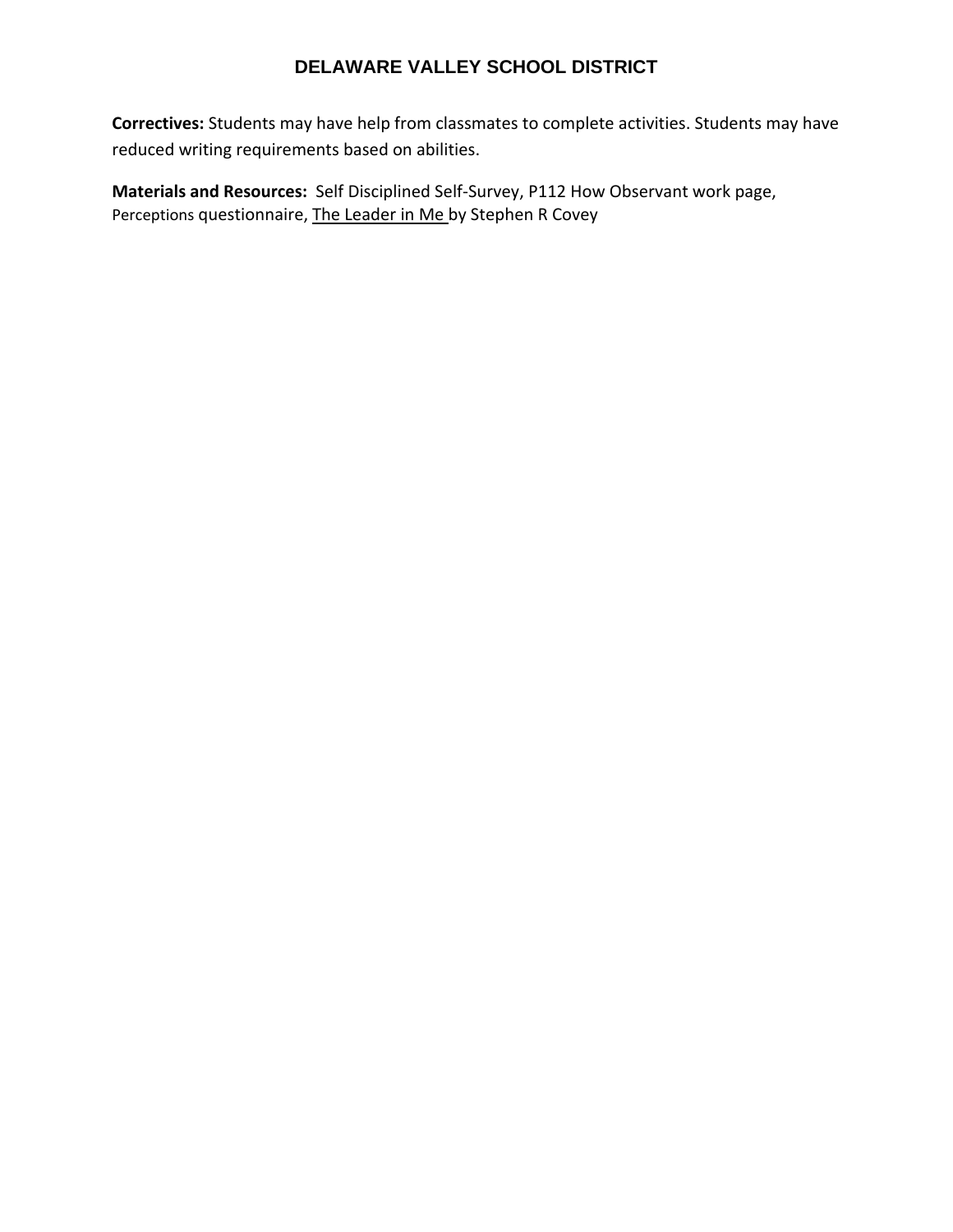**Correctives:** Students may have help from classmates to complete activities. Students may have reduced writing requirements based on abilities.

**Materials and Resources:** Self Disciplined Self‐Survey, P112 How Observant work page, Perceptions questionnaire, The Leader in Me by Stephen R Covey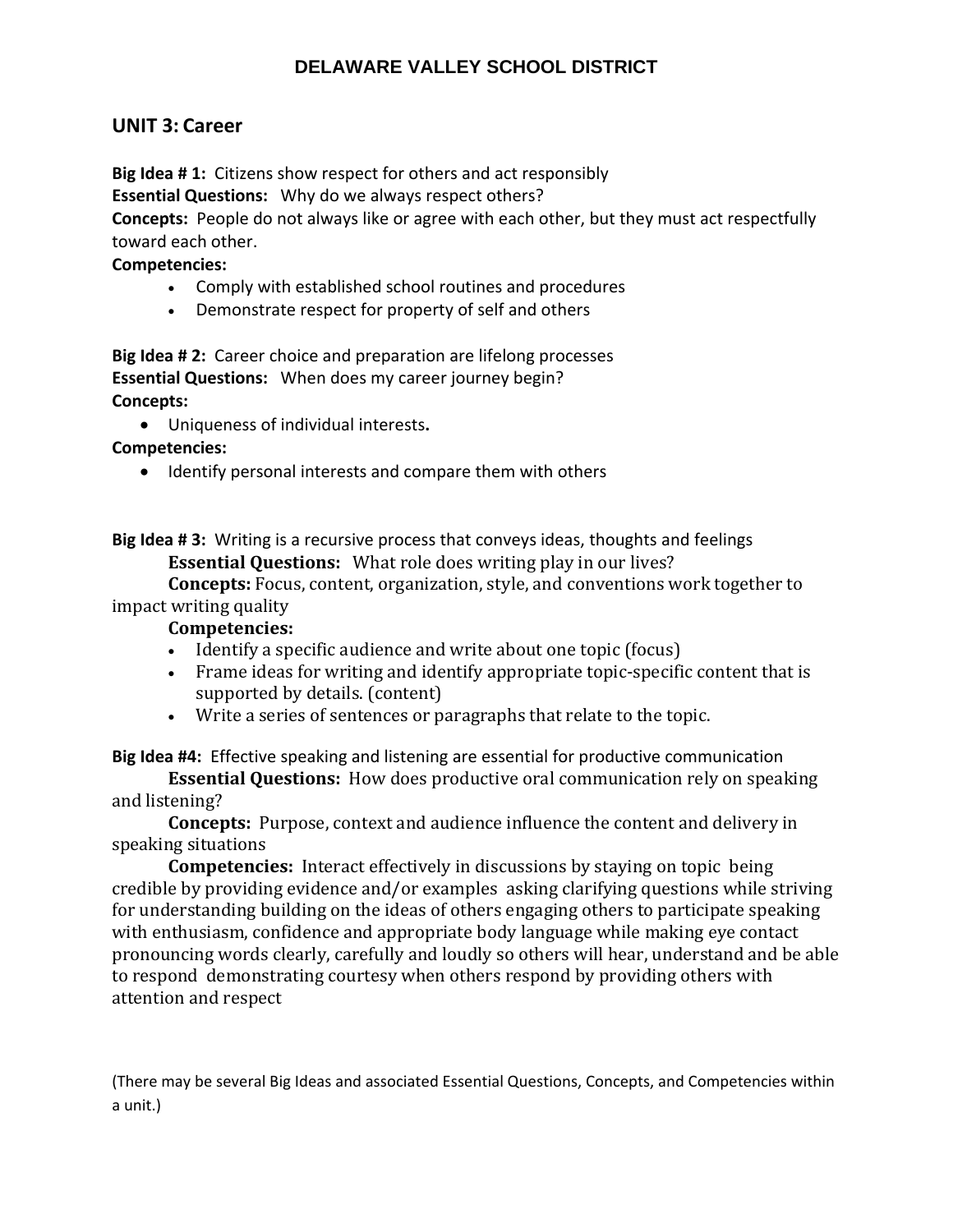## **UNIT 3: Career**

**Big Idea # 1:** Citizens show respect for others and act responsibly

**Essential Questions:** Why do we always respect others?

**Concepts:** People do not always like or agree with each other, but they must act respectfully toward each other.

## **Competencies:**

- Comply with established school routines and procedures
- Demonstrate respect for property of self and others

**Big Idea # 2:** Career choice and preparation are lifelong processes **Essential Questions:** When does my career journey begin? **Concepts:** 

Uniqueness of individual interests**.**

**Competencies:** 

• Identify personal interests and compare them with others

**Big Idea # 3:** Writing is a recursive process that conveys ideas, thoughts and feelings **Essential Questions:** What role does writing play in our lives?

**Concepts:** Focus, content, organization, style, and conventions work together to impact writing quality

## **Competencies:**

- Identify a specific audience and write about one topic (focus)
- Frame ideas for writing and identify appropriate topic-specific content that is supported by details. (content)
- Write a series of sentences or paragraphs that relate to the topic.

**Big Idea #4:** Effective speaking and listening are essential for productive communication

**Essential Questions:** How does productive oral communication rely on speaking and listening?

**Concepts:** Purpose, context and audience influence the content and delivery in speaking situations

**Competencies:** Interact effectively in discussions by staying on topic being credible by providing evidence and/or examples asking clarifying questions while striving for understanding building on the ideas of others engaging others to participate speaking with enthusiasm, confidence and appropriate body language while making eye contact pronouncing words clearly, carefully and loudly so others will hear, understand and be able to respond demonstrating courtesy when others respond by providing others with attention and respect

(There may be several Big Ideas and associated Essential Questions, Concepts, and Competencies within a unit.)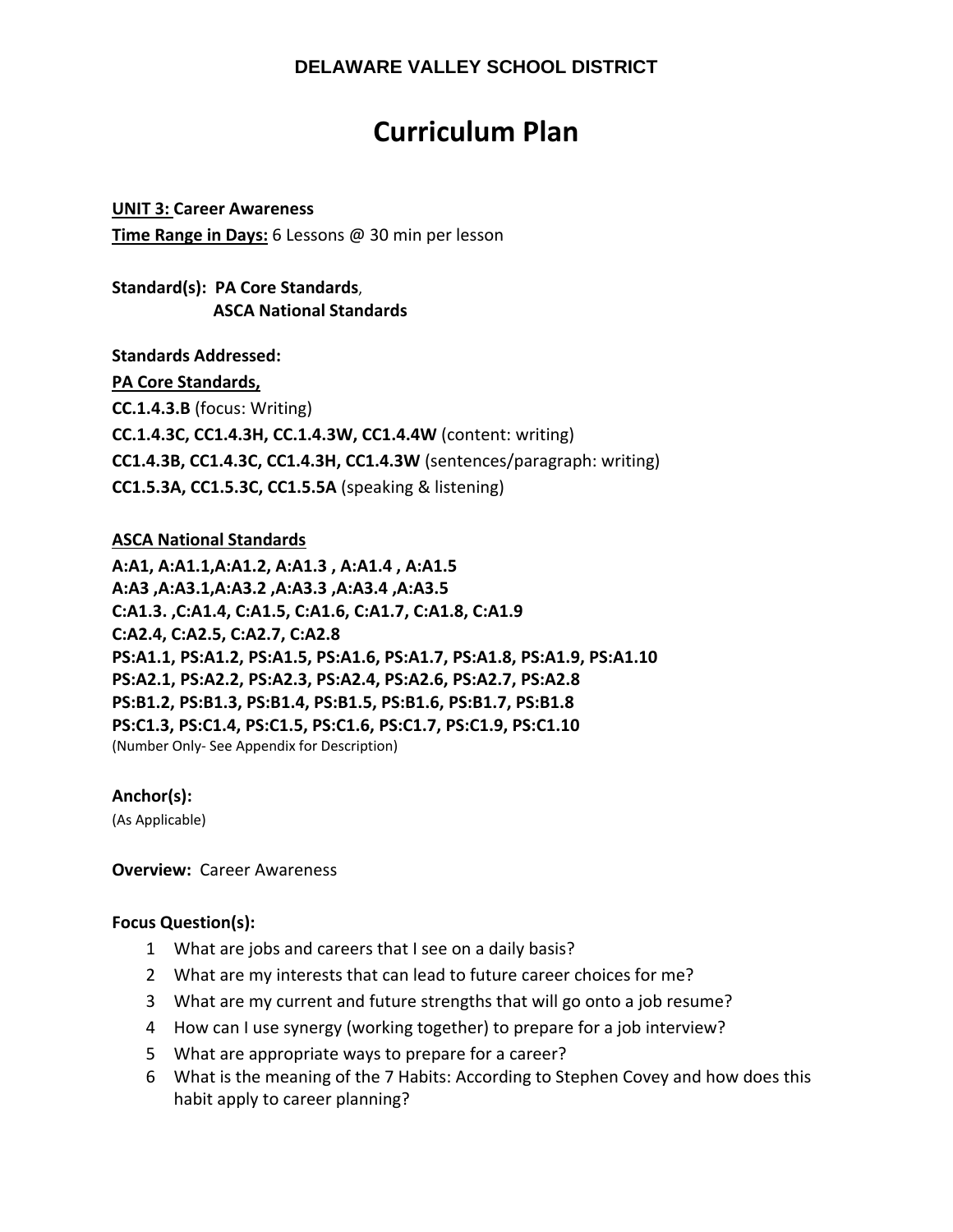# **Curriculum Plan**

**UNIT 3: Career Awareness Time Range in Days:** 6 Lessons @ 30 min per lesson

**CC1.5.3A, CC1.5.3C, CC1.5.5A** (speaking & listening)

## **Standard(s): PA Core Standards**,  **ASCA National Standards**

**Standards Addressed: PA Core Standards, CC.1.4.3.B** (focus: Writing) **CC.1.4.3C, CC1.4.3H, CC.1.4.3W, CC1.4.4W** (content: writing) **CC1.4.3B, CC1.4.3C, CC1.4.3H, CC1.4.3W** (sentences/paragraph: writing)

## **ASCA National Standards**

**A:A1, A:A1.1,A:A1.2, A:A1.3 , A:A1.4 , A:A1.5 A:A3 ,A:A3.1,A:A3.2 ,A:A3.3 ,A:A3.4 ,A:A3.5 C:A1.3. ,C:A1.4, C:A1.5, C:A1.6, C:A1.7, C:A1.8, C:A1.9 C:A2.4, C:A2.5, C:A2.7, C:A2.8 PS:A1.1, PS:A1.2, PS:A1.5, PS:A1.6, PS:A1.7, PS:A1.8, PS:A1.9, PS:A1.10 PS:A2.1, PS:A2.2, PS:A2.3, PS:A2.4, PS:A2.6, PS:A2.7, PS:A2.8 PS:B1.2, PS:B1.3, PS:B1.4, PS:B1.5, PS:B1.6, PS:B1.7, PS:B1.8 PS:C1.3, PS:C1.4, PS:C1.5, PS:C1.6, PS:C1.7, PS:C1.9, PS:C1.10**  (Number Only‐ See Appendix for Description)

## **Anchor(s):**

(As Applicable)

**Overview: Career Awareness** 

## **Focus Question(s):**

- 1 What are jobs and careers that I see on a daily basis?
- 2 What are my interests that can lead to future career choices for me?
- 3 What are my current and future strengths that will go onto a job resume?
- 4 How can I use synergy (working together) to prepare for a job interview?
- 5 What are appropriate ways to prepare for a career?
- 6 What is the meaning of the 7 Habits: According to Stephen Covey and how does this habit apply to career planning?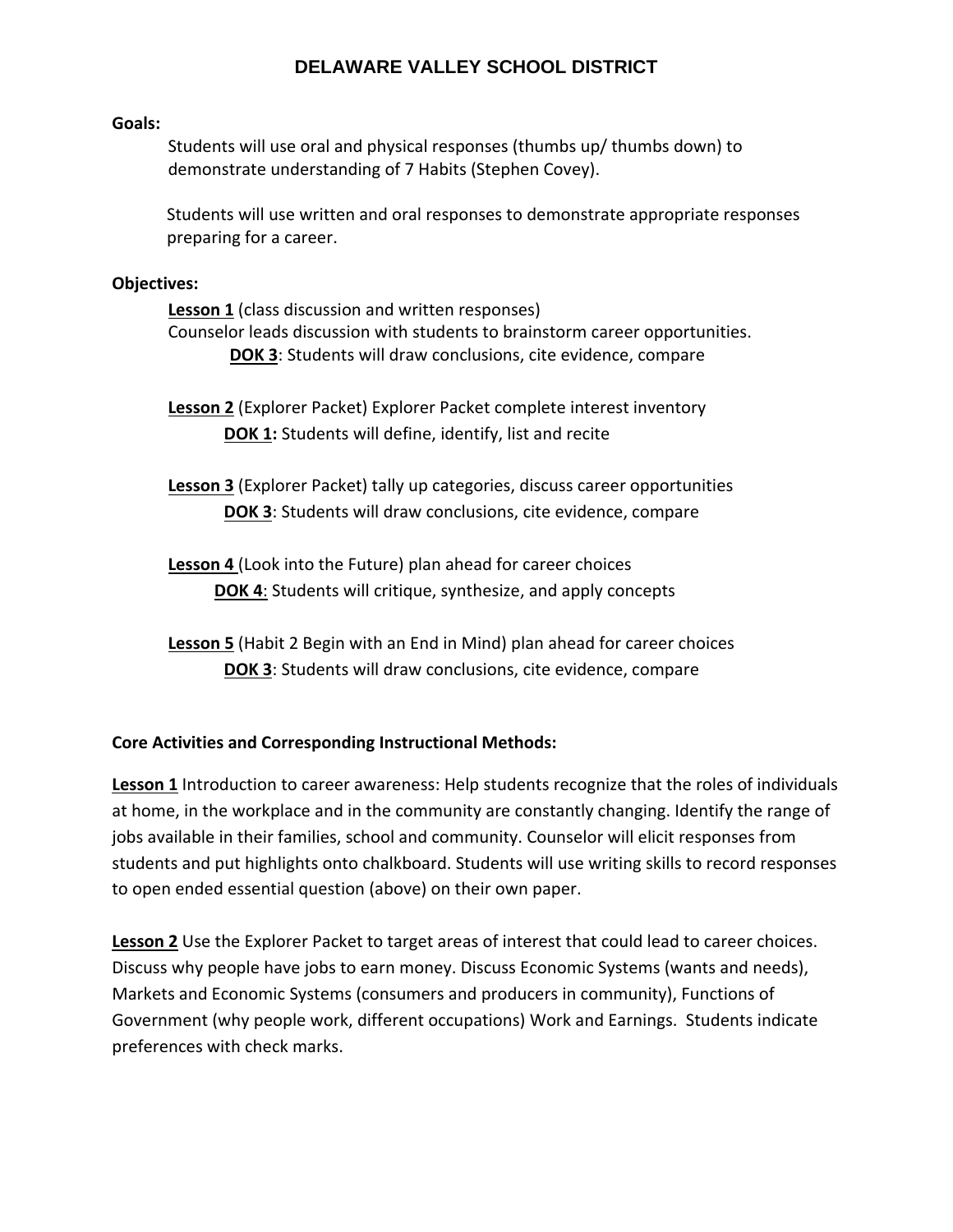#### **Goals:**

Students will use oral and physical responses (thumbs up/ thumbs down) to demonstrate understanding of 7 Habits (Stephen Covey).

Students will use written and oral responses to demonstrate appropriate responses preparing for a career.

#### **Objectives:**

**Lesson 1** (class discussion and written responses) Counselor leads discussion with students to brainstorm career opportunities. **DOK 3**: Students will draw conclusions, cite evidence, compare

**Lesson 2** (Explorer Packet) Explorer Packet complete interest inventory **DOK 1:** Students will define, identify, list and recite

**Lesson 3** (Explorer Packet) tally up categories, discuss career opportunities **DOK 3**: Students will draw conclusions, cite evidence, compare

**Lesson 4** (Look into the Future) plan ahead for career choices **DOK 4**: Students will critique, synthesize, and apply concepts

**Lesson 5** (Habit 2 Begin with an End in Mind) plan ahead for career choices **DOK 3**: Students will draw conclusions, cite evidence, compare

## **Core Activities and Corresponding Instructional Methods:**

**Lesson 1** Introduction to career awareness: Help students recognize that the roles of individuals at home, in the workplace and in the community are constantly changing. Identify the range of jobs available in their families, school and community. Counselor will elicit responses from students and put highlights onto chalkboard. Students will use writing skills to record responses to open ended essential question (above) on their own paper.

**Lesson 2** Use the Explorer Packet to target areas of interest that could lead to career choices. Discuss why people have jobs to earn money. Discuss Economic Systems (wants and needs), Markets and Economic Systems (consumers and producers in community), Functions of Government (why people work, different occupations) Work and Earnings. Students indicate preferences with check marks.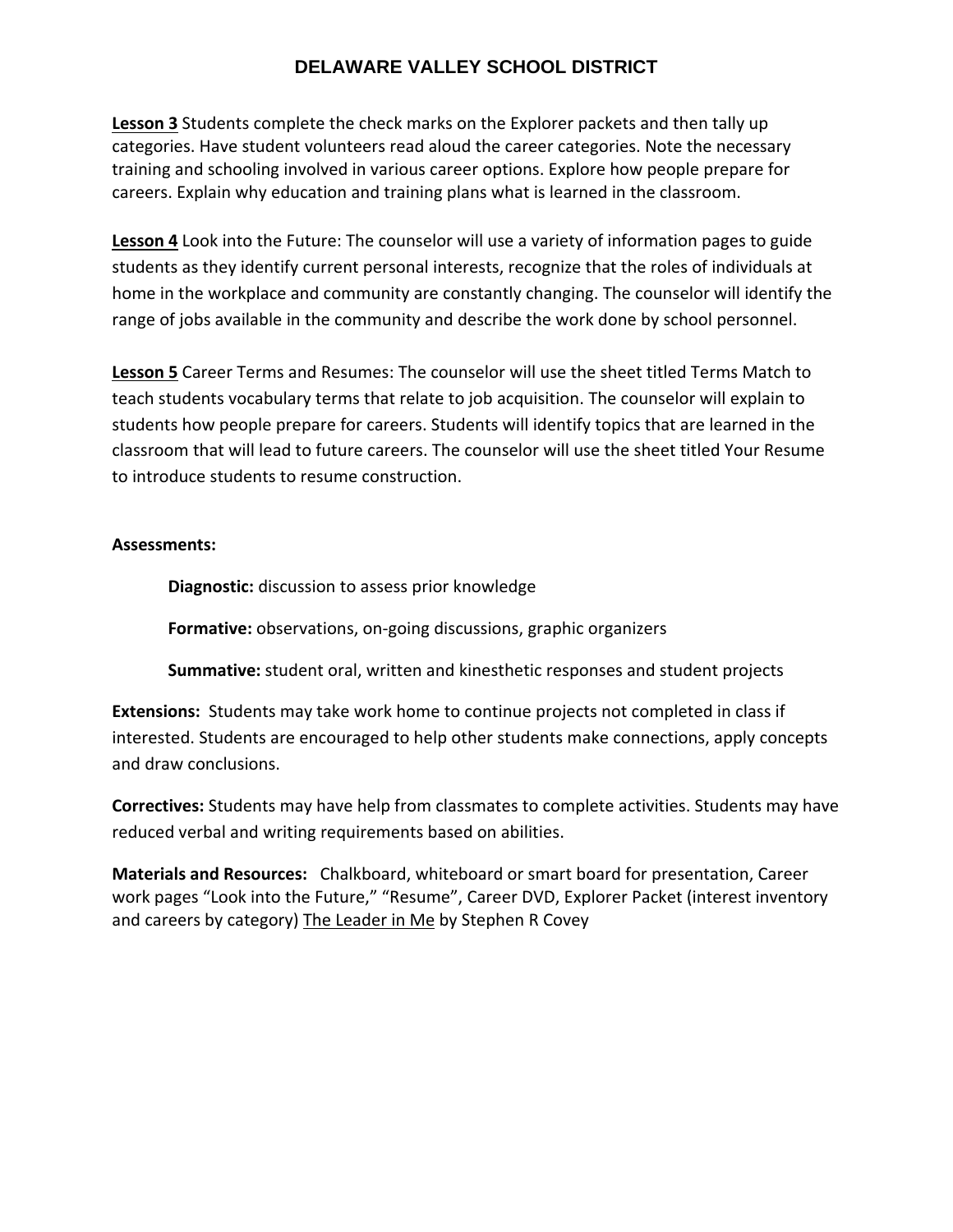**Lesson 3** Students complete the check marks on the Explorer packets and then tally up categories. Have student volunteers read aloud the career categories. Note the necessary training and schooling involved in various career options. Explore how people prepare for careers. Explain why education and training plans what is learned in the classroom.

**Lesson 4** Look into the Future: The counselor will use a variety of information pages to guide students as they identify current personal interests, recognize that the roles of individuals at home in the workplace and community are constantly changing. The counselor will identify the range of jobs available in the community and describe the work done by school personnel.

**Lesson 5** Career Terms and Resumes: The counselor will use the sheet titled Terms Match to teach students vocabulary terms that relate to job acquisition. The counselor will explain to students how people prepare for careers. Students will identify topics that are learned in the classroom that will lead to future careers. The counselor will use the sheet titled Your Resume to introduce students to resume construction.

## **Assessments:**

**Diagnostic:** discussion to assess prior knowledge

**Formative:** observations, on‐going discussions, graphic organizers

**Summative:** student oral, written and kinesthetic responses and student projects

**Extensions:** Students may take work home to continue projects not completed in class if interested. Students are encouraged to help other students make connections, apply concepts and draw conclusions.

**Correctives:** Students may have help from classmates to complete activities. Students may have reduced verbal and writing requirements based on abilities.

**Materials and Resources:** Chalkboard, whiteboard or smart board for presentation, Career work pages "Look into the Future," "Resume", Career DVD, Explorer Packet (interest inventory and careers by category) The Leader in Me by Stephen R Covey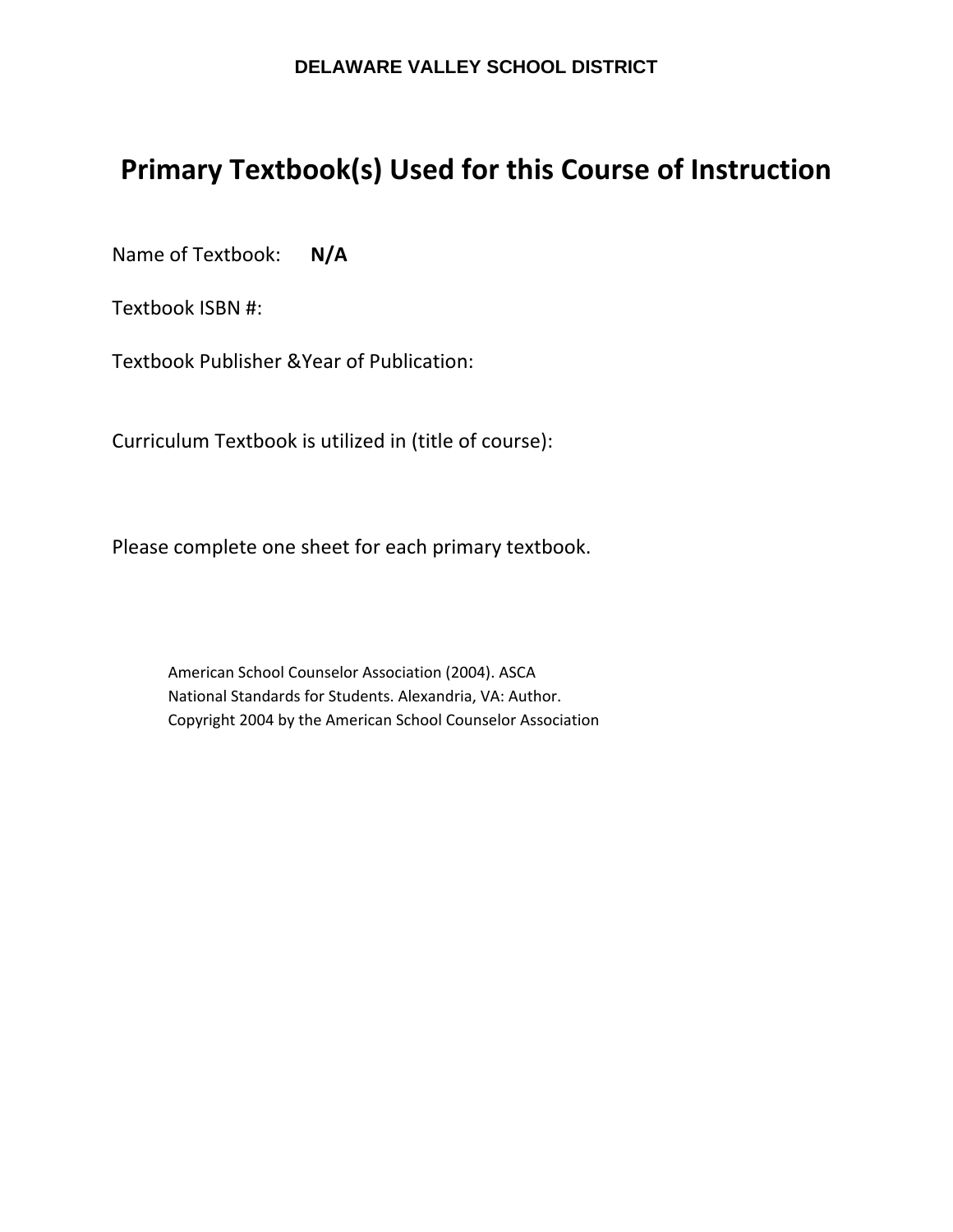# **Primary Textbook(s) Used for this Course of Instruction**

Name of Textbook: **N/A**

Textbook ISBN #:

Textbook Publisher &Year of Publication:

Curriculum Textbook is utilized in (title of course):

Please complete one sheet for each primary textbook.

American School Counselor Association (2004). ASCA National Standards for Students. Alexandria, VA: Author. Copyright 2004 by the American School Counselor Association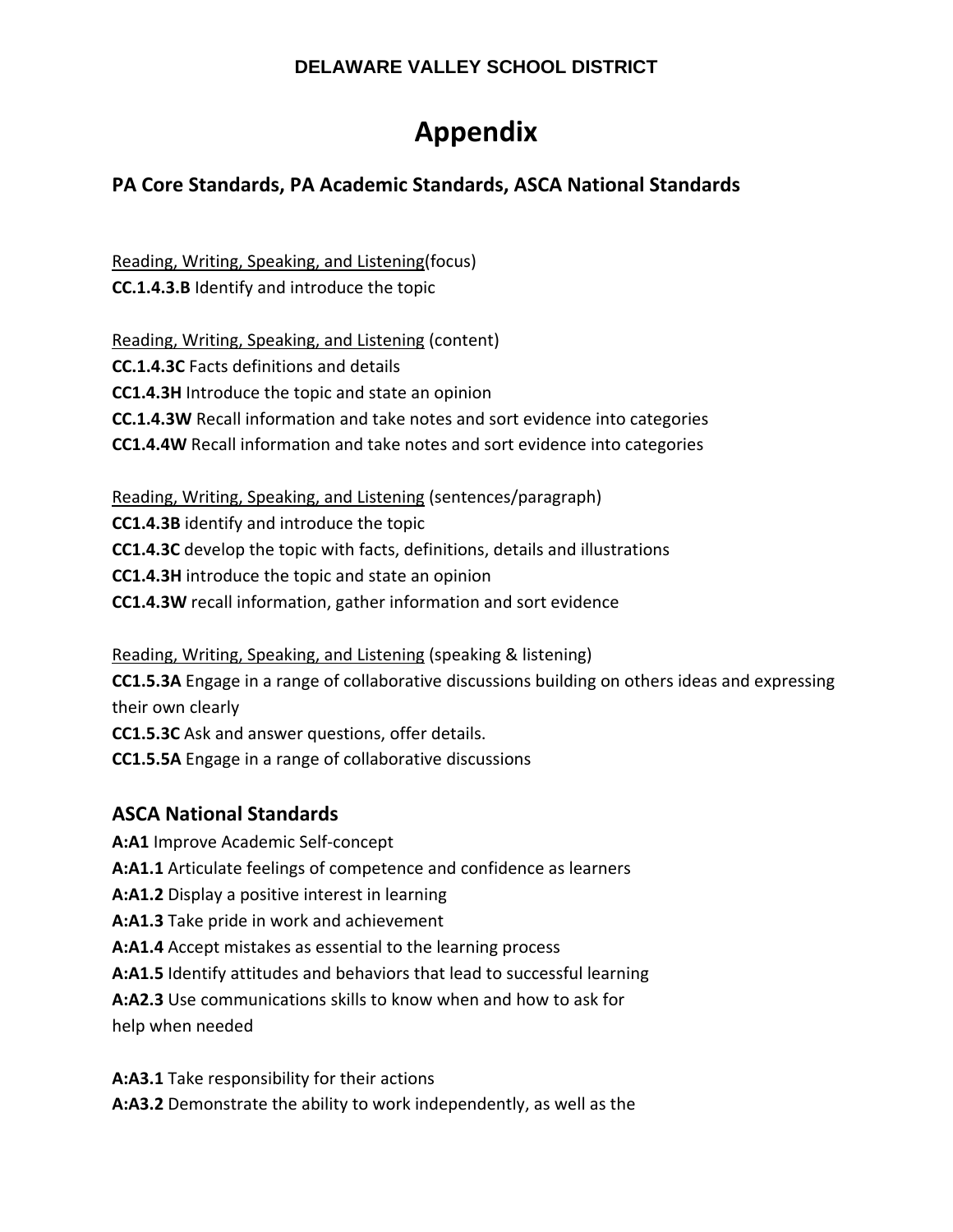# **Appendix**

# **PA Core Standards, PA Academic Standards, ASCA National Standards**

Reading, Writing, Speaking, and Listening(focus) **CC.1.4.3.B** Identify and introduce the topic

Reading, Writing, Speaking, and Listening (content) **CC.1.4.3C** Facts definitions and details **CC1.4.3H** Introduce the topic and state an opinion **CC.1.4.3W** Recall information and take notes and sort evidence into categories **CC1.4.4W** Recall information and take notes and sort evidence into categories

Reading, Writing, Speaking, and Listening (sentences/paragraph) **CC1.4.3B** identify and introduce the topic **CC1.4.3C** develop the topic with facts, definitions, details and illustrations **CC1.4.3H** introduce the topic and state an opinion **CC1.4.3W** recall information, gather information and sort evidence

Reading, Writing, Speaking, and Listening (speaking & listening) **CC1.5.3A** Engage in a range of collaborative discussions building on others ideas and expressing their own clearly

**CC1.5.3C** Ask and answer questions, offer details.

**CC1.5.5A** Engage in a range of collaborative discussions

# **ASCA National Standards**

**A:A1** Improve Academic Self‐concept

**A:A1.1** Articulate feelings of competence and confidence as learners

**A:A1.2** Display a positive interest in learning

**A:A1.3** Take pride in work and achievement

**A:A1.4** Accept mistakes as essential to the learning process

**A:A1.5** Identify attitudes and behaviors that lead to successful learning

**A:A2.3** Use communications skills to know when and how to ask for help when needed

**A:A3.1** Take responsibility for their actions

**A:A3.2** Demonstrate the ability to work independently, as well as the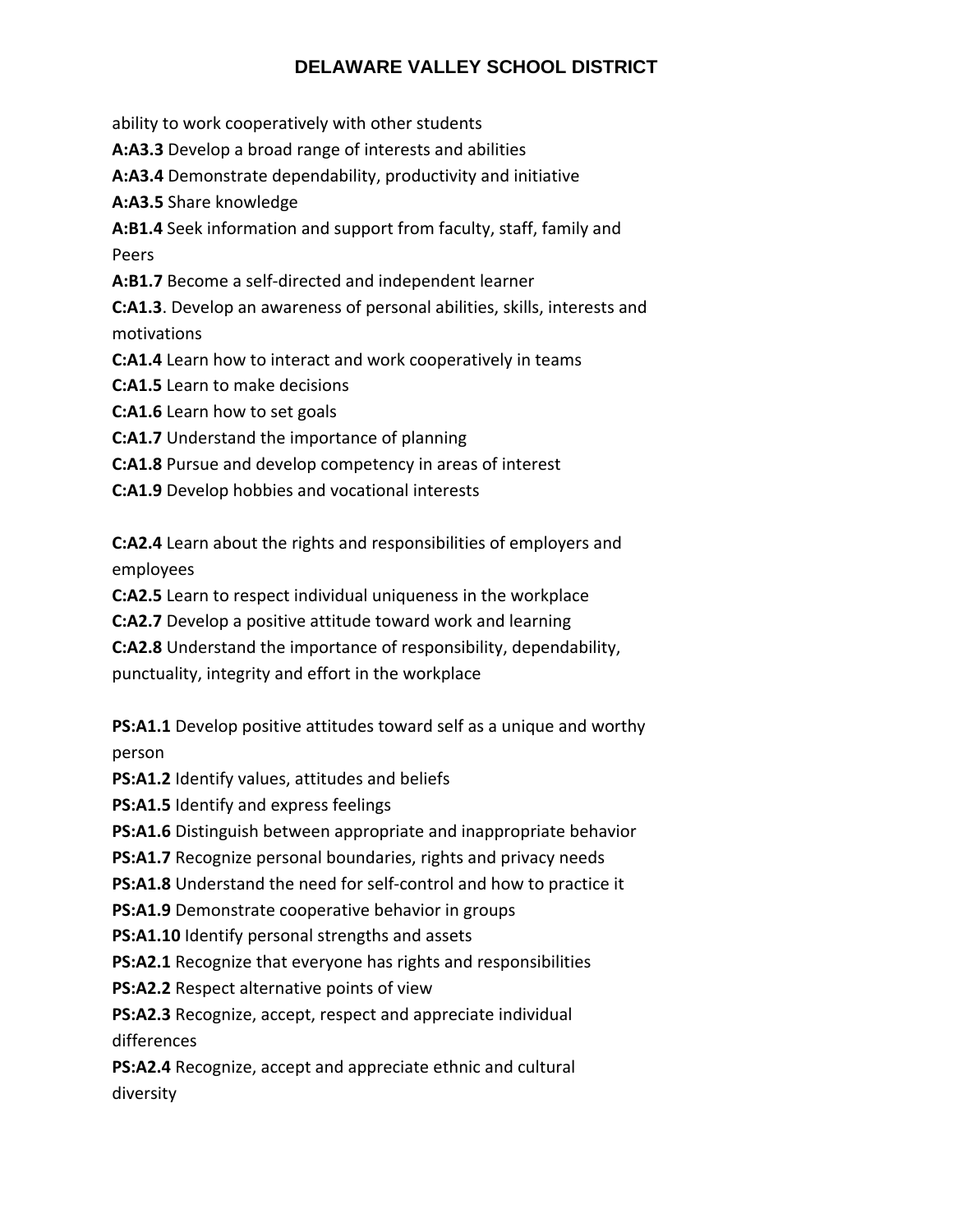ability to work cooperatively with other students

**A:A3.3** Develop a broad range of interests and abilities

**A:A3.4** Demonstrate dependability, productivity and initiative

**A:A3.5** Share knowledge

**A:B1.4** Seek information and support from faculty, staff, family and Peers

**A:B1.7** Become a self‐directed and independent learner

**C:A1.3**. Develop an awareness of personal abilities, skills, interests and motivations

**C:A1.4** Learn how to interact and work cooperatively in teams

**C:A1.5** Learn to make decisions

**C:A1.6** Learn how to set goals

**C:A1.7** Understand the importance of planning

**C:A1.8** Pursue and develop competency in areas of interest

**C:A1.9** Develop hobbies and vocational interests

**C:A2.4** Learn about the rights and responsibilities of employers and employees

**C:A2.5** Learn to respect individual uniqueness in the workplace

**C:A2.7** Develop a positive attitude toward work and learning

**C:A2.8** Understand the importance of responsibility, dependability,

punctuality, integrity and effort in the workplace

**PS:A1.1** Develop positive attitudes toward self as a unique and worthy person

**PS:A1.2** Identify values, attitudes and beliefs

**PS:A1.5** Identify and express feelings

**PS:A1.6** Distinguish between appropriate and inappropriate behavior

**PS:A1.7** Recognize personal boundaries, rights and privacy needs

**PS:A1.8** Understand the need for self‐control and how to practice it

**PS:A1.9** Demonstrate cooperative behavior in groups

**PS:A1.10** Identify personal strengths and assets

**PS:A2.1** Recognize that everyone has rights and responsibilities

**PS:A2.2** Respect alternative points of view

**PS:A2.3** Recognize, accept, respect and appreciate individual differences

**PS:A2.4** Recognize, accept and appreciate ethnic and cultural diversity